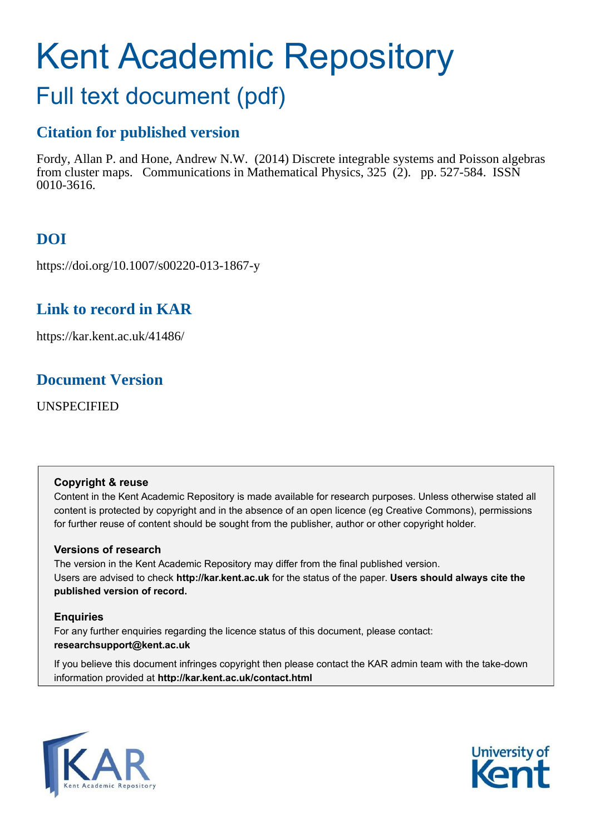# Kent Academic Repository

# Full text document (pdf)

# **Citation for published version**

Fordy, Allan P. and Hone, Andrew N.W. (2014) Discrete integrable systems and Poisson algebras from cluster maps. Communications in Mathematical Physics, 325 (2). pp. 527-584. ISSN 0010-3616.

# **DOI**

https://doi.org/10.1007/s00220-013-1867-y

# **Link to record in KAR**

https://kar.kent.ac.uk/41486/

# **Document Version**

UNSPECIFIED

# **Copyright & reuse**

<span id="page-0-0"></span>Content in the Kent Academic Repository is made available for research purposes. Unless otherwise stated all content is protected by copyright and in the absence of an open licence (eg Creative Commons), permissions for further reuse of content should be sought from the publisher, author or other copyright holder.

# **Versions of research**

The version in the Kent Academic Repository may differ from the final published version. Users are advised to check **http://kar.kent.ac.uk** for the status of the paper. **Users should always cite the published version of record.**

# <span id="page-0-3"></span>**Enquiries**

For any further enquiries regarding the licence status of this document, please contact: **researchsupport@kent.ac.uk**

<span id="page-0-2"></span>If you believe this document infringes copyright then please contact the KAR admin team with the take-down information provided at **http://kar.kent.ac.uk/contact.html**

<span id="page-0-1"></span>

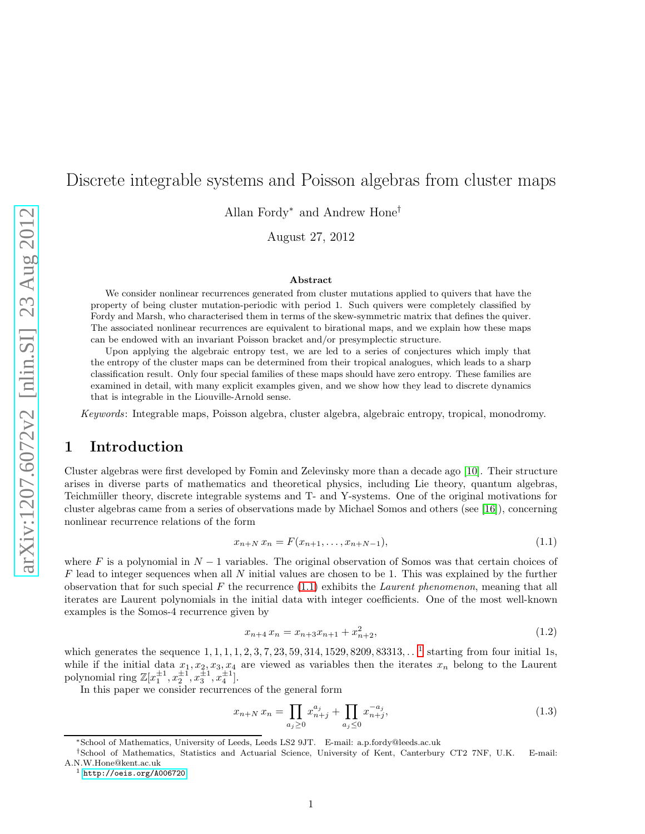# Discrete integrable systems and Poisson algebras from cluster maps

Allan Fordy<sup>∗</sup> and Andrew Hone†

August 27, 2012

#### Abstract

We consider nonlinear recurrences generated from cluster mutations applied to quivers that have the property of being cluster mutation-periodic with period 1. Such quivers were completely classified by Fordy and Marsh, who characterised them in terms of the skew-symmetric matrix that defines the quiver. The associated nonlinear recurrences are equivalent to birational maps, and we explain how these maps can be endowed with an invariant Poisson bracket and/or presymplectic structure.

Upon applying the algebraic entropy test, we are led to a series of conjectures which imply that the entropy of the cluster maps can be determined from their tropical analogues, which leads to a sharp classification result. Only four special families of these maps should have zero entropy. These families are examined in detail, with many explicit examples given, and we show how they lead to discrete dynamics that is integrable in the Liouville-Arnold sense.

Keywords: Integrable maps, Poisson algebra, cluster algebra, algebraic entropy, tropical, monodromy.

## 1 Introduction

Cluster algebras were first developed by Fomin and Zelevinsky more than a decade ago [\[10\]](#page-47-0). Their structure arises in diverse parts of mathematics and theoretical physics, including Lie theory, quantum algebras, Teichmüller theory, discrete integrable systems and T- and Y-systems. One of the original motivations for cluster algebras came from a series of observations made by Michael Somos and others (see [\[16\]](#page-48-0)), concerning nonlinear recurrence relations of the form

$$
x_{n+N} x_n = F(x_{n+1}, \dots, x_{n+N-1}), \tag{1.1}
$$

where F is a polynomial in  $N-1$  variables. The original observation of Somos was that certain choices of  $F$  lead to integer sequences when all N initial values are chosen to be 1. This was explained by the further observation that for such special F the recurrence  $(1.1)$  exhibits the *Laurent phenomenon*, meaning that all iterates are Laurent polynomials in the initial data with integer coefficients. One of the most well-known examples is the Somos-4 recurrence given by

$$
x_{n+4} \, x_n = x_{n+3} x_{n+1} + x_{n+2}^2,\tag{1.2}
$$

which generates the sequence  $1, 1, 1, 1, 2, 3, 7, 23, 59, 314, 1529, 8209, 83313, \ldots$ <sup>1</sup> starting from four initial 1s, while if the initial data  $x_1, x_2, x_3, x_4$  are viewed as variables then the iterates  $x_n$  belong to the Laurent polynomial ring  $\mathbb{Z}[x_1^{\pm 1}, x_2^{\pm 1}, x_3^{\pm 1}, x_4^{\pm 1}].$ 

In this paper we consider recurrences of the general form

$$
x_{n+N} x_n = \prod_{a_j \ge 0} x_{n+j}^{a_j} + \prod_{a_j \le 0} x_{n+j}^{-a_j}, \tag{1.3}
$$

<sup>∗</sup>School of Mathematics, University of Leeds, Leeds LS2 9JT. E-mail: a.p.fordy@leeds.ac.uk

<sup>†</sup>School of Mathematics, Statistics and Actuarial Science, University of Kent, Canterbury CT2 7NF, U.K. E-mail: A.N.W.Hone@kent.ac.uk

 $1$  <http://oeis.org/A006720>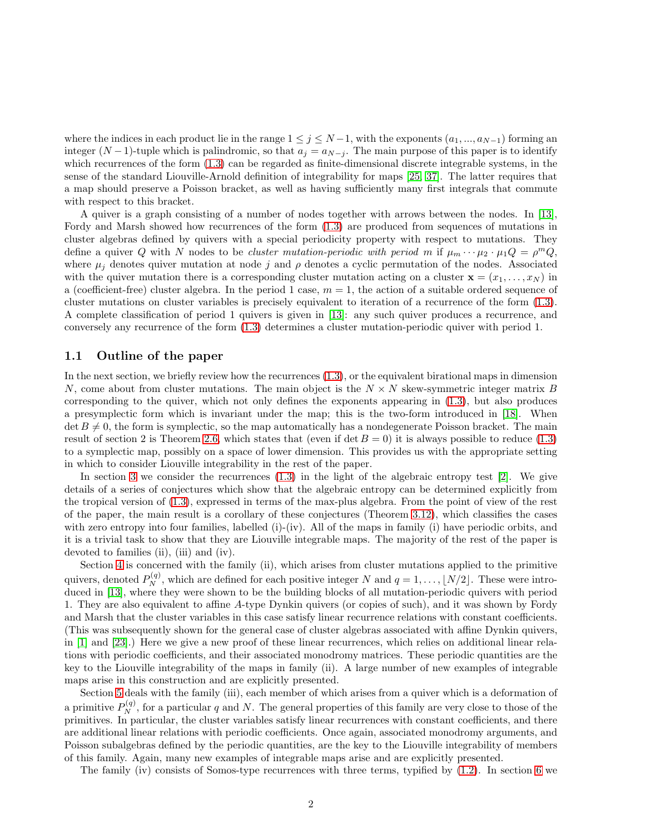where the indices in each product lie in the range  $1 \leq j \leq N-1$ , with the exponents  $(a_1, ..., a_{N-1})$  forming an integer  $(N-1)$ -tuple which is palindromic, so that  $a_j = a_{N-j}$ . The main purpose of this paper is to identify which recurrences of the form  $(1.3)$  can be regarded as finite-dimensional discrete integrable systems, in the sense of the standard Liouville-Arnold definition of integrability for maps [\[25,](#page-48-1) [37\]](#page-48-2). The latter requires that a map should preserve a Poisson bracket, as well as having sufficiently many first integrals that commute with respect to this bracket.

A quiver is a graph consisting of a number of nodes together with arrows between the nodes. In [\[13\]](#page-47-1), Fordy and Marsh showed how recurrences of the form [\(1.3\)](#page-0-2) are produced from sequences of mutations in cluster algebras defined by quivers with a special periodicity property with respect to mutations. They define a quiver Q with N nodes to be cluster mutation-periodic with period m if  $\mu_m \cdots \mu_2 \cdot \mu_1 Q = \rho^m Q$ , where  $\mu_j$  denotes quiver mutation at node j and  $\rho$  denotes a cyclic permutation of the nodes. Associated with the quiver mutation there is a corresponding cluster mutation acting on a cluster  $\mathbf{x} = (x_1, \ldots, x_N)$  in a (coefficient-free) cluster algebra. In the period 1 case,  $m = 1$ , the action of a suitable ordered sequence of cluster mutations on cluster variables is precisely equivalent to iteration of a recurrence of the form [\(1.3\)](#page-0-2). A complete classification of period 1 quivers is given in [\[13\]](#page-47-1): any such quiver produces a recurrence, and conversely any recurrence of the form [\(1.3\)](#page-0-2) determines a cluster mutation-periodic quiver with period 1.

#### 1.1 Outline of the paper

<span id="page-2-3"></span>In the next section, we briefly review how the recurrences [\(1.3\)](#page-0-2), or the equivalent birational maps in dimension N, come about from cluster mutations. The main object is the  $N \times N$  skew-symmetric integer matrix B corresponding to the quiver, which not only defines the exponents appearing in [\(1.3\)](#page-0-2), but also produces a presymplectic form which is invariant under the map; this is the two-form introduced in [\[18\]](#page-48-3). When  $\det B \neq 0$ , the form is symplectic, so the map automatically has a nondegenerate Poisson bracket. The main result of section 2 is Theorem [2.6,](#page-5-0) which states that (even if det  $B = 0$ ) it is always possible to reduce [\(1.3\)](#page-0-2) to a symplectic map, possibly on a space of lower dimension. This provides us with the appropriate setting in which to consider Liouville integrability in the rest of the paper.

<span id="page-2-2"></span>In section [3](#page-9-0) we consider the recurrences  $(1.3)$  in the light of the algebraic entropy test [\[2\]](#page-47-2). We give details of a series of conjectures which show that the algebraic entropy can be determined explicitly from the tropical version of [\(1.3\)](#page-0-2), expressed in terms of the max-plus algebra. From the point of view of the rest of the paper, the main result is a corollary of these conjectures (Theorem [3.12\)](#page-13-0), which classifies the cases with zero entropy into four families, labelled (i)-(iv). All of the maps in family (i) have periodic orbits, and it is a trivial task to show that they are Liouville integrable maps. The majority of the rest of the paper is devoted to families (ii), (iii) and (iv).

Section [4](#page-14-0) is concerned with the family (ii), which arises from cluster mutations applied to the primitive quivers, denoted  $P_N^{(q)}$ , which are defined for each positive integer N and  $q = 1, \ldots, \lfloor N/2 \rfloor$ . These were introduced in [\[13\]](#page-47-1), where they were shown to be the building blocks of all mutation-periodic quivers with period 1. They are also equivalent to affine A-type Dynkin quivers (or copies of such), and it was shown by Fordy and Marsh that the cluster variables in this case satisfy linear recurrence relations with constant coefficients. (This was subsequently shown for the general case of cluster algebras associated with affine Dynkin quivers, in [\[1\]](#page-47-3) and [\[23\]](#page-48-4).) Here we give a new proof of these linear recurrences, which relies on additional linear relations with periodic coefficients, and their associated monodromy matrices. These periodic quantities are the key to the Liouville integrability of the maps in family (ii). A large number of new examples of integrable maps arise in this construction and are explicitly presented.

<span id="page-2-0"></span>Section [5](#page-28-0) deals with the family (iii), each member of which arises from a quiver which is a deformation of a primitive  $P_N^{(q)}$ , for a particular q and N. The general properties of this family are very close to those of the primitives. In particular, the cluster variables satisfy linear recurrences with constant coefficients, and there are additional linear relations with periodic coefficients. Once again, associated monodromy arguments, and Poisson subalgebras defined by the periodic quantities, are the key to the Liouville integrability of members of this family. Again, many new examples of integrable maps arise and are explicitly presented.

<span id="page-2-1"></span>The family (iv) consists of Somos-type recurrences with three terms, typified by [\(1.2\)](#page-0-3). In section [6](#page-41-0) we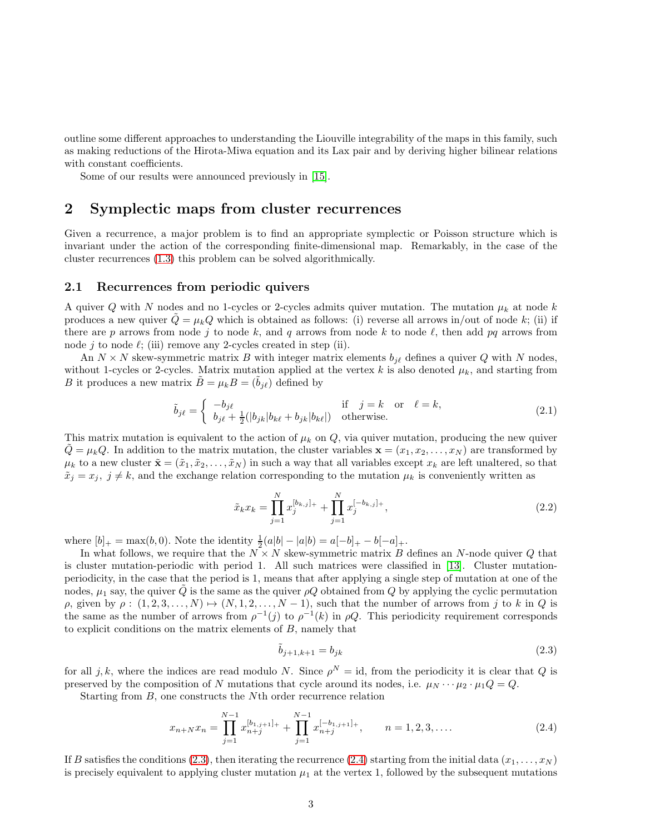outline some different approaches to understanding the Liouville integrability of the maps in this family, such as making reductions of the Hirota-Miwa equation and its Lax pair and by deriving higher bilinear relations with constant coefficients.

Some of our results were announced previously in [\[15\]](#page-48-5).

## 2 Symplectic maps from cluster recurrences

<span id="page-3-0"></span>Given a recurrence, a major problem is to find an appropriate symplectic or Poisson structure which is invariant under the action of the corresponding finite-dimensional map. Remarkably, in the case of the cluster recurrences [\(1.3\)](#page-0-2) this problem can be solved algorithmically.

#### 2.1 Recurrences from periodic quivers

A quiver Q with N nodes and no 1-cycles or 2-cycles admits quiver mutation. The mutation  $\mu_k$  at node k produces a new quiver  $\hat{Q} = \mu_k Q$  which is obtained as follows: (i) reverse all arrows in/out of node k; (ii) if there are p arrows from node j to node k, and q arrows from node k to node  $\ell$ , then add pq arrows from node j to node  $\ell$ ; (iii) remove any 2-cycles created in step (ii).

An  $N \times N$  skew-symmetric matrix B with integer matrix elements  $b_{i\ell}$  defines a quiver Q with N nodes, without 1-cycles or 2-cycles. Matrix mutation applied at the vertex k is also denoted  $\mu_k$ , and starting from B it produces a new matrix  $\tilde{B} = \mu_k B = (\tilde{b}_{i\ell})$  defined by

<span id="page-3-2"></span>
$$
\tilde{b}_{j\ell} = \begin{cases}\n-b_{j\ell} & \text{if } j = k \text{ or } \ell = k, \\
b_{j\ell} + \frac{1}{2}(|b_{jk}|b_{k\ell} + b_{jk}|b_{k\ell}|) & \text{otherwise.} \n\end{cases}
$$
\n(2.1)

This matrix mutation is equivalent to the action of  $\mu_k$  on Q, via quiver mutation, producing the new quiver  $\hat{Q} = \mu_k Q$ . In addition to the matrix mutation, the cluster variables  $\mathbf{x} = (x_1, x_2, \dots, x_N)$  are transformed by  $\mu_k$  to a new cluster  $\tilde{\mathbf{x}} = (\tilde{x}_1, \tilde{x}_2, \dots, \tilde{x}_N)$  in such a way that all variables except  $x_k$  are left unaltered, so that  $\tilde{x}_j = x_j$ ,  $j \neq k$ , and the exchange relation corresponding to the mutation  $\mu_k$  is conveniently written as

<span id="page-3-1"></span>
$$
\tilde{x}_{k}x_{k} = \prod_{j=1}^{N} x_{j}^{[b_{k,j}]_{+}} + \prod_{j=1}^{N} x_{j}^{[-b_{k,j}]_{+}},
$$
\n(2.2)

where  $[b]_+ = \max(b, 0)$ . Note the identity  $\frac{1}{2}(a|b| - |a|b) = a[-b]_+ - b[-a]_+$ .

In what follows, we require that the  $N \times N$  skew-symmetric matrix B defines an N-node quiver Q that is cluster mutation-periodic with period 1. All such matrices were classified in [\[13\]](#page-47-1). Cluster mutationperiodicity, in the case that the period is 1, means that after applying a single step of mutation at one of the nodes,  $\mu_1$  say, the quiver Q is the same as the quiver  $\rho Q$  obtained from Q by applying the cyclic permutation  $\rho$ , given by  $\rho : (1, 2, 3, \ldots, N) \mapsto (N, 1, 2, \ldots, N - 1)$ , such that the number of arrows from j to k in Q is the same as the number of arrows from  $\rho^{-1}(j)$  to  $\rho^{-1}(k)$  in  $\rho Q$ . This periodicity requirement corresponds to explicit conditions on the matrix elements of B, namely that

$$
\tilde{b}_{j+1,k+1} = b_{jk} \tag{2.3}
$$

for all j, k, where the indices are read modulo N. Since  $\rho^N = id$ , from the periodicity it is clear that Q is preserved by the composition of N mutations that cycle around its nodes, i.e.  $\mu_N \cdots \mu_2 \cdot \mu_1 Q = Q$ .

Starting from B, one constructs the Nth order recurrence relation

<span id="page-3-3"></span>
$$
x_{n+N}x_n = \prod_{j=1}^{N-1} x_{n+j}^{[b_{1,j+1}]} + \prod_{j=1}^{N-1} x_{n+j}^{[-b_{1,j+1}]} + \qquad n = 1, 2, 3, \dots
$$
 (2.4)

If B satisfies the conditions [\(2.3\)](#page-2-0), then iterating the recurrence [\(2.4\)](#page-2-1) starting from the initial data  $(x_1, \ldots, x_N)$ is precisely equivalent to applying cluster mutation  $\mu_1$  at the vertex 1, followed by the subsequent mutations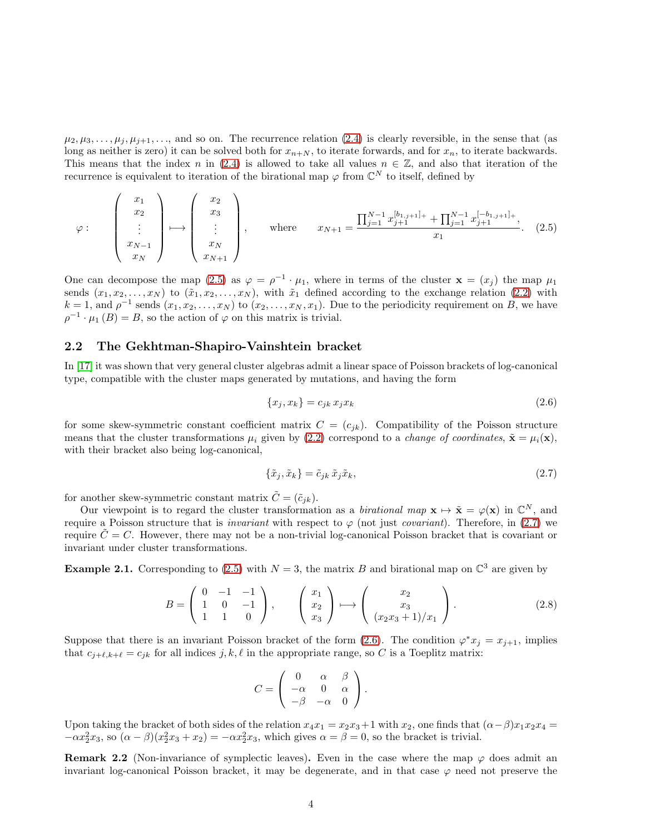$\mu_2, \mu_3, \ldots, \mu_j, \mu_{j+1}, \ldots$ , and so on. The recurrence relation [\(2.4\)](#page-2-1) is clearly reversible, in the sense that (as long as neither is zero) it can be solved both for  $x_{n+N}$ , to iterate forwards, and for  $x_n$ , to iterate backwards. This means that the index n in [\(2.4\)](#page-2-1) is allowed to take all values  $n \in \mathbb{Z}$ , and also that iteration of the recurrence is equivalent to iteration of the birational map  $\varphi$  from  $\mathbb{C}^N$  to itself, defined by

<span id="page-4-3"></span>
$$
\varphi: \begin{pmatrix} x_1 \\ x_2 \\ \vdots \\ x_{N-1} \\ x_N \end{pmatrix} \longmapsto \begin{pmatrix} x_2 \\ x_3 \\ \vdots \\ x_N \\ x_N + 1 \end{pmatrix}, \quad \text{where} \quad x_{N+1} = \frac{\prod_{j=1}^{N-1} x_{j+1}^{[b_{1,j+1}]_+} + \prod_{j=1}^{N-1} x_{j+1}^{[-b_{1,j+1}]_+}}{x_1}, \quad (2.5)
$$

One can decompose the map [\(2.5\)](#page-3-0) as  $\varphi = \rho^{-1} \cdot \mu_1$ , where in terms of the cluster  $\mathbf{x} = (x_j)$  the map  $\mu_1$ sends  $(x_1, x_2, \ldots, x_N)$  to  $(\tilde{x}_1, x_2, \ldots, x_N)$ , with  $\tilde{x}_1$  defined according to the exchange relation [\(2.2\)](#page-2-2) with  $k = 1$ , and  $\rho^{-1}$  sends  $(x_1, x_2, \ldots, x_N)$  to  $(x_2, \ldots, x_N, x_1)$ . Due to the periodicity requirement on B, we have  $\rho^{-1} \cdot \mu_1(B) = B$ , so the action of  $\varphi$  on this matrix is trivial.

#### 2.2 The Gekhtman-Shapiro-Vainshtein bracket

In [\[17\]](#page-48-6) it was shown that very general cluster algebras admit a linear space of Poisson brackets of log-canonical type, compatible with the cluster maps generated by mutations, and having the form

<span id="page-4-4"></span>
$$
\{x_j, x_k\} = c_{jk} x_j x_k \tag{2.6}
$$

<span id="page-4-0"></span>for some skew-symmetric constant coefficient matrix  $C = (c_{ik})$ . Compatibility of the Poisson structure means that the cluster transformations  $\mu_i$  given by [\(2.2\)](#page-2-2) correspond to a *change of coordinates*,  $\tilde{\mathbf{x}} = \mu_i(\mathbf{x})$ , with their bracket also being log-canonical,

<span id="page-4-1"></span>
$$
\{\tilde{x}_j, \tilde{x}_k\} = \tilde{c}_{jk} \tilde{x}_j \tilde{x}_k, \tag{2.7}
$$

for another skew-symmetric constant matrix  $\tilde{C} = (\tilde{c}_{ik}).$ 

Our viewpoint is to regard the cluster transformation as a *birational map*  $\mathbf{x} \mapsto \tilde{\mathbf{x}} = \varphi(\mathbf{x})$  in  $\mathbb{C}^N$ , and require a Poisson structure that is *invariant* with respect to  $\varphi$  (not just *covariant*). Therefore, in [\(2.7\)](#page-3-1) we require  $\tilde{C} = C$ . However, there may not be a non-trivial log-canonical Poisson bracket that is covariant or invariant under cluster transformations.

**Example 2.1.** Corresponding to [\(2.5\)](#page-3-0) with  $N = 3$ , the matrix B and birational map on  $\mathbb{C}^3$  are given by

<span id="page-4-2"></span>
$$
B = \begin{pmatrix} 0 & -1 & -1 \\ 1 & 0 & -1 \\ 1 & 1 & 0 \end{pmatrix}, \qquad \begin{pmatrix} x_1 \\ x_2 \\ x_3 \end{pmatrix} \longmapsto \begin{pmatrix} x_2 \\ x_3 \\ (x_2x_3 + 1)/x_1 \end{pmatrix}.
$$
 (2.8)

Suppose that there is an invariant Poisson bracket of the form [\(2.6\)](#page-3-2). The condition  $\varphi^* x_j = x_{j+1}$ , implies that  $c_{j+\ell,k+\ell} = c_{jk}$  for all indices  $j, k, \ell$  in the appropriate range, so C is a Toeplitz matrix:

$$
C = \left( \begin{array}{ccc} 0 & \alpha & \beta \\ -\alpha & 0 & \alpha \\ -\beta & -\alpha & 0 \end{array} \right).
$$

Upon taking the bracket of both sides of the relation  $x_4x_1 = x_2x_3+1$  with  $x_2$ , one finds that  $(\alpha - \beta)x_1x_2x_4 =$  $-\alpha x_2^2 x_3$ , so  $(\alpha - \beta)(x_2^2 x_3 + x_2) = -\alpha x_2^2 x_3$ , which gives  $\alpha = \beta = 0$ , so the bracket is trivial.

Remark 2.2 (Non-invariance of symplectic leaves). Even in the case where the map  $\varphi$  does admit an invariant log-canonical Poisson bracket, it may be degenerate, and in that case  $\varphi$  need not preserve the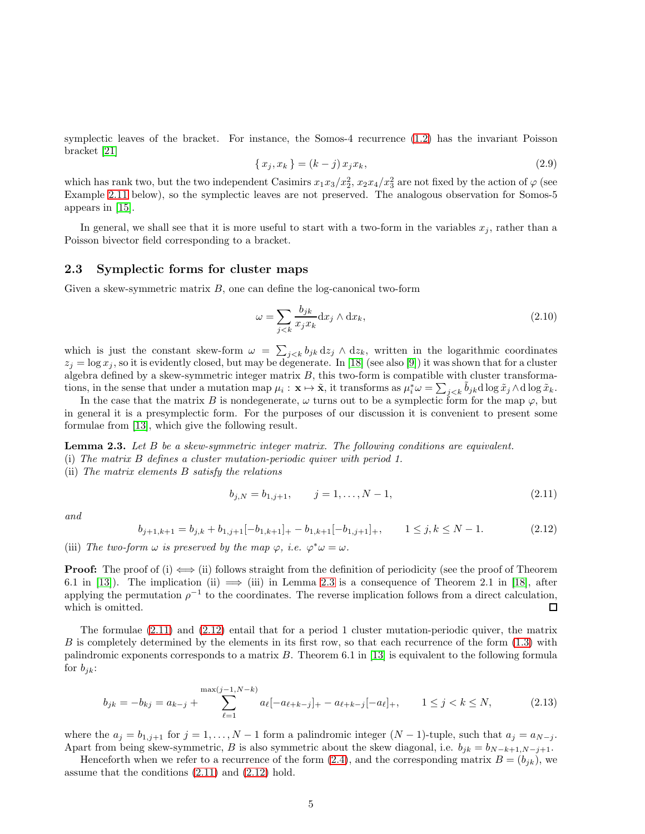symplectic leaves of the bracket. For instance, the Somos-4 recurrence [\(1.2\)](#page-0-3) has the invariant Poisson bracket [\[21\]](#page-48-7)

<span id="page-5-4"></span>
$$
\{x_j, x_k\} = (k - j)x_j x_k,
$$
\n(2.9)

which has rank two, but the two independent Casimirs  $x_1x_3/x_2^2$ ,  $x_2x_4/x_3^2$  are not fixed by the action of  $\varphi$  (see Example [2.11](#page-8-0) below), so the symplectic leaves are not preserved. The analogous observation for Somos-5 appears in [\[15\]](#page-48-5).

In general, we shall see that it is more useful to start with a two-form in the variables  $x_j$ , rather than a Poisson bivector field corresponding to a bracket.

#### 2.3 Symplectic forms for cluster maps

<span id="page-5-5"></span>Given a skew-symmetric matrix  $B$ , one can define the log-canonical two-form

<span id="page-5-6"></span><span id="page-5-3"></span>
$$
\omega = \sum_{j < k} \frac{b_{jk}}{x_j x_k} \mathrm{d}x_j \wedge \mathrm{d}x_k,\tag{2.10}
$$

which is just the constant skew-form  $\omega = \sum_{j < k} b_{jk} dz_j \wedge dz_k$ , written in the logarithmic coordinates  $z_j = \log x_j$ , so it is evidently closed, but may be degenerate. In [\[18\]](#page-48-3) (see also [\[9\]](#page-47-4)) it was shown that for a cluster algebra defined by a skew-symmetric integer matrix  $B$ , this two-form is compatible with cluster transformations, in the sense that under a mutation map  $\mu_i : \mathbf{x} \mapsto \tilde{\mathbf{x}}$ , it transforms as  $\mu_i^* \omega = \sum_{j \le k} \tilde{b}_{jk} d \log \tilde{x}_j \wedge d \log \tilde{x}_k$ .

In the case that the matrix B is nondegenerate,  $\omega$  turns out to be a symplectic form for the map  $\varphi$ , but in general it is a presymplectic form. For the purposes of our discussion it is convenient to present some formulae from [\[13\]](#page-47-1), which give the following result.

**Lemma 2.3.** Let  $B$  be a skew-symmetric integer matrix. The following conditions are equivalent. (i) The matrix B defines a cluster mutation-periodic quiver with period 1.

(ii) The matrix elements B satisfy the relations

<span id="page-5-2"></span>
$$
b_{j,N} = b_{1,j+1}, \qquad j = 1, \dots, N-1,\tag{2.11}
$$

and

$$
b_{j+1,k+1} = b_{j,k} + b_{1,j+1}[-b_{1,k+1}]_+ - b_{1,k+1}[-b_{1,j+1}]_+, \qquad 1 \le j,k \le N-1. \tag{2.12}
$$

<span id="page-5-0"></span>(iii) The two-form  $\omega$  is preserved by the map  $\varphi$ , i.e.  $\varphi^* \omega = \omega$ .

**Proof:** The proof of (i)  $\iff$  (ii) follows straight from the definition of periodicity (see the proof of Theorem 6.1 in [\[13\]](#page-47-1)). The implication (ii)  $\implies$  (iii) in Lemma [2.3](#page-4-0) is a consequence of Theorem 2.1 in [\[18\]](#page-48-3), after applying the permutation  $\rho^{-1}$  to the coordinates. The reverse implication follows from a direct calculation, which is omitted.  $\Box$ 

The formulae [\(2.11\)](#page-4-1) and [\(2.12\)](#page-4-2) entail that for a period 1 cluster mutation-periodic quiver, the matrix  $B$  is completely determined by the elements in its first row, so that each recurrence of the form  $(1.3)$  with palindromic exponents corresponds to a matrix B. Theorem 6.1 in [\[13\]](#page-47-1) is equivalent to the following formula for  $b_{jk}$ :

<span id="page-5-1"></span>
$$
b_{jk} = -b_{kj} = a_{k-j} + \sum_{\ell=1}^{\max(j-1, N-k)} a_{\ell} [-a_{\ell+k-j}]_+ - a_{\ell+k-j} [-a_{\ell}]_+, \qquad 1 \le j < k \le N,
$$
\n
$$
(2.13)
$$

where the  $a_j = b_{1,j+1}$  for  $j = 1, ..., N-1$  form a palindromic integer  $(N-1)$ -tuple, such that  $a_j = a_{N-j}$ . Apart from being skew-symmetric, B is also symmetric about the skew diagonal, i.e.  $b_{ik} = b_{N-k+1,N-j+1}$ .

Henceforth when we refer to a recurrence of the form [\(2.4\)](#page-2-1), and the corresponding matrix  $B = (b_{ik})$ , we assume that the conditions [\(2.11\)](#page-4-1) and [\(2.12\)](#page-4-2) hold.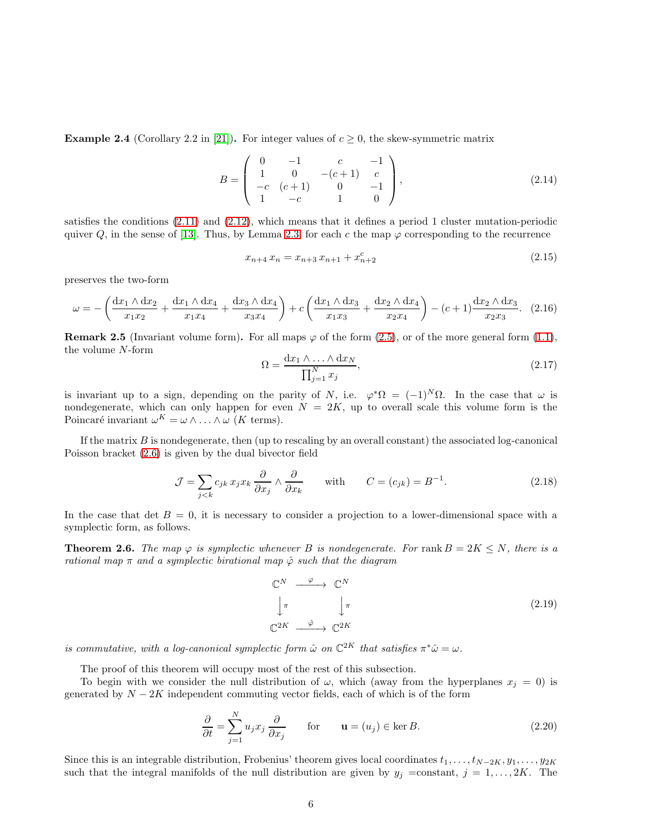**Example 2.4** (Corollary 2.2 in [\[21\]](#page-48-7)). For integer values of  $c \ge 0$ , the skew-symmetric matrix

$$
B = \begin{pmatrix} 0 & -1 & c & -1 \\ 1 & 0 & -(c+1) & c \\ -c & (c+1) & 0 & -1 \\ 1 & -c & 1 & 0 \end{pmatrix},
$$
 (2.14)

satisfies the conditions [\(2.11\)](#page-4-1) and [\(2.12\)](#page-4-2), which means that it defines a period 1 cluster mutation-periodic quiver Q, in the sense of [\[13\]](#page-47-1). Thus, by Lemma [2.3,](#page-4-0) for each c the map  $\varphi$  corresponding to the recurrence

<span id="page-6-0"></span>
$$
x_{n+4} x_n = x_{n+3} x_{n+1} + x_{n+2}^c \tag{2.15}
$$

preserves the two-form

$$
\omega = -\left(\frac{dx_1 \wedge dx_2}{x_1 x_2} + \frac{dx_1 \wedge dx_4}{x_1 x_4} + \frac{dx_3 \wedge dx_4}{x_3 x_4}\right) + c\left(\frac{dx_1 \wedge dx_3}{x_1 x_3} + \frac{dx_2 \wedge dx_4}{x_2 x_4}\right) - (c+1)\frac{dx_2 \wedge dx_3}{x_2 x_3}.
$$
 (2.16)

<span id="page-6-2"></span>**Remark 2.5** (Invariant volume form). For all maps  $\varphi$  of the form [\(2.5\)](#page-3-0), or of the more general form [\(1.1\)](#page-0-0), the volume N-form

$$
\Omega = \frac{\mathrm{d}x_1 \wedge \ldots \wedge \mathrm{d}x_N}{\prod_{j=1}^N x_j},\tag{2.17}
$$

is invariant up to a sign, depending on the parity of N, i.e.  $\varphi^*\Omega = (-1)^N \Omega$ . In the case that  $\omega$  is nondegenerate, which can only happen for even  $N = 2K$ , up to overall scale this volume form is the Poincaré invariant  $\omega^K = \omega \wedge \ldots \wedge \omega$  (*K* terms).

If the matrix  $B$  is nondegenerate, then (up to rescaling by an overall constant) the associated log-canonical Poisson bracket [\(2.6\)](#page-3-2) is given by the dual bivector field

<span id="page-6-1"></span>
$$
\mathcal{J} = \sum_{j < k} c_{jk} \, x_j x_k \, \frac{\partial}{\partial x_j} \wedge \frac{\partial}{\partial x_k} \qquad \text{with} \qquad C = (c_{jk}) = B^{-1}.\tag{2.18}
$$

In the case that det  $B = 0$ , it is necessary to consider a projection to a lower-dimensional space with a symplectic form, as follows.

**Theorem 2.6.** The map  $\varphi$  is symplectic whenever B is nondegenerate. For rank  $B = 2K \leq N$ , there is a rational map  $\pi$  and a symplectic birational map  $\hat{\varphi}$  such that the diagram

$$
\begin{array}{ccc}\n\mathbb{C}^{N} & \xrightarrow{\varphi} & \mathbb{C}^{N} \\
\downarrow \pi & & \downarrow \pi \\
\mathbb{C}^{2K} & \xrightarrow{\hat{\varphi}} & \mathbb{C}^{2K}\n\end{array} \tag{2.19}
$$

is commutative, with a log-canonical symplectic form  $\hat{\omega}$  on  $\mathbb{C}^{2K}$  that satisfies  $\pi^*\hat{\omega} = \omega$ .

The proof of this theorem will occupy most of the rest of this subsection.

To begin with we consider the null distribution of  $\omega$ , which (away from the hyperplanes  $x_i = 0$ ) is generated by  $N - 2K$  independent commuting vector fields, each of which is of the form

$$
\frac{\partial}{\partial t} = \sum_{j=1}^{N} u_j x_j \frac{\partial}{\partial x_j} \quad \text{for} \quad \mathbf{u} = (u_j) \in \ker B. \tag{2.20}
$$

<span id="page-6-3"></span>Since this is an integrable distribution, Frobenius' theorem gives local coordinates  $t_1, \ldots, t_{N-2K}, y_1, \ldots, y_{2K}$ such that the integral manifolds of the null distribution are given by  $y_j = constant$ ,  $j = 1, ..., 2K$ . The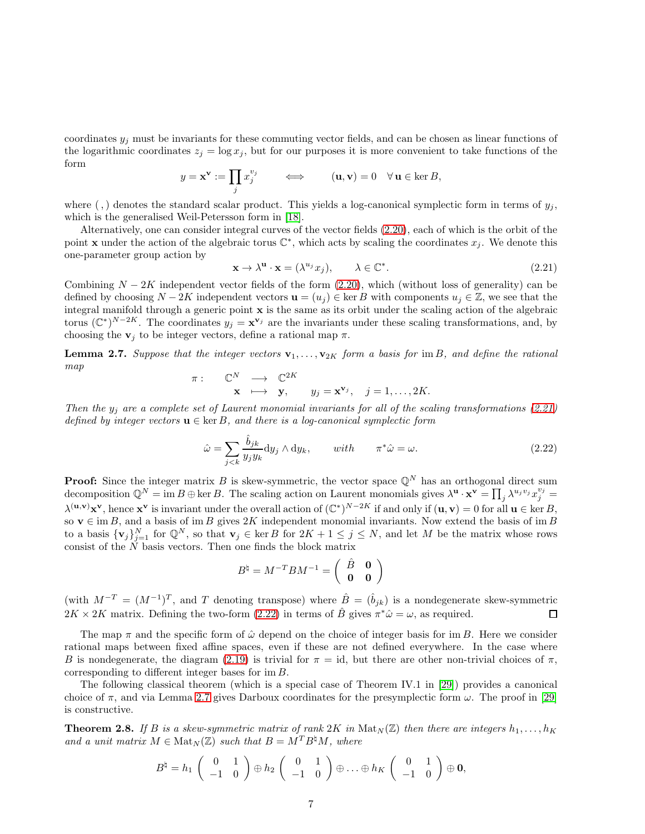coordinates  $y_j$  must be invariants for these commuting vector fields, and can be chosen as linear functions of the logarithmic coordinates  $z_j = \log x_j$ , but for our purposes it is more convenient to take functions of the form

$$
y = \mathbf{x}^{\mathbf{v}} := \prod_j x_j^{v_j} \qquad \Longleftrightarrow \qquad (\mathbf{u}, \mathbf{v}) = 0 \quad \forall \, \mathbf{u} \in \ker B,
$$

where (,) denotes the standard scalar product. This yields a log-canonical symplectic form in terms of  $y_i$ , which is the generalised Weil-Petersson form in [\[18\]](#page-48-3).

Alternatively, one can consider integral curves of the vector fields [\(2.20\)](#page-5-1), each of which is the orbit of the point **x** under the action of the algebraic torus  $\mathbb{C}^*$ , which acts by scaling the coordinates  $x_j$ . We denote this one-parameter group action by

$$
\mathbf{x} \to \lambda^{\mathbf{u}} \cdot \mathbf{x} = (\lambda^{u_j} x_j), \qquad \lambda \in \mathbb{C}^*.
$$
 (2.21)

<span id="page-7-1"></span>Combining  $N - 2K$  independent vector fields of the form [\(2.20\)](#page-5-1), which (without loss of generality) can be defined by choosing  $N-2K$  independent vectors  $\mathbf{u} = (u_j) \in \text{ker } B$  with components  $u_j \in \mathbb{Z}$ , we see that the integral manifold through a generic point  $x$  is the same as its orbit under the scaling action of the algebraic torus  $(\mathbb{C}^*)^{N-2K}$ . The coordinates  $y_j = \mathbf{x}^{\mathbf{v}_j}$  are the invariants under these scaling transformations, and, by choosing the  $v_j$  to be integer vectors, define a rational map  $\pi$ .

**Lemma 2.7.** Suppose that the integer vectors  $\mathbf{v}_1, \ldots, \mathbf{v}_{2K}$  form a basis for im B, and define the rational map

$$
\begin{array}{rcl}\n\pi: & \mathbb{C}^N & \longrightarrow & \mathbb{C}^{2K} \\
\mathbf{x} & \longmapsto & \mathbf{y}, \qquad y_j = \mathbf{x}^{\mathbf{v}_j}, \quad j = 1, \ldots, 2K.\n\end{array}
$$

Then the  $y_j$  are a complete set of Laurent monomial invariants for all of the scaling transformations [\(2.21\)](#page-6-0) defined by integer vectors  $\mathbf{u} \in \text{ker } B$ , and there is a log-canonical symplectic form

$$
\hat{\omega} = \sum_{j < k} \frac{\hat{b}_{jk}}{y_j y_k} \, \mathrm{d}y_j \wedge \mathrm{d}y_k, \qquad with \qquad \pi^* \hat{\omega} = \omega. \tag{2.22}
$$

**Proof:** Since the integer matrix B is skew-symmetric, the vector space  $\mathbb{Q}^N$  has an orthogonal direct sum decomposition  $\mathbb{Q}^N = \text{im } B \oplus \ker B$ . The scaling action on Laurent monomials gives  $\lambda^{\mathbf{u}} \cdot \mathbf{x}^{\mathbf{v}} = \prod_j \lambda^{u_j v_j} x_j^{v_j} =$  $\lambda^{(\mathbf{u},\mathbf{v})}\mathbf{x}^{\mathbf{v}},$  hence  $\mathbf{x}^{\mathbf{v}}$  is invariant under the overall action of  $(\mathbb{C}^*)^{N-2K}$  if and only if  $(\mathbf{u},\mathbf{v})=0$  for all  $\mathbf{u}\in \text{ker }B$ , so  $\mathbf{v} \in \text{im } B$ , and a basis of im B gives 2K independent monomial invariants. Now extend the basis of im B to a basis  $\{v_j\}_{j=1}^N$  for  $\mathbb{Q}^N$ , so that  $v_j \in \text{ker } B$  for  $2K + 1 \le j \le N$ , and let M be the matrix whose rows consist of the  $\tilde{N}$  basis vectors. Then one finds the block matrix

<span id="page-7-0"></span>
$$
B^{\natural} = M^{-T} B M^{-1} = \left( \begin{array}{cc} \hat{B} & \mathbf{0} \\ \mathbf{0} & \mathbf{0} \end{array} \right)
$$

(with  $M^{-T} = (M^{-1})^T$ , and T denoting transpose) where  $\hat{B} = (\hat{b}_{jk})$  is a nondegenerate skew-symmetric  $2K \times 2K$  matrix. Defining the two-form [\(2.22\)](#page-6-1) in terms of  $\hat{B}$  gives  $\pi^* \hat{\omega} = \omega$ , as required.  $\Box$ 

The map  $\pi$  and the specific form of  $\hat{\omega}$  depend on the choice of integer basis for im B. Here we consider rational maps between fixed affine spaces, even if these are not defined everywhere. In the case where B is nondegenerate, the diagram [\(2.19\)](#page-5-2) is trivial for  $\pi = id$ , but there are other non-trivial choices of  $\pi$ , corresponding to different integer bases for im B.

The following classical theorem (which is a special case of Theorem IV.1 in [\[29\]](#page-48-8)) provides a canonical choice of  $\pi$ , and via Lemma [2.7](#page-6-2) gives Darboux coordinates for the presymplectic form  $\omega$ . The proof in [\[29\]](#page-48-8) is constructive.

**Theorem 2.8.** If B is a skew-symmetric matrix of rank  $2K$  in  $\text{Mat}_N(\mathbb{Z})$  then there are integers  $h_1, \ldots, h_K$ and a unit matrix  $M \in \text{Mat}_N(\mathbb{Z})$  such that  $B = M^T B^{\natural} M$ , where

$$
B^{\natural} = h_1 \begin{pmatrix} 0 & 1 \\ -1 & 0 \end{pmatrix} \oplus h_2 \begin{pmatrix} 0 & 1 \\ -1 & 0 \end{pmatrix} \oplus \ldots \oplus h_K \begin{pmatrix} 0 & 1 \\ -1 & 0 \end{pmatrix} \oplus \mathbf{0},
$$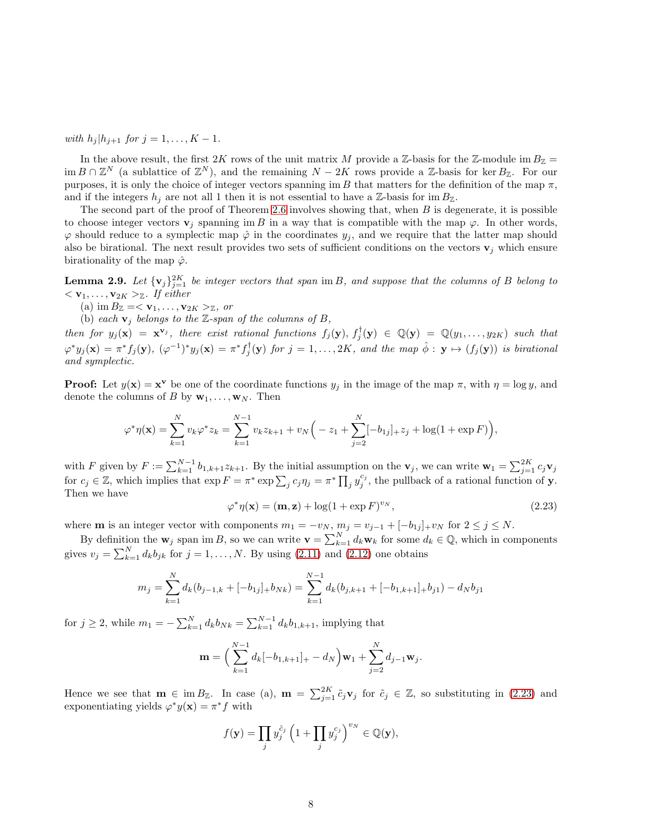with  $h_j | h_{j+1}$  for  $j = 1, ..., K - 1$ .

In the above result, the first 2K rows of the unit matrix M provide a Z-basis for the Z-module im  $B_{\mathbb{Z}} =$  $\dim B \cap \mathbb{Z}^N$  (a sublattice of  $\mathbb{Z}^N$ ), and the remaining  $N - 2K$  rows provide a  $\mathbb{Z}$ -basis for ker  $B_{\mathbb{Z}}$ . For our purposes, it is only the choice of integer vectors spanning im B that matters for the definition of the map  $\pi$ , and if the integers  $h_i$  are not all 1 then it is not essential to have a Z-basis for im  $B_{\mathbb{Z}}$ .

The second part of the proof of Theorem [2.6](#page-5-0) involves showing that, when  $B$  is degenerate, it is possible to choose integer vectors  $\mathbf{v}_i$  spanning im B in a way that is compatible with the map  $\varphi$ . In other words,  $\varphi$  should reduce to a symplectic map  $\hat{\varphi}$  in the coordinates  $y_j$ , and we require that the latter map should also be birational. The next result provides two sets of sufficient conditions on the vectors  $\mathbf{v}_j$  which ensure birationality of the map  $\hat{\varphi}$ .

**Lemma 2.9.** Let  $\{v_j\}_{j=1}^{2K}$  be integer vectors that span im B, and suppose that the columns of B belong to  $<$  **v**<sub>1</sub>, ..., **v**<sub>2</sub> $K$  ><sub> $\mathbb{Z}$ *.* If either</sub>

(a) im  $B_{\mathbb{Z}} = \langle \mathbf{v}_1, \ldots, \mathbf{v}_{2K} \rangle_{\mathbb{Z}}$ , or

(b) each  $\mathbf{v}_i$  belongs to the Z-span of the columns of B,

then for  $y_j(\mathbf{x}) = \mathbf{x}^{\mathbf{v}_j}$ , there exist rational functions  $f_j(\mathbf{y}), f_j^{\dagger}(\mathbf{y}) \in \mathbb{Q}(\mathbf{y}) = \mathbb{Q}(y_1, \ldots, y_{2K})$  such that  $\varphi^* y_j(\mathbf{x}) = \pi^* f_j(\mathbf{y}), \ (\varphi^{-1})^* y_j(\mathbf{x}) = \pi^* f_j^{\dagger}(\mathbf{y}) \ \textit{for} \ j = 1, \ldots, 2K, \ \textit{and the map} \ \hat{\phi}: \ \mathbf{y} \mapsto (f_j(\mathbf{y})) \ \textit{is birational}$ and symplectic.

<span id="page-8-0"></span>**Proof:** Let  $y(\mathbf{x}) = \mathbf{x}^{\mathbf{v}}$  be one of the coordinate functions  $y_j$  in the image of the map  $\pi$ , with  $\eta = \log y$ , and denote the columns of B by  $\mathbf{w}_1, \ldots, \mathbf{w}_N$ . Then

$$
\varphi^* \eta(\mathbf{x}) = \sum_{k=1}^N v_k \varphi^* z_k = \sum_{k=1}^{N-1} v_k z_{k+1} + v_N \Big( -z_1 + \sum_{j=2}^N [-b_{1j}]_+ z_j + \log(1 + \exp F) \Big),
$$

with F given by  $F := \sum_{k=1}^{N-1} b_{1,k+1} z_{k+1}$ . By the initial assumption on the  $\mathbf{v}_j$ , we can write  $\mathbf{w}_1 = \sum_{j=1}^{2K} c_j \mathbf{v}_j$ for  $c_j \in \mathbb{Z}$ , which implies that  $\exp F = \pi^* \exp \sum_j c_j \eta_j = \pi^* \prod_j y_j^{c_j}$ , the pullback of a rational function of y. Then we have

<span id="page-8-3"></span><span id="page-8-2"></span>
$$
\varphi^* \eta(\mathbf{x}) = (\mathbf{m}, \mathbf{z}) + \log(1 + \exp F)^{v_N}, \qquad (2.23)
$$

where **m** is an integer vector with components  $m_1 = -v_N$ ,  $m_j = v_{j-1} + [-b_{1j}]_+v_N$  for  $2 \le j \le N$ .

By definition the  $\mathbf{w}_j$  span im B, so we can write  $\mathbf{v} = \sum_{k=1}^N d_k \mathbf{w}_k$  for some  $d_k \in \mathbb{Q}$ , which in components gives  $v_j = \sum_{k=1}^{N} d_k b_{jk}$  for  $j = 1, ..., N$ . By using [\(2.11\)](#page-4-1) and [\(2.12\)](#page-4-2) one obtains

$$
m_j = \sum_{k=1}^{N} d_k(b_{j-1,k} + [-b_{1j}]_{+} b_{Nk}) = \sum_{k=1}^{N-1} d_k(b_{j,k+1} + [-b_{1,k+1}]_{+} b_{j1}) - d_N b_{j1}
$$

for  $j \ge 2$ , while  $m_1 = -\sum_{k=1}^{N} d_k b_{Nk} = \sum_{k=1}^{N-1} d_k b_{1,k+1}$ , implying that

<span id="page-8-1"></span>
$$
\mathbf{m} = \left(\sum_{k=1}^{N-1} d_k[-b_{1,k+1}]_+ - d_N\right) \mathbf{w}_1 + \sum_{j=2}^{N} d_{j-1} \mathbf{w}_j.
$$

<span id="page-8-5"></span>Hence we see that  $\mathbf{m} \in \text{im } B_{\mathbb{Z}}$ . In case (a),  $\mathbf{m} = \sum_{j=1}^{2K} \tilde{c}_j \mathbf{v}_j$  for  $\tilde{c}_j \in \mathbb{Z}$ , so substituting in [\(2.23\)](#page-7-0) and exponentiating yields  $\varphi^* y(\mathbf{x}) = \pi^* f$  with

<span id="page-8-4"></span>
$$
f(\mathbf{y}) = \prod_j y_j^{\tilde{c}_j} \left( 1 + \prod_j y_j^{c_j} \right)^{v_N} \in \mathbb{Q}(\mathbf{y}),
$$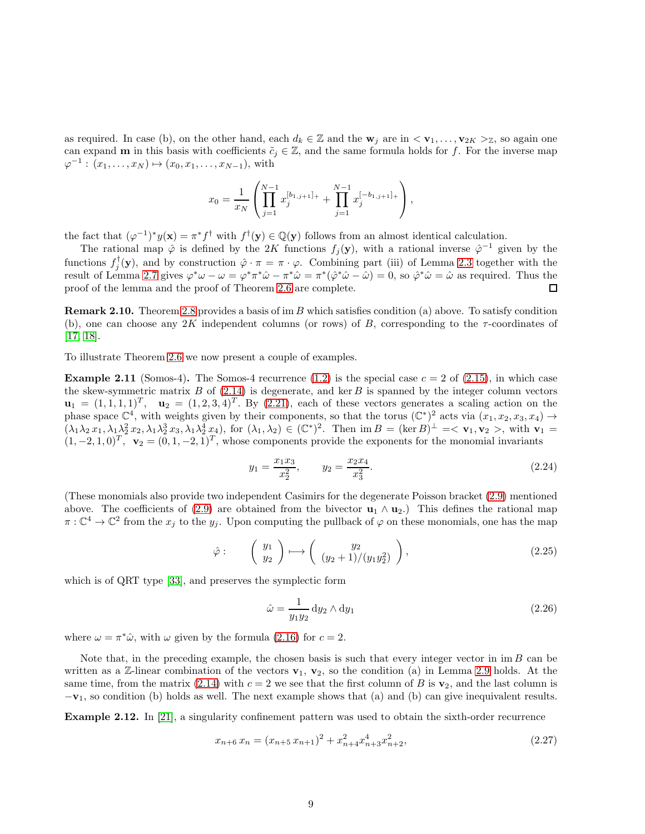as required. In case (b), on the other hand, each  $d_k \in \mathbb{Z}$  and the  $\mathbf{w}_j$  are in  $\langle \mathbf{v}_1, \ldots, \mathbf{v}_{2K} \rangle_{\mathbb{Z}}$ , so again one can expand **m** in this basis with coefficients  $\tilde{c}_j \in \mathbb{Z}$ , and the same formula holds for f. For the inverse map  $\varphi^{-1} : (x_1, \ldots, x_N) \mapsto (x_0, x_1, \ldots, x_{N-1}),$  with

<span id="page-9-1"></span>
$$
x_0 = \frac{1}{x_N} \left( \prod_{j=1}^{N-1} x_j^{[b_{1,j+1}]} + \prod_{j=1}^{N-1} x_j^{[-b_{1,j+1}]} \right),
$$

the fact that  $(\varphi^{-1})^* y(\mathbf{x}) = \pi^* f^{\dagger}$  with  $f^{\dagger}(\mathbf{y}) \in \mathbb{Q}(\mathbf{y})$  follows from an almost identical calculation.

The rational map  $\hat{\varphi}$  is defined by the 2K functions  $f_j(\mathbf{y})$ , with a rational inverse  $\hat{\varphi}^{-1}$  given by the functions  $f_j^{\dagger}(\mathbf{y})$ , and by construction  $\hat{\varphi} \cdot \pi = \pi \cdot \varphi$ . Combining part (iii) of Lemma [2.3](#page-4-0) together with the result of Lemma [2.7](#page-6-2) gives  $\varphi^* \omega - \omega = \varphi^* \pi^* \hat{\omega} - \pi^* \hat{\omega} = \pi^* (\hat{\varphi}^* \hat{\omega} - \hat{\omega}) = 0$ , so  $\hat{\varphi}^* \hat{\omega} = \hat{\omega}$  as required. Thus the proof of the lemma and the proof of Theorem [2.6](#page-5-0) are complete.  $\Box$ 

**Remark 2.10.** Theorem [2.8](#page-6-3) provides a basis of im B which satisfies condition (a) above. To satisfy condition (b), one can choose any 2K independent columns (or rows) of B, corresponding to the  $\tau$ -coordinates of [\[17,](#page-48-6) [18\]](#page-48-3).

To illustrate Theorem [2.6](#page-5-0) we now present a couple of examples.

**Example 2.11** (Somos-4). The Somos-4 recurrence  $(1.2)$  is the special case  $c = 2$  of  $(2.15)$ , in which case the skew-symmetric matrix  $B$  of [\(2.14\)](#page-5-4) is degenerate, and ker  $B$  is spanned by the integer column vectors  $\mathbf{u}_1 = (1, 1, 1, 1)^T$ ,  $\mathbf{u}_2 = (1, 2, 3, 4)^T$ . By  $(2.21)$ , each of these vectors generates a scaling action on the phase space  $\mathbb{C}^4$ , with weights given by their components, so that the torus  $(\mathbb{C}^*)^2$  acts via  $(x_1, x_2, x_3, x_4) \rightarrow$  $(\lambda_1\lambda_2 x_1, \lambda_1\lambda_2^2 x_2, \lambda_1\lambda_2^3 x_3, \lambda_1\lambda_2^4 x_4)$ , for  $(\lambda_1, \lambda_2) \in (\mathbb{C}^*)^2$ . Then  $\text{im } B = (\text{ker } B)^{\perp} = \langle \mathbf{v}_1, \mathbf{v}_2 \rangle$ , with  $\mathbf{v}_1 =$  $(1, -2, 1, 0)^T$ ,  $\mathbf{v}_2 = (0, 1, -2, 1)^T$ , whose components provide the exponents for the monomial invariants

$$
y_1 = \frac{x_1 x_3}{x_2^2}, \qquad y_2 = \frac{x_2 x_4}{x_3^2}.
$$
 (2.24)

<span id="page-9-0"></span>(These monomials also provide two independent Casimirs for the degenerate Poisson bracket [\(2.9\)](#page-4-3) mentioned above. The coefficients of [\(2.9\)](#page-4-3) are obtained from the bivector  $\mathbf{u}_1 \wedge \mathbf{u}_2$ .) This defines the rational map  $\pi:\mathbb{C}^4\to\mathbb{C}^2$  from the  $x_j$  to the  $y_j$ . Upon computing the pullback of  $\varphi$  on these monomials, one has the map

$$
\hat{\varphi} : \qquad \left( \begin{array}{c} y_1 \\ y_2 \end{array} \right) \longmapsto \left( \begin{array}{c} y_2 \\ (y_2 + 1)/(y_1 y_2^2) \end{array} \right), \tag{2.25}
$$

which is of QRT type [\[33\]](#page-48-9), and preserves the symplectic form

$$
\hat{\omega} = \frac{1}{y_1 y_2} \mathrm{d} y_2 \wedge \mathrm{d} y_1 \tag{2.26}
$$

where  $\omega = \pi^* \hat{\omega}$ , with  $\omega$  given by the formula [\(2.16\)](#page-5-5) for  $c = 2$ .

Note that, in the preceding example, the chosen basis is such that every integer vector in  $\text{im } B$  can be written as a Z-linear combination of the vectors  $v_1$ ,  $v_2$ , so the condition (a) in Lemma [2.9](#page-7-1) holds. At the same time, from the matrix [\(2.14\)](#page-5-4) with  $c = 2$  we see that the first column of B is  $\mathbf{v}_2$ , and the last column is  $-v_1$ , so condition (b) holds as well. The next example shows that (a) and (b) can give inequivalent results.

Example 2.12. In [\[21\]](#page-48-7), a singularity confinement pattern was used to obtain the sixth-order recurrence

$$
x_{n+6} x_n = (x_{n+5} x_{n+1})^2 + x_{n+4}^2 x_{n+3}^4 x_{n+2}^2,
$$
\n(2.27)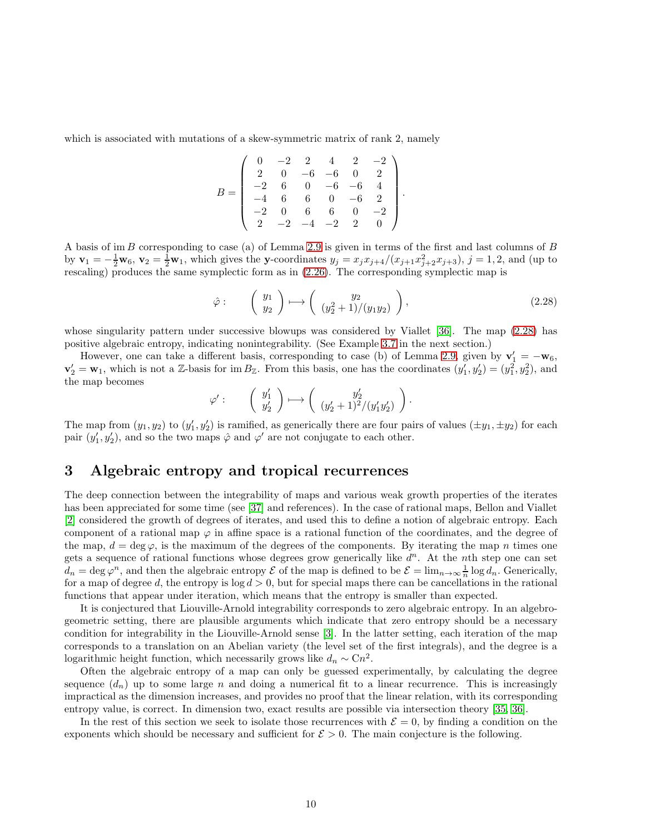<span id="page-10-4"></span>which is associated with mutations of a skew-symmetric matrix of rank 2, namely

<span id="page-10-3"></span>
$$
B = \begin{pmatrix} 0 & -2 & 2 & 4 & 2 & -2 \\ 2 & 0 & -6 & -6 & 0 & 2 \\ -2 & 6 & 0 & -6 & -6 & 4 \\ -4 & 6 & 6 & 0 & -6 & 2 \\ -2 & 0 & 6 & 6 & 0 & -2 \\ 2 & -2 & -4 & -2 & 2 & 0 \end{pmatrix}.
$$

A basis of im B corresponding to case (a) of Lemma [2.9](#page-7-1) is given in terms of the first and last columns of B by  $\mathbf{v}_1 = -\frac{1}{2}\mathbf{w}_6, \mathbf{v}_2 = \frac{1}{2}\mathbf{w}_1$ , which gives the y-coordinates  $y_j = x_j x_{j+4}/(x_{j+1}x_{j+2}^2 x_{j+3}), j = 1, 2$ , and (up to rescaling) produces the same symplectic form as in  $(2.26)$ . The corresponding symplectic map is

<span id="page-10-5"></span>
$$
\hat{\varphi} : \qquad \left( \begin{array}{c} y_1 \\ y_2 \end{array} \right) \longmapsto \left( \begin{array}{c} y_2 \\ (y_2^2 + 1)/(y_1 y_2) \end{array} \right), \tag{2.28}
$$

whose singularity pattern under successive blowups was considered by Viallet [\[36\]](#page-48-10). The map  $(2.28)$  has positive algebraic entropy, indicating nonintegrability. (See Example [3.7](#page-11-0) in the next section.)

However, one can take a different basis, corresponding to case (b) of Lemma [2.9,](#page-7-1) given by  $\mathbf{v}'_1 = -\mathbf{w}_6$ ,  $\mathbf{v}'_2 = \mathbf{w}_1$ , which is not a Z-basis for im  $B_{\mathbb{Z}}$ . From this basis, one has the coordinates  $(y'_1, y'_2) = (y_1^2, y_2^2)$ , and the map becomes

$$
\varphi': \qquad \left(\begin{array}{c} y'_1 \\ y'_2 \end{array}\right) \longmapsto \left(\begin{array}{c} y'_2 \\ (y'_2+1)^2/(y'_1y'_2) \end{array}\right).
$$

The map from  $(y_1, y_2)$  to  $(y'_1, y'_2)$  is ramified, as generically there are four pairs of values  $(\pm y_1, \pm y_2)$  for each pair  $(y'_1, y'_2)$ , and so the two maps  $\hat{\varphi}$  and  $\varphi'$  are not conjugate to each other.

## 3 Algebraic entropy and tropical recurrences

<span id="page-10-2"></span><span id="page-10-1"></span>The deep connection between the integrability of maps and various weak growth properties of the iterates has been appreciated for some time (see [\[37\]](#page-48-2) and references). In the case of rational maps, Bellon and Viallet [\[2\]](#page-47-2) considered the growth of degrees of iterates, and used this to define a notion of algebraic entropy. Each component of a rational map  $\varphi$  in affine space is a rational function of the coordinates, and the degree of the map,  $d = \deg \varphi$ , is the maximum of the degrees of the components. By iterating the map n times one gets a sequence of rational functions whose degrees grow generically like  $d^n$ . At the nth step one can set  $d_n = \deg \varphi^n$ , and then the algebraic entropy  $\mathcal E$  of the map is defined to be  $\mathcal E = \lim_{n\to\infty} \frac{1}{n} \log d_n$ . Generically, for a map of degree d, the entropy is  $\log d > 0$ , but for special maps there can be cancellations in the rational functions that appear under iteration, which means that the entropy is smaller than expected.

<span id="page-10-0"></span>It is conjectured that Liouville-Arnold integrability corresponds to zero algebraic entropy. In an algebrogeometric setting, there are plausible arguments which indicate that zero entropy should be a necessary condition for integrability in the Liouville-Arnold sense [\[3\]](#page-47-5). In the latter setting, each iteration of the map corresponds to a translation on an Abelian variety (the level set of the first integrals), and the degree is a logarithmic height function, which necessarily grows like  $d_n \sim \text{C}n^2$ .

Often the algebraic entropy of a map can only be guessed experimentally, by calculating the degree sequence  $(d_n)$  up to some large n and doing a numerical fit to a linear recurrence. This is increasingly impractical as the dimension increases, and provides no proof that the linear relation, with its corresponding entropy value, is correct. In dimension two, exact results are possible via intersection theory [\[35,](#page-48-11) [36\]](#page-48-10).

In the rest of this section we seek to isolate those recurrences with  $\mathcal{E} = 0$ , by finding a condition on the exponents which should be necessary and sufficient for  $\mathcal{E} > 0$ . The main conjecture is the following.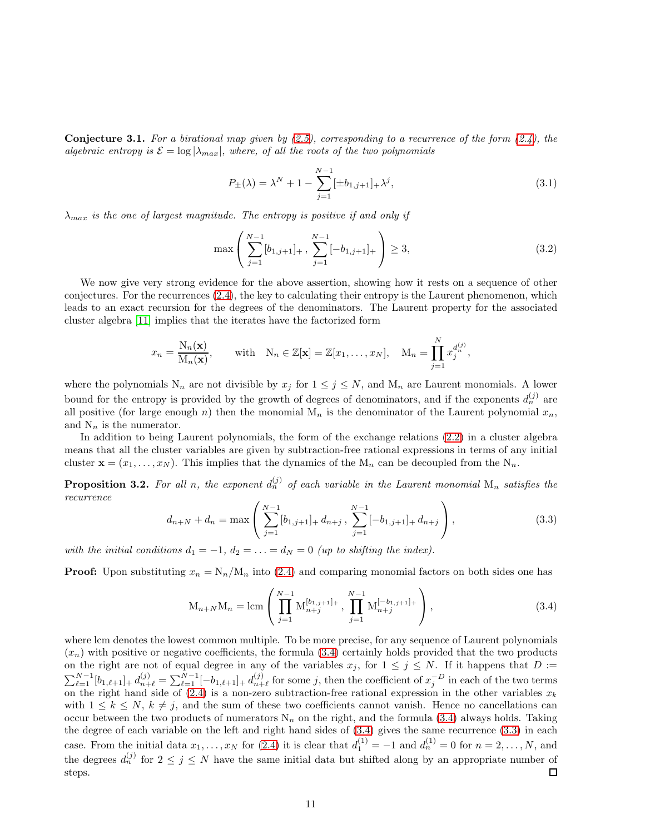**Conjecture 3.1.** For a birational map given by  $(2.5)$ , corresponding to a recurrence of the form  $(2.4)$ , the algebraic entropy is  $\mathcal{E} = \log |\lambda_{max}|$ , where, of all the roots of the two polynomials

$$
P_{\pm}(\lambda) = \lambda^N + 1 - \sum_{j=1}^{N-1} [\pm b_{1,j+1}]_{+} \lambda^j,
$$
\n(3.1)

 $\lambda_{max}$  is the one of largest magnitude. The entropy is positive if and only if

<span id="page-11-4"></span>
$$
\max\left(\sum_{j=1}^{N-1} [b_{1,j+1}]_+, \sum_{j=1}^{N-1} [-b_{1,j+1}]_+\right) \ge 3,
$$
\n(3.2)

<span id="page-11-5"></span>We now give very strong evidence for the above assertion, showing how it rests on a sequence of other conjectures. For the recurrences [\(2.4\)](#page-2-1), the key to calculating their entropy is the Laurent phenomenon, which leads to an exact recursion for the degrees of the denominators. The Laurent property for the associated cluster algebra [\[11\]](#page-47-6) implies that the iterates have the factorized form

$$
x_n = \frac{N_n(\mathbf{x})}{M_n(\mathbf{x})}, \quad \text{with} \quad N_n \in \mathbb{Z}[\mathbf{x}] = \mathbb{Z}[x_1, \dots, x_N], \quad M_n = \prod_{j=1}^N x_j^{d_n^{(j)}},
$$

where the polynomials  $N_n$  are not divisible by  $x_j$  for  $1 \leq j \leq N$ , and  $M_n$  are Laurent monomials. A lower bound for the entropy is provided by the growth of degrees of denominators, and if the exponents  $d_n^{(j)}$  are all positive (for large enough n) then the monomial  $M_n$  is the denominator of the Laurent polynomial  $x_n$ , and  $N_n$  is the numerator.

In addition to being Laurent polynomials, the form of the exchange relations [\(2.2\)](#page-2-2) in a cluster algebra means that all the cluster variables are given by subtraction-free rational expressions in terms of any initial cluster  $\mathbf{x} = (x_1, \dots, x_N)$ . This implies that the dynamics of the  $M_n$  can be decoupled from the  $N_n$ .

**Proposition 3.2.** For all n, the exponent  $d_n^{(j)}$  of each variable in the Laurent monomial  $M_n$  satisfies the recurrence

<span id="page-11-1"></span>
$$
d_{n+N} + d_n = \max\left(\sum_{j=1}^{N-1} [b_{1,j+1}]_+ d_{n+j}, \sum_{j=1}^{N-1} [-b_{1,j+1}]_+ d_{n+j}\right),\tag{3.3}
$$

with the initial conditions  $d_1 = -1$ ,  $d_2 = \ldots = d_N = 0$  (up to shifting the index).

**Proof:** Upon substituting  $x_n = N_n/M_n$  into [\(2.4\)](#page-2-1) and comparing monomial factors on both sides one has

<span id="page-11-3"></span><span id="page-11-2"></span>
$$
M_{n+N}M_n = \text{lcm}\left(\prod_{j=1}^{N-1} M_{n+j}^{[b_{1,j+1}]_+}, \prod_{j=1}^{N-1} M_{n+j}^{[-b_{1,j+1}]_+}\right),\tag{3.4}
$$

<span id="page-11-0"></span>where lcm denotes the lowest common multiple. To be more precise, for any sequence of Laurent polynomials  $(x_n)$  with positive or negative coefficients, the formula [\(3.4\)](#page-10-0) certainly holds provided that the two products on the right are not of equal degree in any of the variables  $x_j$ , for  $1 \leq j \leq N$ . If it happens that  $D :=$  $\sum_{\ell=1}^{N-1} [b_{1,\ell+1}]_+ d_{n+\ell}^{(j)} = \sum_{\ell=1}^{N-1} [-b_{1,\ell+1}]_+ d_{n+\ell}^{(j)}$  $j_{n+\ell}^{(j)}$  for some j, then the coefficient of  $x_j^{-D}$  in each of the two terms on the right hand side of [\(2.4\)](#page-2-1) is a non-zero subtraction-free rational expression in the other variables  $x_k$ with  $1 \leq k \leq N$ ,  $k \neq j$ , and the sum of these two coefficients cannot vanish. Hence no cancellations can occur between the two products of numerators  $N_n$  on the right, and the formula [\(3.4\)](#page-10-0) always holds. Taking the degree of each variable on the left and right hand sides of [\(3.4\)](#page-10-0) gives the same recurrence [\(3.3\)](#page-10-1) in each case. From the initial data  $x_1, \ldots, x_N$  for [\(2.4\)](#page-2-1) it is clear that  $d_1^{(1)} = -1$  and  $d_n^{(1)} = 0$  for  $n = 2, \ldots, N$ , and the degrees  $d_n^{(j)}$  for  $2 \leq j \leq N$  have the same initial data but shifted along by an appropriate number of steps.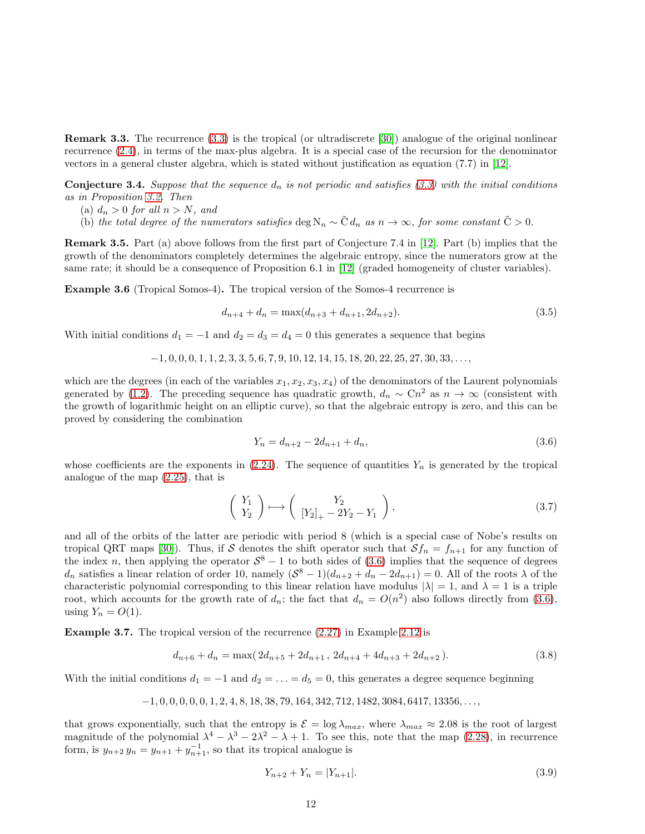Remark 3.3. The recurrence [\(3.3\)](#page-10-1) is the tropical (or ultradiscrete [\[30\]](#page-48-12)) analogue of the original nonlinear recurrence [\(2.4\)](#page-2-1), in terms of the max-plus algebra. It is a special case of the recursion for the denominator vectors in a general cluster algebra, which is stated without justification as equation (7.7) in [\[12\]](#page-47-7).

**Conjecture 3.4.** Suppose that the sequence  $d_n$  is not periodic and satisfies [\(3.3\)](#page-10-1) with the initial conditions as in Proposition [3.2.](#page-10-2) Then

- (a)  $d_n > 0$  for all  $n > N$ , and
- (b) the total degree of the numerators satisfies deg  $N_n \sim \tilde{C} d_n$  as  $n \to \infty$ , for some constant  $\tilde{C} > 0$ .

Remark 3.5. Part (a) above follows from the first part of Conjecture 7.4 in [\[12\]](#page-47-7). Part (b) implies that the growth of the denominators completely determines the algebraic entropy, since the numerators grow at the same rate; it should be a consequence of Proposition 6.1 in [\[12\]](#page-47-7) (graded homogeneity of cluster variables).

Example 3.6 (Tropical Somos-4). The tropical version of the Somos-4 recurrence is

$$
d_{n+4} + d_n = \max(d_{n+3} + d_{n+1}, 2d_{n+2}).
$$
\n(3.5)

<span id="page-12-0"></span>With initial conditions  $d_1 = -1$  and  $d_2 = d_3 = d_4 = 0$  this generates a sequence that begins

$$
-1, 0, 0, 0, 1, 1, 2, 3, 3, 5, 6, 7, 9, 10, 12, 14, 15, 18, 20, 22, 25, 27, 30, 33, \ldots
$$

which are the degrees (in each of the variables  $x_1, x_2, x_3, x_4$ ) of the denominators of the Laurent polynomials generated by [\(1.2\)](#page-0-3). The preceding sequence has quadratic growth,  $d_n \sim Cn^2$  as  $n \to \infty$  (consistent with the growth of logarithmic height on an elliptic curve), so that the algebraic entropy is zero, and this can be proved by considering the combination

$$
Y_n = d_{n+2} - 2d_{n+1} + d_n,\tag{3.6}
$$

<span id="page-12-1"></span>whose coefficients are the exponents in  $(2.24)$ . The sequence of quantities  $Y_n$  is generated by the tropical analogue of the map [\(2.25\)](#page-8-3), that is

<span id="page-12-3"></span>
$$
\begin{pmatrix} Y_1 \\ Y_2 \end{pmatrix} \longmapsto \begin{pmatrix} Y_2 \\ \left[ Y_2 \right]_+ - 2Y_2 - Y_1 \end{pmatrix},\tag{3.7}
$$

and all of the orbits of the latter are periodic with period 8 (which is a special case of Nobe's results on tropical QRT maps [\[30\]](#page-48-12)). Thus, if S denotes the shift operator such that  $Sf_n = f_{n+1}$  for any function of the index n, then applying the operator  $S^8 - 1$  to both sides of [\(3.6\)](#page-11-1) implies that the sequence of degrees  $d_n$  satisfies a linear relation of order 10, namely  $(S^8 - 1)(d_{n+2} + d_n - 2d_{n+1}) = 0$ . All of the roots  $\lambda$  of the characteristic polynomial corresponding to this linear relation have modulus  $|\lambda| = 1$ , and  $\lambda = 1$  is a triple root, which accounts for the growth rate of  $d_n$ ; the fact that  $d_n = O(n^2)$  also follows directly from [\(3.6\)](#page-11-1), using  $Y_n = O(1)$ .

Example 3.7. The tropical version of the recurrence [\(2.27\)](#page-8-4) in Example [2.12](#page-8-5) is

<span id="page-12-2"></span>
$$
d_{n+6} + d_n = \max(2d_{n+5} + 2d_{n+1}, 2d_{n+4} + 4d_{n+3} + 2d_{n+2}).
$$
\n(3.8)

With the initial conditions  $d_1 = -1$  and  $d_2 = \ldots = d_5 = 0$ , this generates a degree sequence beginning

$$
-1, 0, 0, 0, 0, 0, 1, 2, 4, 8, 18, 38, 79, 164, 342, 712, 1482, 3084, 6417, 13356, \ldots,
$$

that grows exponentially, such that the entropy is  $\mathcal{E} = \log \lambda_{max}$ , where  $\lambda_{max} \approx 2.08$  is the root of largest magnitude of the polynomial  $\lambda^4 - \lambda^3 - 2\lambda^2 - \lambda + 1$ . To see this, note that the map [\(2.28\)](#page-9-1), in recurrence form, is  $y_{n+2} y_n = y_{n+1} + y_{n+1}^{-1}$ , so that its tropical analogue is

$$
Y_{n+2} + Y_n = |Y_{n+1}|.\t\t(3.9)
$$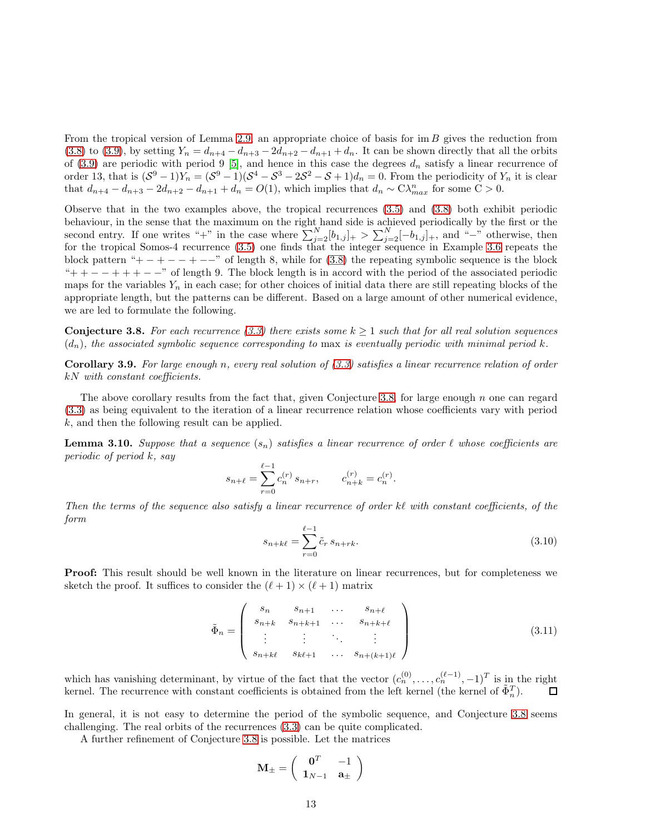From the tropical version of Lemma [2.9,](#page-7-1) an appropriate choice of basis for  $\text{im } B$  gives the reduction from [\(3.8\)](#page-11-2) to [\(3.9\)](#page-11-3), by setting  $Y_n = d_{n+4} - d_{n+3} - 2d_{n+2} - d_{n+1} + d_n$ . It can be shown directly that all the orbits of [\(3.9\)](#page-11-3) are periodic with period 9 [\[5\]](#page-47-8), and hence in this case the degrees  $d_n$  satisfy a linear recurrence of order 13, that is  $(S^9 - 1)Y_n = (S^9 - 1)(S^4 - S^3 - 2S^2 - S + 1)d_n = 0$ . From the periodicity of  $Y_n$  it is clear that  $d_{n+4} - d_{n+3} - 2d_{n+2} - d_{n+1} + d_n = O(1)$ , which implies that  $d_n \sim \mathbb{C} \lambda_{max}^n$  for some  $\mathbb{C} > 0$ .

Observe that in the two examples above, the tropical recurrences [\(3.5\)](#page-11-4) and [\(3.8\)](#page-11-2) both exhibit periodic behaviour, in the sense that the maximum on the right hand side is achieved periodically by the first or the second entry. If one writes "+" in the case where  $\sum_{j=2}^{N} [b_{1,j}]_{+} > \sum_{j=2}^{N} [-b_{1,j}]_{+}$ , and "-" otherwise, then for the tropical Somos-4 recurrence [\(3.5\)](#page-11-4) one finds that the integer sequence in Example [3.6](#page-11-5) repeats the block pattern "+  $-$  +  $-$  +  $-$ " of length 8, while for [\(3.8\)](#page-11-2) the repeating symbolic sequence is the block " $+ + - - + + -$ " of length 9. The block length is in accord with the period of the associated periodic maps for the variables  $Y_n$  in each case; for other choices of initial data there are still repeating blocks of the appropriate length, but the patterns can be different. Based on a large amount of other numerical evidence, we are led to formulate the following.

<span id="page-13-1"></span>**Conjecture 3.8.** For each recurrence [\(3.3\)](#page-10-1) there exists some  $k \ge 1$  such that for all real solution sequences  $(d_n)$ , the associated symbolic sequence corresponding to max is eventually periodic with minimal period k.

**Corollary 3.9.** For large enough n, every real solution of  $(3.3)$  satisfies a linear recurrence relation of order kN with constant coefficients.

The above corollary results from the fact that, given Conjecture [3.8,](#page-12-0) for large enough  $n$  one can regard [\(3.3\)](#page-10-1) as being equivalent to the iteration of a linear recurrence relation whose coefficients vary with period k, and then the following result can be applied.

**Lemma 3.10.** Suppose that a sequence  $(s_n)$  satisfies a linear recurrence of order  $\ell$  whose coefficients are periodic of period k, say

$$
s_{n+\ell} = \sum_{r=0}^{\ell-1} c_n^{(r)} s_{n+r}, \qquad c_{n+k}^{(r)} = c_n^{(r)}.
$$

Then the terms of the sequence also satisfy a linear recurrence of order kℓ with constant coefficients, of the form

$$
s_{n+k\ell} = \sum_{r=0}^{\ell-1} \tilde{c}_r \, s_{n+rk}.\tag{3.10}
$$

Proof: This result should be well known in the literature on linear recurrences, but for completeness we sketch the proof. It suffices to consider the  $(\ell + 1) \times (\ell + 1)$  matrix

$$
\tilde{\Phi}_n = \begin{pmatrix} s_n & s_{n+1} & \dots & s_{n+\ell} \\ s_{n+k} & s_{n+k+1} & \dots & s_{n+k+\ell} \\ \vdots & \vdots & \ddots & \vdots \\ s_{n+k\ell} & s_{k\ell+1} & \dots & s_{n+(k+1)\ell} \end{pmatrix}
$$
 (3.11)

<span id="page-13-0"></span>which has vanishing determinant, by virtue of the fact that the vector  $(c_n^{(0)}, \ldots, c_n^{(\ell-1)}, -1)^T$  is in the right kernel. The recurrence with constant coefficients is obtained from the left kernel (the kernel of  $\tilde{\Phi}_n^T$ ).  $\Box$ 

In general, it is not easy to determine the period of the symbolic sequence, and Conjecture [3.8](#page-12-0) seems challenging. The real orbits of the recurrences [\(3.3\)](#page-10-1) can be quite complicated.

A further refinement of Conjecture [3.8](#page-12-0) is possible. Let the matrices

<span id="page-13-3"></span><span id="page-13-2"></span>
$$
\mathbf{M}_{\pm} = \left(\begin{array}{cc} \mathbf{0}^T & -1 \\ \mathbf{1}_{N-1} & \mathbf{a}_{\pm} \end{array}\right)
$$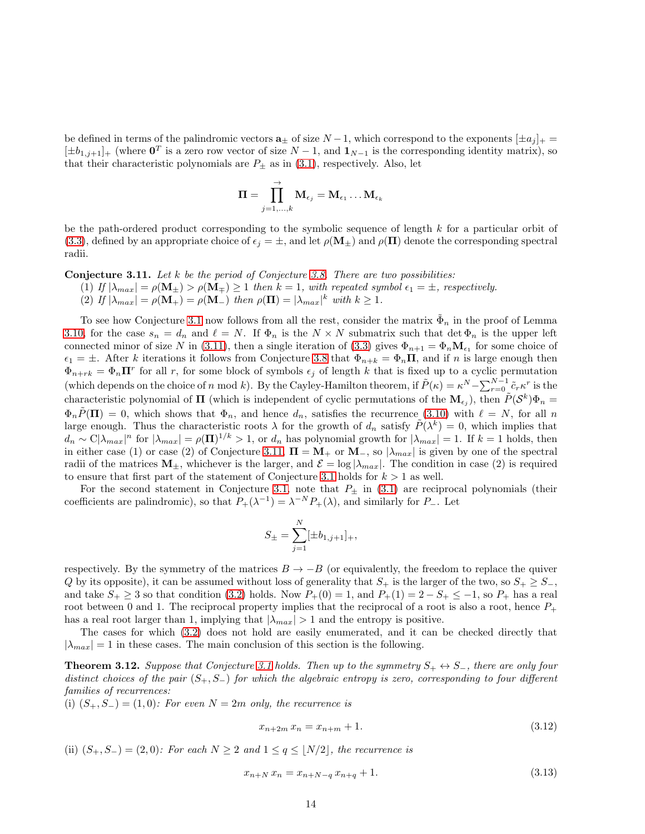be defined in terms of the palindromic vectors  $\mathbf{a}_{\pm}$  of size  $N-1$ , which correspond to the exponents  $[\pm a_j]_+$  $[\pm b_{1,j+1}]_+$  (where  $\mathbf{0}^T$  is a zero row vector of size  $N-1$ , and  $\mathbf{1}_{N-1}$  is the corresponding identity matrix), so that their characteristic polynomials are  $P_{\pm}$  as in [\(3.1\)](#page-10-3), respectively. Also, let

<span id="page-14-4"></span><span id="page-14-3"></span>
$$
\boldsymbol{\Pi} = \prod_{j=1,...,k}^{\rightarrow} \mathbf{M}_{\epsilon_j} = \mathbf{M}_{\epsilon_1} \ldots \mathbf{M}_{\epsilon_k}
$$

be the path-ordered product corresponding to the symbolic sequence of length k for a particular orbit of [\(3.3\)](#page-10-1), defined by an appropriate choice of  $\epsilon_j = \pm$ , and let  $\rho(\mathbf{M}_{\pm})$  and  $\rho(\mathbf{\Pi})$  denote the corresponding spectral radii.

**Conjecture 3.11.** Let k be the period of Conjecture [3.8.](#page-12-0) There are two possibilities:

- (1) If  $|\lambda_{max}| = \rho(\mathbf{M}_{\pm}) > \rho(\mathbf{M}_{\mp}) \ge 1$  then  $k = 1$ , with repeated symbol  $\epsilon_1 = \pm$ , respectively.
	- (2) If  $|\lambda_{max}| = \rho(\mathbf{M}_+) = \rho(\mathbf{M}_-)$  then  $\rho(\mathbf{\Pi}) = |\lambda_{max}|^k$  with  $k \ge 1$ .

<span id="page-14-0"></span>To see how Conjecture [3.1](#page-10-4) now follows from all the rest, consider the matrix  $\tilde{\Phi}_n$  in the proof of Lemma [3.10,](#page-12-1) for the case  $s_n = d_n$  and  $\ell = N$ . If  $\Phi_n$  is the  $N \times N$  submatrix such that  $\det \Phi_n$  is the upper left connected minor of size N in [\(3.11\)](#page-12-2), then a single iteration of [\(3.3\)](#page-10-1) gives  $\Phi_{n+1} = \Phi_n \mathbf{M}_{\epsilon_1}$  for some choice of  $\epsilon_1 = \pm$ . After k iterations it follows from Conjecture [3.8](#page-12-0) that  $\Phi_{n+k} = \Phi_n \Pi$ , and if n is large enough then  $\Phi_{n+rk} = \Phi_n \mathbf{\Pi}^r$  for all r, for some block of symbols  $\epsilon_j$  of length k that is fixed up to a cyclic permutation (which depends on the choice of n mod k). By the Cayley-Hamilton theorem, if  $\tilde{P}(\kappa) = \kappa^N - \sum_{r=0}^{N-1} \tilde{c}_r \kappa^r$  is the characteristic polynomial of  $\Pi$  (which is independent of cyclic permutations of the  $M_{\epsilon_j}$ ), then  $\tilde{P}(S^k)\Phi_n =$  $\Phi_n\tilde{P}(\mathbf{\Pi})=0$ , which shows that  $\Phi_n$ , and hence  $d_n$ , satisfies the recurrence [\(3.10\)](#page-12-3) with  $\ell=N$ , for all n large enough. Thus the characteristic roots  $\lambda$  for the growth of  $d_n$  satisfy  $\tilde{P}(\lambda^k) = 0$ , which implies that  $d_n \sim C |\lambda_{max}|^n$  for  $|\lambda_{max}| = \rho(\mathbf{\Pi})^{1/k} > 1$ , or  $d_n$  has polynomial growth for  $|\lambda_{max}| = 1$ . If  $k = 1$  holds, then in either case (1) or case (2) of Conjecture [3.11,](#page-13-1)  $\Pi = M_+$  or  $M_-,$  so  $|\lambda_{max}|$  is given by one of the spectral radii of the matrices  $M_{\pm}$ , whichever is the larger, and  $\mathcal{E} = \log |\lambda_{max}|$ . The condition in case (2) is required to ensure that first part of the statement of Conjecture [3.1](#page-10-4) holds for  $k > 1$  as well.

For the second statement in Conjecture [3.1,](#page-10-4) note that  $P_{\pm}$  in [\(3.1\)](#page-10-3) are reciprocal polynomials (their coefficients are palindromic), so that  $P_+(\lambda^{-1}) = \lambda^{-N} P_+(\lambda)$ , and similarly for P\_. Let

<span id="page-14-1"></span>
$$
S_{\pm} = \sum_{j=1}^{N} [\pm b_{1,j+1}]_{+},
$$

respectively. By the symmetry of the matrices  $B \to -B$  (or equivalently, the freedom to replace the quiver Q by its opposite), it can be assumed without loss of generality that  $S_+$  is the larger of the two, so  $S_+ \geq S_-$ , and take  $S_+ \geq 3$  so that condition [\(3.2\)](#page-10-5) holds. Now  $P_+(0) = 1$ , and  $P_+(1) = 2 - S_+ \leq -1$ , so  $P_+$  has a real root between 0 and 1. The reciprocal property implies that the reciprocal of a root is also a root, hence  $P_+$ has a real root larger than 1, implying that  $|\lambda_{max}| > 1$  and the entropy is positive.

The cases for which [\(3.2\)](#page-10-5) does not hold are easily enumerated, and it can be checked directly that  $|\lambda_{max}| = 1$  in these cases. The main conclusion of this section is the following.

**Theorem [3.1](#page-10-4)2.** Suppose that Conjecture 3.1 holds. Then up to the symmetry  $S_+ \leftrightarrow S_-$ , there are only four distinct choices of the pair  $(S_+, S_-)$  for which the algebraic entropy is zero, corresponding to four different families of recurrences:

(i)  $(S_+, S_-) = (1, 0)$ : For even  $N = 2m$  only, the recurrence is

<span id="page-14-2"></span>
$$
x_{n+2m} x_n = x_{n+m} + 1. \tag{3.12}
$$

(ii)  $(S_+, S_-) = (2, 0)$ : For each  $N \geq 2$  and  $1 \leq q \leq |N/2|$ , the recurrence is

$$
x_{n+N} x_n = x_{n+N-q} x_{n+q} + 1.
$$
\n(3.13)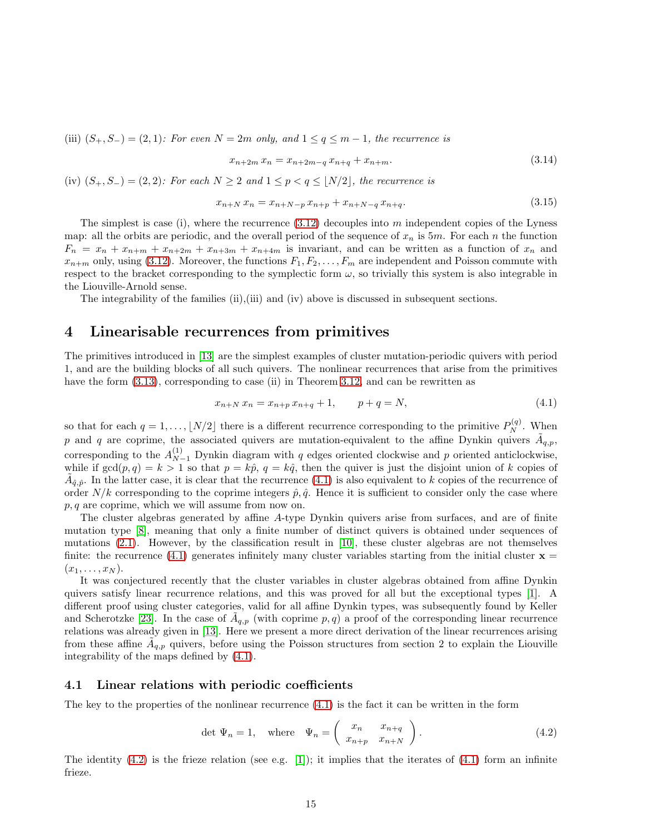(iii)  $(S_+, S_-) = (2, 1)$ : For even  $N = 2m$  only, and  $1 \le q \le m-1$ , the recurrence is

<span id="page-15-3"></span>
$$
x_{n+2m} x_n = x_{n+2m-q} x_{n+q} + x_{n+m}.
$$
\n(3.14)

(iv)  $(S_+, S_-) = (2, 2)$ : For each  $N \geq 2$  and  $1 \leq p < q \leq |N/2|$ , the recurrence is

<span id="page-15-0"></span>
$$
x_{n+N} x_n = x_{n+N-p} x_{n+p} + x_{n+N-q} x_{n+q}.
$$
\n(3.15)

The simplest is case (i), where the recurrence  $(3.12)$  decouples into m independent copies of the Lyness map: all the orbits are periodic, and the overall period of the sequence of  $x_n$  is  $5m$ . For each n the function  $F_n = x_n + x_{n+m} + x_{n+2m} + x_{n+3m} + x_{n+4m}$  is invariant, and can be written as a function of  $x_n$  and  $x_{n+m}$  only, using [\(3.12\)](#page-13-2). Moreover, the functions  $F_1, F_2, \ldots, F_m$  are independent and Poisson commute with respect to the bracket corresponding to the symplectic form  $\omega$ , so trivially this system is also integrable in the Liouville-Arnold sense.

The integrability of the families (ii),(iii) and (iv) above is discussed in subsequent sections.

## 4 Linearisable recurrences from primitives

The primitives introduced in [\[13\]](#page-47-1) are the simplest examples of cluster mutation-periodic quivers with period 1, and are the building blocks of all such quivers. The nonlinear recurrences that arise from the primitives have the form  $(3.13)$ , corresponding to case (ii) in Theorem [3.12,](#page-13-0) and can be rewritten as

<span id="page-15-1"></span>
$$
x_{n+N} x_n = x_{n+p} x_{n+q} + 1, \qquad p+q=N,
$$
\n(4.1)

so that for each  $q = 1, \ldots, \lfloor N/2 \rfloor$  there is a different recurrence corresponding to the primitive  $P_N^{(q)}$ . When p and q are coprime, the associated quivers are mutation-equivalent to the affine Dynkin quivers  $\tilde{A}_{q,p}$ , corresponding to the  $A_{N-1}^{(1)}$  Dynkin diagram with q edges oriented clockwise and p oriented anticlockwise, while if  $gcd(p, q) = k > 1$  so that  $p = k\hat{p}$ ,  $q = k\hat{q}$ , then the quiver is just the disjoint union of k copies of  $\tilde{A}_{\hat{q},\hat{p}}$ . In the latter case, it is clear that the recurrence [\(4.1\)](#page-14-1) is also equivalent to k copies of the recurrence of order  $N/k$  corresponding to the coprime integers  $\hat{p}, \hat{q}$ . Hence it is sufficient to consider only the case where  $p, q$  are coprime, which we will assume from now on.

The cluster algebras generated by affine A-type Dynkin quivers arise from surfaces, and are of finite mutation type [\[8\]](#page-47-9), meaning that only a finite number of distinct quivers is obtained under sequences of mutations [\(2.1\)](#page-2-3). However, by the classification result in [\[10\]](#page-47-0), these cluster algebras are not themselves finite: the recurrence [\(4.1\)](#page-14-1) generates infinitely many cluster variables starting from the initial cluster  $x =$  $(x_1,\ldots,x_N)$ .

It was conjectured recently that the cluster variables in cluster algebras obtained from affine Dynkin quivers satisfy linear recurrence relations, and this was proved for all but the exceptional types [\[1\]](#page-47-3). A different proof using cluster categories, valid for all affine Dynkin types, was subsequently found by Keller and Scherotzke [\[23\]](#page-48-4). In the case of  $\tilde{A}_{q,p}$  (with coprime p, q) a proof of the corresponding linear recurrence relations was already given in [\[13\]](#page-47-1). Here we present a more direct derivation of the linear recurrences arising from these affine  $\tilde{A}_{q,p}$  quivers, before using the Poisson structures from section 2 to explain the Liouville integrability of the maps defined by [\(4.1\)](#page-14-1).

#### 4.1 Linear relations with periodic coefficients

The key to the properties of the nonlinear recurrence  $(4.1)$  is the fact it can be written in the form

<span id="page-15-2"></span>
$$
\det \Psi_n = 1, \quad \text{where} \quad \Psi_n = \begin{pmatrix} x_n & x_{n+q} \\ x_{n+p} & x_{n+N} \end{pmatrix}.
$$
 (4.2)

The identity  $(4.2)$  is the frieze relation (see e.g. [\[1\]](#page-47-3)); it implies that the iterates of  $(4.1)$  form an infinite frieze.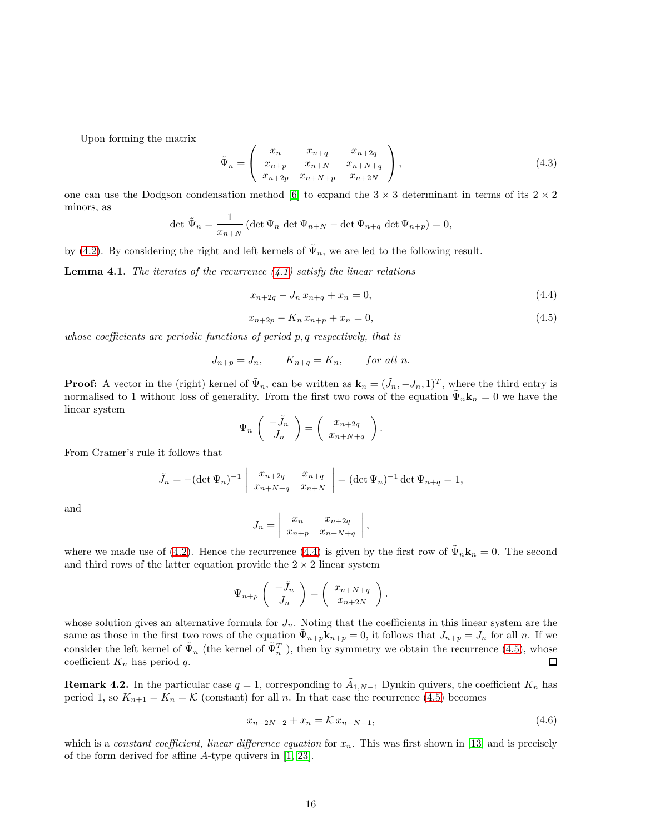Upon forming the matrix

$$
\tilde{\Psi}_n = \begin{pmatrix} x_n & x_{n+q} & x_{n+2q} \\ x_{n+p} & x_{n+N} & x_{n+N+q} \\ x_{n+2p} & x_{n+N+p} & x_{n+2N} \end{pmatrix},
$$
\n(4.3)

one can use the Dodgson condensation method [\[6\]](#page-47-10) to expand the  $3 \times 3$  determinant in terms of its  $2 \times 2$ minors, as

$$
\det \tilde{\Psi}_n = \frac{1}{x_{n+N}} \left( \det \Psi_n \, \det \Psi_{n+N} - \det \Psi_{n+q} \, \det \Psi_{n+p} \right) = 0,
$$

by [\(4.2\)](#page-14-2). By considering the right and left kernels of  $\tilde{\Psi}_n$ , we are led to the following result.

**Lemma 4.1.** The iterates of the recurrence  $(4.1)$  satisfy the linear relations

<span id="page-16-3"></span>
$$
x_{n+2q} - J_n x_{n+q} + x_n = 0,\t\t(4.4)
$$

$$
x_{n+2p} - K_n x_{n+p} + x_n = 0,\t\t(4.5)
$$

.

whose coefficients are periodic functions of period p, q respectively, that is

$$
J_{n+p} = J_n, \qquad K_{n+q} = K_n, \qquad \text{for all } n.
$$

**Proof:** A vector in the (right) kernel of  $\tilde{\Psi}_n$ , can be written as  $\mathbf{k}_n = (\tilde{J}_n, -J_n, 1)^T$ , where the third entry is normalised to 1 without loss of generality. From the first two rows of the equation  $\tilde{\Psi}_n \mathbf{k}_n = 0$  we have the linear system

$$
\Psi_n \begin{pmatrix} -\tilde{J}_n \\ J_n \end{pmatrix} = \begin{pmatrix} x_{n+2q} \\ x_{n+N+q} \end{pmatrix}
$$

From Cramer's rule it follows that

$$
\tilde{J}_n = -(\det \Psi_n)^{-1} \begin{vmatrix} x_{n+2q} & x_{n+q} \\ x_{n+N+q} & x_{n+N} \end{vmatrix} = (\det \Psi_n)^{-1} \det \Psi_{n+q} = 1,
$$

<span id="page-16-4"></span>and

$$
J_n = \begin{vmatrix} x_n & x_{n+2q} \\ x_{n+p} & x_{n+N+q} \end{vmatrix},
$$

where we made use of [\(4.2\)](#page-14-2). Hence the recurrence [\(4.4\)](#page-15-0) is given by the first row of  $\tilde{\Psi}_n \mathbf{k}_n = 0$ . The second and third rows of the latter equation provide the  $2 \times 2$  linear system

<span id="page-16-1"></span>
$$
\Psi_{n+p}\left(\begin{array}{c}\n-\tilde{J}_n\\
J_n\n\end{array}\right)=\left(\begin{array}{c}\nx_{n+N+q}\\
x_{n+2N}\n\end{array}\right).
$$

whose solution gives an alternative formula for  $J_n$ . Noting that the coefficients in this linear system are the same as those in the first two rows of the equation  $\tilde{\Psi}_{n+p}$ **K**<sub> $n+p$ </sub> = 0, it follows that  $J_{n+p} = J_n$  for all n. If we consider the left kernel of  $\tilde{\Psi}_n$  (the kernel of  $\tilde{\Psi}_n^T$ ), then by symmetry we obtain the recurrence [\(4.5\)](#page-15-1), whose coefficient  $K_n$  has period q.  $\Box$ 

**Remark 4.2.** In the particular case  $q = 1$ , corresponding to  $\tilde{A}_{1,N-1}$  Dynkin quivers, the coefficient  $K_n$  has period 1, so  $K_{n+1} = K_n = \mathcal{K}$  (constant) for all n. In that case the recurrence [\(4.5\)](#page-15-1) becomes

<span id="page-16-2"></span><span id="page-16-0"></span>
$$
x_{n+2N-2} + x_n = \mathcal{K} x_{n+N-1},\tag{4.6}
$$

which is a constant coefficient, linear difference equation for  $x_n$ . This was first shown in [\[13\]](#page-47-1) and is precisely of the form derived for affine A-type quivers in [\[1,](#page-47-3) [23\]](#page-48-4).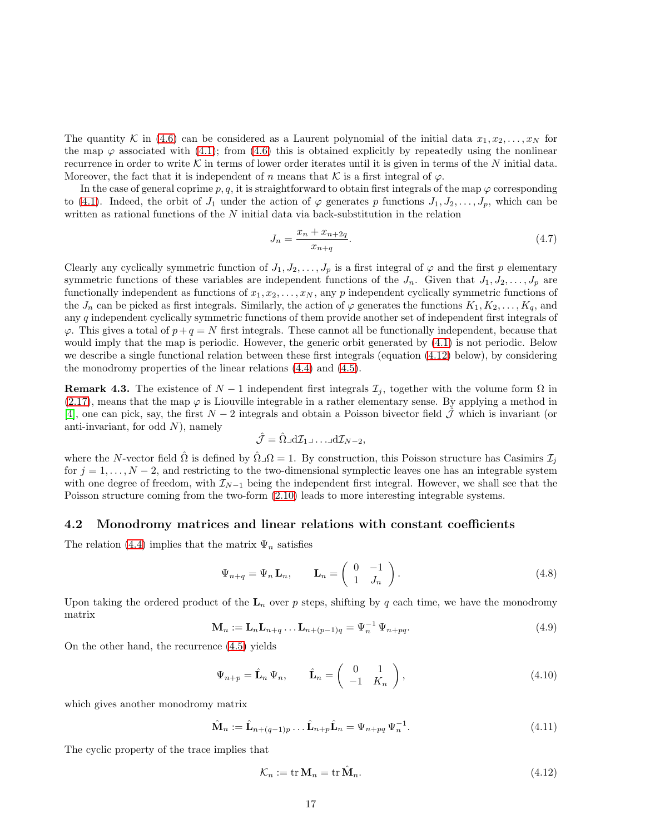The quantity K in [\(4.6\)](#page-15-2) can be considered as a Laurent polynomial of the initial data  $x_1, x_2, \ldots, x_N$  for the map  $\varphi$  associated with [\(4.1\)](#page-14-1); from [\(4.6\)](#page-15-2) this is obtained explicitly by repeatedly using the nonlinear recurrence in order to write K in terms of lower order iterates until it is given in terms of the N initial data. Moreover, the fact that it is independent of n means that K is a first integral of  $\varphi$ .

In the case of general coprime p, q, it is straightforward to obtain first integrals of the map  $\varphi$  corresponding to [\(4.1\)](#page-14-1). Indeed, the orbit of  $J_1$  under the action of  $\varphi$  generates p functions  $J_1, J_2, \ldots, J_p$ , which can be written as rational functions of the  $N$  initial data via back-substitution in the relation

<span id="page-17-0"></span>
$$
J_n = \frac{x_n + x_{n+2q}}{x_{n+q}}.\t(4.7)
$$

Clearly any cyclically symmetric function of  $J_1, J_2, \ldots, J_p$  is a first integral of  $\varphi$  and the first p elementary symmetric functions of these variables are independent functions of the  $J_n$ . Given that  $J_1, J_2, \ldots, J_p$  are functionally independent as functions of  $x_1, x_2, \ldots, x_N$ , any p independent cyclically symmetric functions of the  $J_n$  can be picked as first integrals. Similarly, the action of  $\varphi$  generates the functions  $K_1, K_2, \ldots, K_q$ , and any q independent cyclically symmetric functions of them provide another set of independent first integrals of  $\varphi$ . This gives a total of  $p+q = N$  first integrals. These cannot all be functionally independent, because that would imply that the map is periodic. However, the generic orbit generated by [\(4.1\)](#page-14-1) is not periodic. Below we describe a single functional relation between these first integrals (equation [\(4.12\)](#page-16-0) below), by considering the monodromy properties of the linear relations [\(4.4\)](#page-15-0) and [\(4.5\)](#page-15-1).

**Remark 4.3.** The existence of  $N-1$  independent first integrals  $\mathcal{I}_j$ , together with the volume form  $\Omega$  in [\(2.17\)](#page-5-6), means that the map  $\varphi$  is Liouville integrable in a rather elementary sense. By applying a method in [\[4\]](#page-47-11), one can pick, say, the first  $N-2$  integrals and obtain a Poisson bivector field  $\hat{J}$  which is invariant (or anti-invariant, for odd  $N$ ), namely

$$
\hat{\mathcal{J}} = \hat{\Omega} \lrcorner d\mathcal{I}_1 \lrcorner \ldots \lrcorner d\mathcal{I}_{N-2},
$$

<span id="page-17-2"></span>where the N-vector field  $\hat{\Omega}$  is defined by  $\hat{\Omega} \square \Omega = 1$ . By construction, this Poisson structure has Casimirs  $\mathcal{I}_i$ for  $j = 1, \ldots, N-2$ , and restricting to the two-dimensional symplectic leaves one has an integrable system with one degree of freedom, with  $\mathcal{I}_{N-1}$  being the independent first integral. However, we shall see that the Poisson structure coming from the two-form [\(2.10\)](#page-4-4) leads to more interesting integrable systems.

#### 4.2 Monodromy matrices and linear relations with constant coefficients

The relation [\(4.4\)](#page-15-0) implies that the matrix  $\Psi_n$  satisfies

$$
\Psi_{n+q} = \Psi_n \mathbf{L}_n, \qquad \mathbf{L}_n = \begin{pmatrix} 0 & -1 \\ 1 & J_n \end{pmatrix}.
$$
\n(4.8)

Upon taking the ordered product of the  $L_n$  over p steps, shifting by q each time, we have the monodromy matrix

$$
\mathbf{M}_n := \mathbf{L}_n \mathbf{L}_{n+q} \dots \mathbf{L}_{n+(p-1)q} = \Psi_n^{-1} \Psi_{n+pq}.
$$
\n(4.9)

On the other hand, the recurrence [\(4.5\)](#page-15-1) yields

$$
\Psi_{n+p} = \hat{\mathbf{L}}_n \Psi_n, \qquad \hat{\mathbf{L}}_n = \begin{pmatrix} 0 & 1 \\ -1 & K_n \end{pmatrix}, \tag{4.10}
$$

which gives another monodromy matrix

<span id="page-17-1"></span>
$$
\hat{\mathbf{M}}_n := \hat{\mathbf{L}}_{n+(q-1)p} \dots \hat{\mathbf{L}}_{n+p} \hat{\mathbf{L}}_n = \Psi_{n+pq} \Psi_n^{-1}.
$$
\n(4.11)

The cyclic property of the trace implies that

$$
\mathcal{K}_n := \text{tr}\,\mathbf{M}_n = \text{tr}\,\hat{\mathbf{M}}_n. \tag{4.12}
$$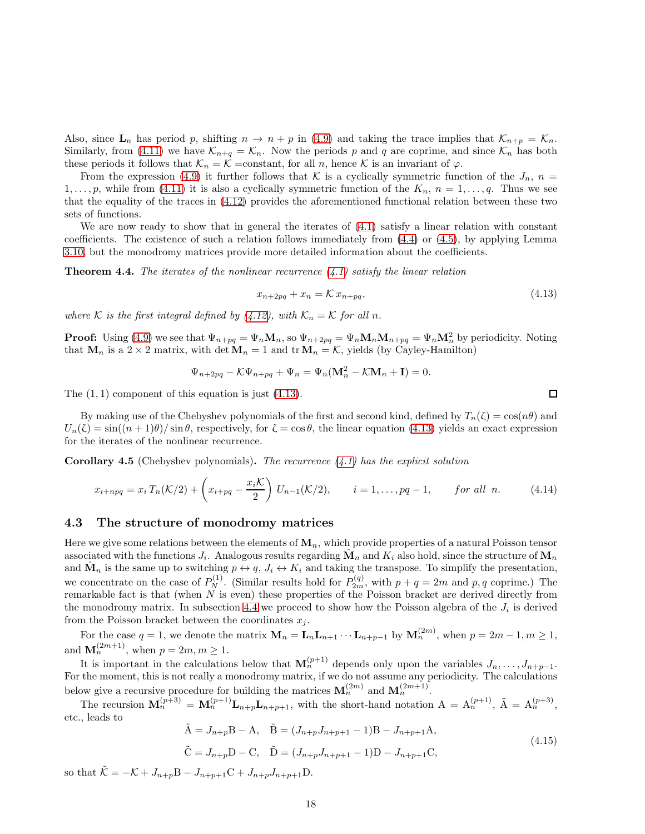<span id="page-18-0"></span>Also, since  $\mathbf{L}_n$  has period p, shifting  $n \to n + p$  in [\(4.9\)](#page-16-1) and taking the trace implies that  $\mathcal{K}_{n+p} = \mathcal{K}_n$ . Similarly, from [\(4.11\)](#page-16-2) we have  $\mathcal{K}_{n+q} = \mathcal{K}_n$ . Now the periods p and q are coprime, and since  $\mathcal{K}_n$  has both these periods it follows that  $\mathcal{K}_n = \mathcal{K}$  =constant, for all n, hence  $\mathcal K$  is an invariant of  $\varphi$ .

From the expression [\(4.9\)](#page-16-1) it further follows that K is a cyclically symmetric function of the  $J_n$ ,  $n =$  $1, \ldots, p$ , while from [\(4.11\)](#page-16-2) it is also a cyclically symmetric function of the  $K_n$ ,  $n = 1, \ldots, q$ . Thus we see that the equality of the traces in [\(4.12\)](#page-16-0) provides the aforementioned functional relation between these two sets of functions.

We are now ready to show that in general the iterates of [\(4.1\)](#page-14-1) satisfy a linear relation with constant coefficients. The existence of such a relation follows immediately from [\(4.4\)](#page-15-0) or [\(4.5\)](#page-15-1), by applying Lemma [3.10,](#page-12-1) but the monodromy matrices provide more detailed information about the coefficients.

**Theorem 4.4.** The iterates of the nonlinear recurrence  $(4.1)$  satisfy the linear relation

$$
x_{n+2pq} + x_n = \mathcal{K} x_{n+pq},\tag{4.13}
$$

where K is the first integral defined by [\(4.12\)](#page-16-0), with  $\mathcal{K}_n = \mathcal{K}$  for all n.

**Proof:** Using [\(4.9\)](#page-16-1) we see that  $\Psi_{n+pq} = \Psi_n \mathbf{M}_n$ , so  $\Psi_{n+2pq} = \Psi_n \mathbf{M}_n \mathbf{M}_{n+pq} = \Psi_n \mathbf{M}_n^2$  by periodicity. Noting that  $\mathbf{M}_n$  is a 2 × 2 matrix, with det  $\mathbf{M}_n = 1$  and tr $\mathbf{M}_n = \mathcal{K}$ , yields (by Cayley-Hamilton)

$$
\Psi_{n+2pq} - \mathcal{K}\Psi_{n+pq} + \Psi_n = \Psi_n(\mathbf{M}_n^2 - \mathcal{K}\mathbf{M}_n + \mathbf{I}) = 0.
$$

The  $(1, 1)$  component of this equation is just  $(4.13)$ .

By making use of the Chebyshev polynomials of the first and second kind, defined by  $T_n(\zeta) = \cos(n\theta)$  and  $U_n(\zeta) = \sin((n+1)\theta)/\sin\theta$ , respectively, for  $\zeta = \cos\theta$ , the linear equation [\(4.13\)](#page-17-0) yields an exact expression for the iterates of the nonlinear recurrence.

**Corollary 4.5** (Chebyshev polynomials). The recurrence  $(4.1)$  has the explicit solution

<span id="page-18-1"></span>
$$
x_{i+npq} = x_i T_n(\mathcal{K}/2) + \left(x_{i+pq} - \frac{x_i \mathcal{K}}{2}\right) U_{n-1}(\mathcal{K}/2), \qquad i = 1, \dots, pq-1, \qquad \text{for all } n. \tag{4.14}
$$

#### 4.3 The structure of monodromy matrices

Here we give some relations between the elements of  $M_n$ , which provide properties of a natural Poisson tensor associated with the functions  $J_i$ . Analogous results regarding  $\hat{M_n}$  and  $K_i$  also hold, since the structure of  $M_n$ and  $\hat{\mathbf{M}}_n$  is the same up to switching  $p \leftrightarrow q$ ,  $J_i \leftrightarrow K_i$  and taking the transpose. To simplify the presentation, we concentrate on the case of  $P_N^{(1)}$ . (Similar results hold for  $P_{2m}^{(q)}$ , with  $p + q = 2m$  and  $p, q$  coprime.) The remarkable fact is that (when  $N$  is even) these properties of the Poisson bracket are derived directly from the monodromy matrix. In subsection [4.4](#page-19-0) we proceed to show how the Poisson algebra of the  $J_i$  is derived from the Poisson bracket between the coordinates  $x_j$ .

For the case  $q = 1$ , we denote the matrix  $\mathbf{M}_n = \mathbf{L}_n \mathbf{L}_{n+1} \cdots \mathbf{L}_{n+p-1}$  by  $\mathbf{M}_n^{(2m)}$ , when  $p = 2m - 1, m \ge 1$ , and  $\mathbf{M}_n^{(2m+1)}$ , when  $p = 2m, m \ge 1$ .

It is important in the calculations below that  $\mathbf{M}_n^{(p+1)}$  depends only upon the variables  $J_n, \ldots, J_{n+p-1}$ . For the moment, this is not really a monodromy matrix, if we do not assume any periodicity. The calculations below give a recursive procedure for building the matrices  $\mathbf{M}_n^{(2m)}$  and  $\mathbf{M}_n^{(2m+1)}$ .

The recursion  $\mathbf{M}_n^{(p+3)} = \mathbf{M}_n^{(p+1)} \mathbf{L}_{n+p+1}$ , with the short-hand notation  $A = A_n^{(p+1)}$ ,  $\tilde{A} = A_n^{(p+3)}$ , etc., leads to

$$
\tilde{A} = J_{n+p}B - A, \quad \tilde{B} = (J_{n+p}J_{n+p+1} - 1)B - J_{n+p+1}A,
$$
  
\n
$$
\tilde{C} = J_{n+p}D - C, \quad \tilde{D} = (J_{n+p}J_{n+p+1} - 1)D - J_{n+p+1}C,
$$
\n(4.15)

so that  $\tilde{\mathcal{K}} = -\mathcal{K} + J_{n+p}B - J_{n+p+1}C + J_{n+p}J_{n+p+1}D$ .

 $\Box$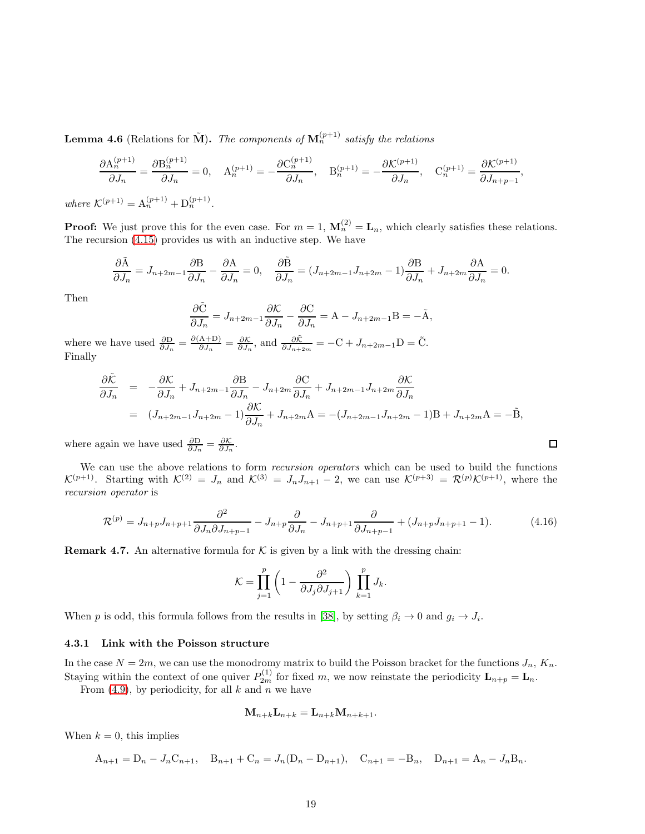**Lemma 4.6** (Relations for  $\tilde{M}$ ). The components of  $M_n^{(p+1)}$  satisfy the relations

$$
\frac{\partial A_n^{(p+1)}}{\partial J_n} = \frac{\partial B_n^{(p+1)}}{\partial J_n} = 0, \quad A_n^{(p+1)} = -\frac{\partial C_n^{(p+1)}}{\partial J_n}, \quad B_n^{(p+1)} = -\frac{\partial \mathcal{K}^{(p+1)}}{\partial J_n}, \quad C_n^{(p+1)} = \frac{\partial \mathcal{K}^{(p+1)}}{\partial J_{n+p-1}},
$$

where  $\mathcal{K}^{(p+1)} = \mathcal{A}_n^{(p+1)} + \mathcal{D}_n^{(p+1)}$ .

**Proof:** We just prove this for the even case. For  $m = 1$ ,  $\mathbf{M}_n^{(2)} = \mathbf{L}_n$ , which clearly satisfies these relations. The recursion [\(4.15\)](#page-17-1) provides us with an inductive step. We have

$$
\frac{\partial \tilde{\mathbf{A}}}{\partial J_n} = J_{n+2m-1} \frac{\partial \mathbf{B}}{\partial J_n} - \frac{\partial \mathbf{A}}{\partial J_n} = 0, \quad \frac{\partial \tilde{\mathbf{B}}}{\partial J_n} = (J_{n+2m-1} J_{n+2m} - 1) \frac{\partial \mathbf{B}}{\partial J_n} + J_{n+2m} \frac{\partial \mathbf{A}}{\partial J_n} = 0.
$$

Then

$$
\frac{\partial \tilde{C}}{\partial J_n} = J_{n+2m-1} \frac{\partial \mathcal{K}}{\partial J_n} - \frac{\partial C}{\partial J_n} = A - J_{n+2m-1}B = -\tilde{A},
$$

where we have used  $\frac{\partial D}{\partial J_n} = \frac{\partial (A+D)}{\partial J_n}$  $\frac{A+D}{\partial J_n} = \frac{\partial \mathcal{K}}{\partial J_n}$ , and  $\frac{\partial \tilde{\mathcal{K}}}{\partial J_{n+2m}} = -C + J_{n+2m-1}D = \tilde{C}$ . Finally

$$
\frac{\partial \tilde{K}}{\partial J_n} = -\frac{\partial K}{\partial J_n} + J_{n+2m-1} \frac{\partial B}{\partial J_n} - J_{n+2m} \frac{\partial C}{\partial J_n} + J_{n+2m-1} J_{n+2m} \frac{\partial K}{\partial J_n}
$$
  
=  $(J_{n+2m-1} J_{n+2m} - 1) \frac{\partial K}{\partial J_n} + J_{n+2m} A = -(J_{n+2m-1} J_{n+2m} - 1)B + J_{n+2m} A = -\tilde{B},$ 

where again we have used  $\frac{\partial \mathbf{D}}{\partial J_n} = \frac{\partial \mathcal{K}}{\partial J_n}$ .

<span id="page-19-2"></span>We can use the above relations to form recursion operators which can be used to build the functions  $\mathcal{K}^{(p+1)}$ . Starting with  $\mathcal{K}^{(2)} = J_n$  and  $\mathcal{K}^{(3)} = J_n J_{n+1} - 2$ , we can use  $\mathcal{K}^{(p+3)} = \mathcal{R}^{(p)} \mathcal{K}^{(p+1)}$ , where the recursion operator is

<span id="page-19-0"></span>
$$
\mathcal{R}^{(p)} = J_{n+p}J_{n+p+1} \frac{\partial^2}{\partial J_n \partial J_{n+p-1}} - J_{n+p} \frac{\partial}{\partial J_n} - J_{n+p+1} \frac{\partial}{\partial J_{n+p-1}} + (J_{n+p}J_{n+p+1} - 1). \tag{4.16}
$$

 $\Box$ 

**Remark 4.7.** An alternative formula for  $K$  is given by a link with the dressing chain:

<span id="page-19-1"></span>
$$
\mathcal{K} = \prod_{j=1}^p \left( 1 - \frac{\partial^2}{\partial J_j \partial J_{j+1}} \right) \prod_{k=1}^p J_k.
$$

When p is odd, this formula follows from the results in [\[38\]](#page-48-13), by setting  $\beta_i \to 0$  and  $g_i \to J_i$ .

#### 4.3.1 Link with the Poisson structure

In the case  $N = 2m$ , we can use the monodromy matrix to build the Poisson bracket for the functions  $J_n$ ,  $K_n$ . Staying within the context of one quiver  $P_{2m}^{(1)}$  for fixed m, we now reinstate the periodicity  $\mathbf{L}_{n+p} = \mathbf{L}_n$ .

From [\(4.9\)](#page-16-1), by periodicity, for all k and n we have

$$
\mathbf{M}_{n+k}\mathbf{L}_{n+k}=\mathbf{L}_{n+k}\mathbf{M}_{n+k+1}.
$$

When  $k = 0$ , this implies

$$
A_{n+1} = D_n - J_n C_{n+1}, \quad B_{n+1} + C_n = J_n (D_n - D_{n+1}), \quad C_{n+1} = -B_n, \quad D_{n+1} = A_n - J_n B_n.
$$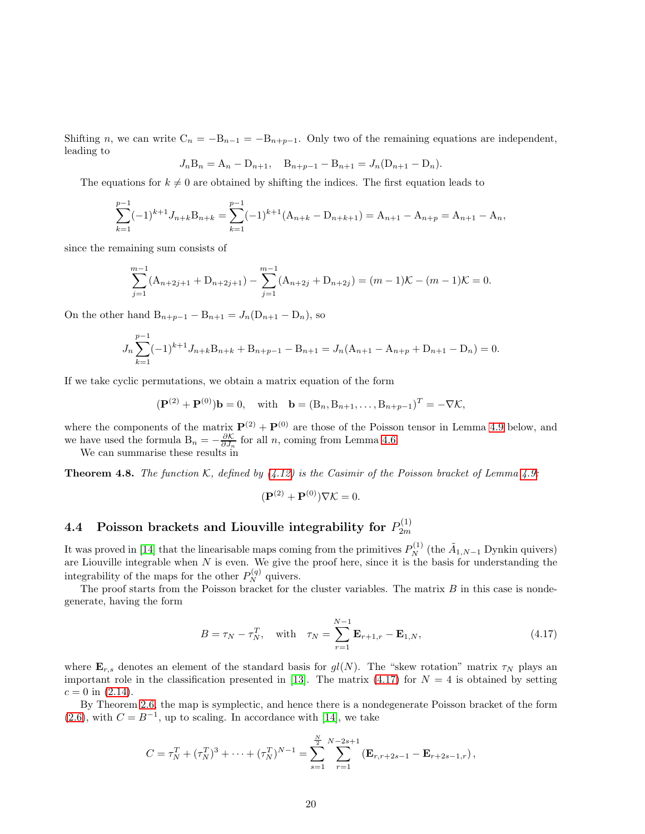Shifting n, we can write  $C_n = -B_{n-1} = -B_{n+p-1}$ . Only two of the remaining equations are independent, leading to

<span id="page-20-1"></span>
$$
J_n B_n = A_n - D_{n+1}, \quad B_{n+p-1} - B_{n+1} = J_n (D_{n+1} - D_n).
$$

The equations for  $k \neq 0$  are obtained by shifting the indices. The first equation leads to

$$
\sum_{k=1}^{p-1}(-1)^{k+1}J_{n+k}B_{n+k} = \sum_{k=1}^{p-1}(-1)^{k+1}(A_{n+k} - D_{n+k+1}) = A_{n+1} - A_{n+p} = A_{n+1} - A_n,
$$

<span id="page-20-0"></span>since the remaining sum consists of

<span id="page-20-2"></span>
$$
\sum_{j=1}^{m-1} (A_{n+2j+1} + D_{n+2j+1}) - \sum_{j=1}^{m-1} (A_{n+2j} + D_{n+2j}) = (m-1)\mathcal{K} - (m-1)\mathcal{K} = 0.
$$

On the other hand  $B_{n+p-1} - B_{n+1} = J_n(D_{n+1} - D_n)$ , so

$$
J_n\sum_{k=1}^{p-1}(-1)^{k+1}J_{n+k}B_{n+k}+B_{n+p-1}-B_{n+1}=J_n(A_{n+1}-A_{n+p}+D_{n+1}-D_n)=0.
$$

If we take cyclic permutations, we obtain a matrix equation of the form

<span id="page-20-3"></span>
$$
(\mathbf{P}^{(2)} + \mathbf{P}^{(0)})\mathbf{b} = 0
$$
, with  $\mathbf{b} = (B_n, B_{n+1}, \dots, B_{n+p-1})^T = -\nabla \mathcal{K}$ ,

where the components of the matrix  $\mathbf{P}^{(2)} + \mathbf{P}^{(0)}$  are those of the Poisson tensor in Lemma [4.9](#page-20-0) below, and we have used the formula  $B_n = -\frac{\partial \mathcal{K}}{\partial J_n}$  for all n, coming from Lemma [4.6.](#page-18-0)

We can summarise these results in

**Theorem 4.8.** The function K, defined by  $(4.12)$  is the Casimir of the Poisson bracket of Lemma [4.9:](#page-20-0)

<span id="page-20-4"></span>
$$
(\mathbf{P}^{(2)} + \mathbf{P}^{(0)})\nabla \mathcal{K} = 0.
$$

#### 4.4 Poisson brackets and Liouville integrability for  $P_{2m}^{(1)}$ 2m

It was proved in [\[14\]](#page-47-12) that the linearisable maps coming from the primitives  $P_N^{(1)}$  (the  $\tilde{A}_{1,N-1}$  Dynkin quivers) are Liouville integrable when  $N$  is even. We give the proof here, since it is the basis for understanding the integrability of the maps for the other  $P_N^{(q)}$  quivers.

The proof starts from the Poisson bracket for the cluster variables. The matrix  $B$  in this case is nondegenerate, having the form

$$
B = \tau_N - \tau_N^T, \quad \text{with} \quad \tau_N = \sum_{r=1}^{N-1} \mathbf{E}_{r+1,r} - \mathbf{E}_{1,N}, \tag{4.17}
$$

where  $\mathbf{E}_{r,s}$  denotes an element of the standard basis for  $gl(N)$ . The "skew rotation" matrix  $\tau_N$  plays an important role in the classification presented in [\[13\]](#page-47-1). The matrix [\(4.17\)](#page-19-1) for  $N = 4$  is obtained by setting  $c = 0$  in  $(2.14)$ .

By Theorem [2.6,](#page-5-0) the map is symplectic, and hence there is a nondegenerate Poisson bracket of the form  $(2.6)$ , with  $C = B^{-1}$ , up to scaling. In accordance with [\[14\]](#page-47-12), we take

<span id="page-20-6"></span><span id="page-20-5"></span>
$$
C = \tau_N^T + (\tau_N^T)^3 + \cdots + (\tau_N^T)^{N-1} = \sum_{s=1}^N \sum_{r=1}^{N-2s+1} (\mathbf{E}_{r,r+2s-1} - \mathbf{E}_{r+2s-1,r}),
$$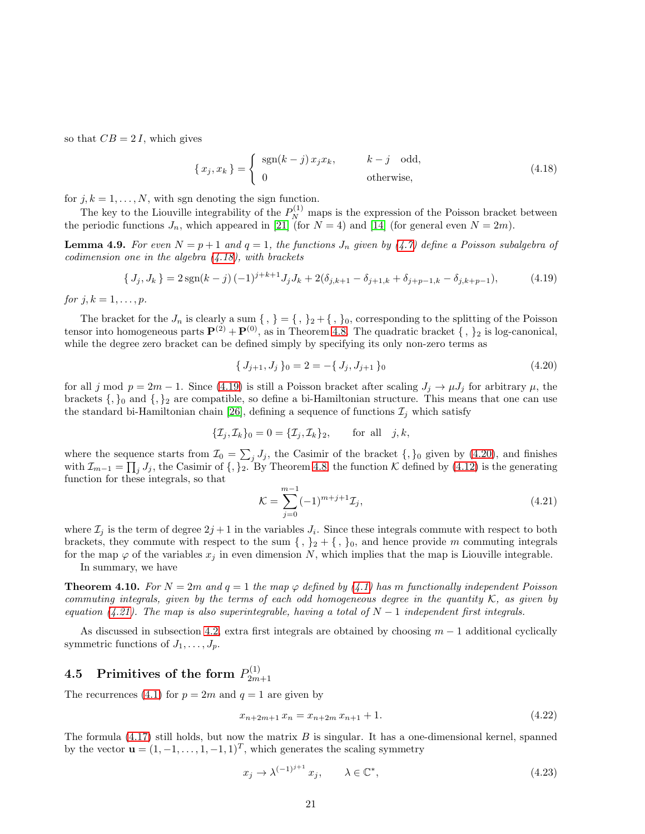so that  $CB = 2I$ , which gives

<span id="page-21-6"></span><span id="page-21-3"></span>
$$
\{x_j, x_k\} = \begin{cases} \operatorname{sgn}(k-j) x_j x_k, & k-j \text{ odd,} \\ 0 & \text{otherwise,} \end{cases}
$$
 (4.18)

for  $j, k = 1, \ldots, N$ , with sgn denoting the sign function.

The key to the Liouville integrability of the  $P_N^{(1)}$  maps is the expression of the Poisson bracket between the periodic functions  $J_n$ , which appeared in [\[21\]](#page-48-7) (for  $N = 4$ ) and [\[14\]](#page-47-12) (for general even  $N = 2m$ ).

**Lemma 4.9.** For even  $N = p + 1$  and  $q = 1$ , the functions  $J_n$  given by [\(4.7\)](#page-16-3) define a Poisson subalgebra of codimension one in the algebra  $(4.18)$ , with brackets

$$
\{J_j, J_k\} = 2\operatorname{sgn}(k-j)(-1)^{j+k+1}J_jJ_k + 2(\delta_{j,k+1} - \delta_{j+1,k} + \delta_{j+p-1,k} - \delta_{j,k+p-1}),\tag{4.19}
$$

for  $j, k = 1, \ldots, p$ .

The bracket for the  $J_n$  is clearly a sum  $\{ , \} = \{ , \} _2 + \{ , \} _0$ , corresponding to the splitting of the Poisson tensor into homogeneous parts  $\mathbf{P}^{(2)} + \mathbf{P}^{(0)}$ , as in Theorem [4.8.](#page-19-2) The quadratic bracket  $\{ , \}_2$  is log-canonical, while the degree zero bracket can be defined simply by specifying its only non-zero terms as

<span id="page-21-2"></span>
$$
\{J_{j+1}, J_j\}_0 = 2 = -\{J_j, J_{j+1}\}_0 \tag{4.20}
$$

for all j mod  $p = 2m - 1$ . Since [\(4.19\)](#page-20-2) is still a Poisson bracket after scaling  $J_j \to \mu J_j$  for arbitrary  $\mu$ , the brackets  $\{,\}_0$  and  $\{,\}_2$  are compatible, so define a bi-Hamiltonian structure. This means that one can use the standard bi-Hamiltonian chain [\[26\]](#page-48-14), defining a sequence of functions  $\mathcal{I}_i$  which satisfy

<span id="page-21-1"></span>
$$
\{\mathcal{I}_j, \mathcal{I}_k\}_0 = 0 = \{\mathcal{I}_j, \mathcal{I}_k\}_2, \quad \text{for all} \quad j, k,
$$

where the sequence starts from  $\mathcal{I}_0 = \sum_j J_j$ , the Casimir of the bracket  $\{,\}_0$  given by  $(4.20)$ , and finishes with  $\mathcal{I}_{m-1} = \prod_j J_j$ , the Casimir of  $\{,\}_2$ . By Theorem [4.8,](#page-19-2) the function K defined by [\(4.12\)](#page-16-0) is the generating function for these integrals, so that

<span id="page-21-4"></span><span id="page-21-0"></span>
$$
\mathcal{K} = \sum_{j=0}^{m-1} (-1)^{m+j+1} \mathcal{I}_j,\tag{4.21}
$$

where  $\mathcal{I}_j$  is the term of degree  $2j+1$  in the variables  $J_i$ . Since these integrals commute with respect to both brackets, they commute with respect to the sum  $\{ , \}_2 + \{ , \}_0$ , and hence provide m commuting integrals for the map  $\varphi$  of the variables  $x_j$  in even dimension N, which implies that the map is Liouville integrable.

In summary, we have

**Theorem 4.10.** For  $N = 2m$  and  $q = 1$  the map  $\varphi$  defined by [\(4.1\)](#page-14-1) has m functionally independent Poisson commuting integrals, given by the terms of each odd homogeneous degree in the quantity  $K$ , as given by equation [\(4.21\)](#page-20-4). The map is also superintegrable, having a total of  $N-1$  independent first integrals.

As discussed in subsection [4.2,](#page-16-4) extra first integrals are obtained by choosing  $m - 1$  additional cyclically symmetric functions of  $J_1, \ldots, J_p$ .

#### 4.5 Primitives of the form  $P_{2m}^{(1)}$ 2m+1

The recurrences [\(4.1\)](#page-14-1) for  $p = 2m$  and  $q = 1$  are given by

<span id="page-21-5"></span>
$$
x_{n+2m+1} x_n = x_{n+2m} x_{n+1} + 1. \tag{4.22}
$$

The formula  $(4.17)$  still holds, but now the matrix B is singular. It has a one-dimensional kernel, spanned by the vector  $\mathbf{u} = (1, -1, \dots, 1, -1, 1)^T$ , which generates the scaling symmetry

$$
x_j \to \lambda^{(-1)^{j+1}} x_j, \qquad \lambda \in \mathbb{C}^*, \tag{4.23}
$$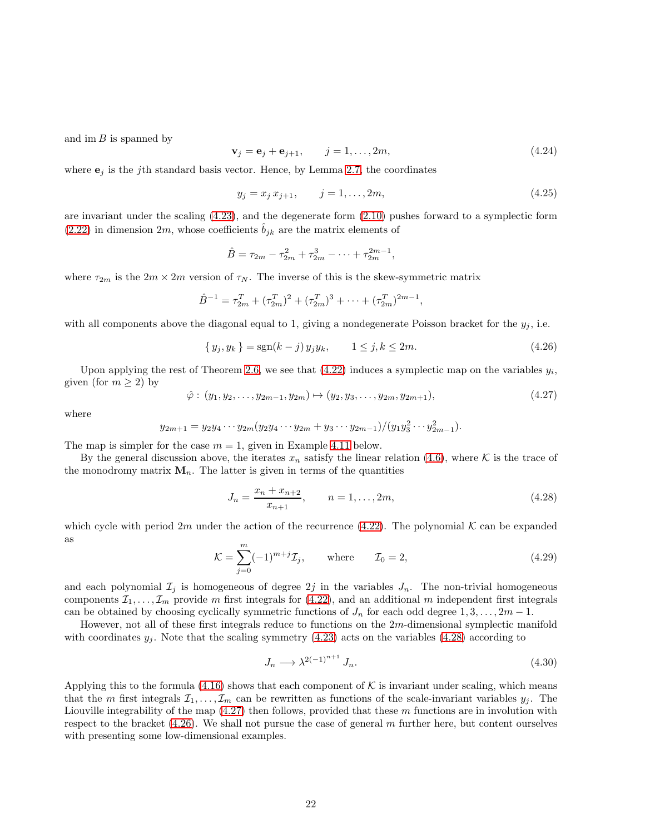<span id="page-22-0"></span>and im  $B$  is spanned by

$$
\mathbf{v}_j = \mathbf{e}_j + \mathbf{e}_{j+1}, \qquad j = 1, \dots, 2m,
$$
\n
$$
(4.24)
$$

where  $\mathbf{e}_i$  is the jth standard basis vector. Hence, by Lemma [2.7,](#page-6-2) the coordinates

$$
y_j = x_j x_{j+1}, \qquad j = 1, \dots, 2m,\tag{4.25}
$$

are invariant under the scaling [\(4.23\)](#page-20-5), and the degenerate form [\(2.10\)](#page-4-4) pushes forward to a symplectic form  $(2.22)$  in dimension 2m, whose coefficients  $\hat{b}_{jk}$  are the matrix elements of

$$
\hat{B} = \tau_{2m} - \tau_{2m}^2 + \tau_{2m}^3 - \dots + \tau_{2m}^{2m-1},
$$

where  $\tau_{2m}$  is the  $2m \times 2m$  version of  $\tau_N$ . The inverse of this is the skew-symmetric matrix

$$
\hat{B}^{-1} = \tau_{2m}^T + (\tau_{2m}^T)^2 + (\tau_{2m}^T)^3 + \cdots + (\tau_{2m}^T)^{2m-1},
$$

with all components above the diagonal equal to 1, giving a nondegenerate Poisson bracket for the  $y_j$ , i.e.

$$
\{y_j, y_k\} = \text{sgn}(k-j) \, y_j y_k, \qquad 1 \le j, k \le 2m. \tag{4.26}
$$

<span id="page-22-3"></span>Upon applying the rest of Theorem [2.6,](#page-5-0) we see that  $(4.22)$  induces a symplectic map on the variables  $y_i$ , given (for  $m \geq 2$ ) by

<span id="page-22-1"></span>
$$
\hat{\varphi}: (y_1, y_2, \dots, y_{2m-1}, y_{2m}) \mapsto (y_2, y_3, \dots, y_{2m}, y_{2m+1}), \qquad (4.27)
$$

where

$$
y_{2m+1} = y_2 y_4 \cdots y_{2m} (y_2 y_4 \cdots y_{2m} + y_3 \cdots y_{2m-1})/(y_1 y_3^2 \cdots y_{2m-1}^2).
$$

The map is simpler for the case  $m = 1$ , given in Example [4.11](#page-22-0) below.

By the general discussion above, the iterates  $x_n$  satisfy the linear relation [\(4.6\)](#page-15-2), where K is the trace of the monodromy matrix  $M_n$ . The latter is given in terms of the quantities

$$
J_n = \frac{x_n + x_{n+2}}{x_{n+1}}, \qquad n = 1, \dots, 2m,
$$
\n(4.28)

which cycle with period 2m under the action of the recurrence [\(4.22\)](#page-20-6). The polynomial K can be expanded as

<span id="page-22-2"></span>
$$
\mathcal{K} = \sum_{j=0}^{m} (-1)^{m+j} \mathcal{I}_j, \quad \text{where} \quad \mathcal{I}_0 = 2,
$$
\n(4.29)

and each polynomial  $\mathcal{I}_j$  is homogeneous of degree  $2j$  in the variables  $J_n$ . The non-trivial homogeneous components  $\mathcal{I}_1, \ldots, \mathcal{I}_m$  provide m first integrals for [\(4.22\)](#page-20-6), and an additional m independent first integrals can be obtained by choosing cyclically symmetric functions of  $J_n$  for each odd degree  $1, 3, \ldots, 2m - 1$ .

However, not all of these first integrals reduce to functions on the 2m-dimensional symplectic manifold with coordinates  $y_j$ . Note that the scaling symmetry [\(4.23\)](#page-20-5) acts on the variables [\(4.28\)](#page-21-0) according to

$$
J_n \longrightarrow \lambda^{2(-1)^{n+1}} J_n. \tag{4.30}
$$

Applying this to the formula  $(4.16)$  shows that each component of K is invariant under scaling, which means that the m first integrals  $\mathcal{I}_1, \ldots, \mathcal{I}_m$  can be rewritten as functions of the scale-invariant variables  $y_i$ . The Liouville integrability of the map  $(4.27)$  then follows, provided that these m functions are in involution with respect to the bracket  $(4.26)$ . We shall not pursue the case of general m further here, but content ourselves with presenting some low-dimensional examples.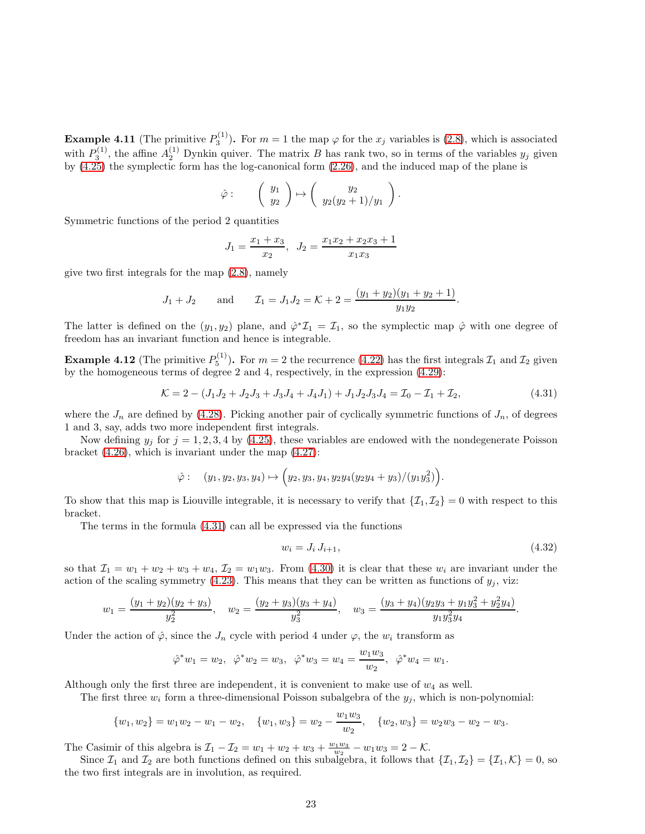**Example 4.11** (The primitive  $P_3^{(1)}$ ). For  $m = 1$  the map  $\varphi$  for the  $x_j$  variables is [\(2.8\)](#page-3-3), which is associated with  $P_3^{(1)}$ , the affine  $A_2^{(1)}$  Dynkin quiver. The matrix B has rank two, so in terms of the variables  $y_j$  given by [\(4.25\)](#page-21-3) the symplectic form has the log-canonical form [\(2.26\)](#page-8-1), and the induced map of the plane is

$$
\hat{\varphi}:\qquad \left(\begin{array}{c}y_1\\y_2\end{array}\right)\mapsto \left(\begin{array}{c}y_2\\y_2(y_2+1)/y_1\end{array}\right).
$$

Symmetric functions of the period 2 quantities

<span id="page-23-0"></span>
$$
J_1 = \frac{x_1 + x_3}{x_2}, \ \ J_2 = \frac{x_1 x_2 + x_2 x_3 + 1}{x_1 x_3}
$$

give two first integrals for the map [\(2.8\)](#page-3-3), namely

$$
J_1 + J_2
$$
 and  $\mathcal{I}_1 = J_1 J_2 = \mathcal{K} + 2 = \frac{(y_1 + y_2)(y_1 + y_2 + 1)}{y_1 y_2}$ .

The latter is defined on the  $(y_1, y_2)$  plane, and  $\hat{\varphi}^* \mathcal{I}_1 = \mathcal{I}_1$ , so the symplectic map  $\hat{\varphi}$  with one degree of freedom has an invariant function and hence is integrable.

**Example 4.12** (The primitive  $P_5^{(1)}$ ). For  $m = 2$  the recurrence [\(4.22\)](#page-20-6) has the first integrals  $\mathcal{I}_1$  and  $\mathcal{I}_2$  given by the homogeneous terms of degree 2 and 4, respectively, in the expression [\(4.29\)](#page-21-4):

$$
\mathcal{K} = 2 - (J_1 J_2 + J_2 J_3 + J_3 J_4 + J_4 J_1) + J_1 J_2 J_3 J_4 = \mathcal{I}_0 - \mathcal{I}_1 + \mathcal{I}_2,\tag{4.31}
$$

where the  $J_n$  are defined by [\(4.28\)](#page-21-0). Picking another pair of cyclically symmetric functions of  $J_n$ , of degrees 1 and 3, say, adds two more independent first integrals.

Now defining  $y_j$  for  $j = 1, 2, 3, 4$  by [\(4.25\)](#page-21-3), these variables are endowed with the nondegenerate Poisson bracket [\(4.26\)](#page-21-2), which is invariant under the map [\(4.27\)](#page-21-1):

<span id="page-23-3"></span><span id="page-23-1"></span>
$$
\hat{\varphi} : (y_1, y_2, y_3, y_4) \mapsto (y_2, y_3, y_4, y_2y_4(y_2y_4 + y_3)/(y_1y_3^2)).
$$

To show that this map is Liouville integrable, it is necessary to verify that  $\{\mathcal{I}_1, \mathcal{I}_2\} = 0$  with respect to this bracket.

The terms in the formula [\(4.31\)](#page-22-1) can all be expressed via the functions

$$
w_i = J_i J_{i+1}, \t\t(4.32)
$$

so that  $\mathcal{I}_1 = w_1 + w_2 + w_3 + w_4$ ,  $\mathcal{I}_2 = w_1w_3$ . From [\(4.30\)](#page-21-5) it is clear that these  $w_i$  are invariant under the action of the scaling symmetry [\(4.23\)](#page-20-5). This means that they can be written as functions of  $y_j$ , viz:

$$
w_1 = \frac{(y_1 + y_2)(y_2 + y_3)}{y_2^2}, \quad w_2 = \frac{(y_2 + y_3)(y_3 + y_4)}{y_3^2}, \quad w_3 = \frac{(y_3 + y_4)(y_2y_3 + y_1y_3^2 + y_2^2y_4)}{y_1y_3^2y_4}.
$$

Under the action of  $\hat{\varphi}$ , since the  $J_n$  cycle with period 4 under  $\varphi$ , the  $w_i$  transform as

<span id="page-23-2"></span>
$$
\hat{\varphi}^* w_1 = w_2, \ \ \hat{\varphi}^* w_2 = w_3, \ \ \hat{\varphi}^* w_3 = w_4 = \frac{w_1 w_3}{w_2}, \ \ \hat{\varphi}^* w_4 = w_1.
$$

Although only the first three are independent, it is convenient to make use of  $w_4$  as well.

The first three  $w_i$  form a three-dimensional Poisson subalgebra of the  $y_j$ , which is non-polynomial:

$$
\{w_1, w_2\} = w_1 w_2 - w_1 - w_2, \quad \{w_1, w_3\} = w_2 - \frac{w_1 w_3}{w_2}, \quad \{w_2, w_3\} = w_2 w_3 - w_2 - w_3.
$$

The Casimir of this algebra is  $\mathcal{I}_1 - \mathcal{I}_2 = w_1 + w_2 + w_3 + \frac{w_1w_3}{w_2} - w_1w_3 = 2 - \mathcal{K}$ .

Since  $\mathcal{I}_1$  and  $\mathcal{I}_2$  are both functions defined on this subalgebra, it follows that  $\{\mathcal{I}_1, \mathcal{I}_2\} = \{\mathcal{I}_1, \mathcal{K}\} = 0$ , so the two first integrals are in involution, as required.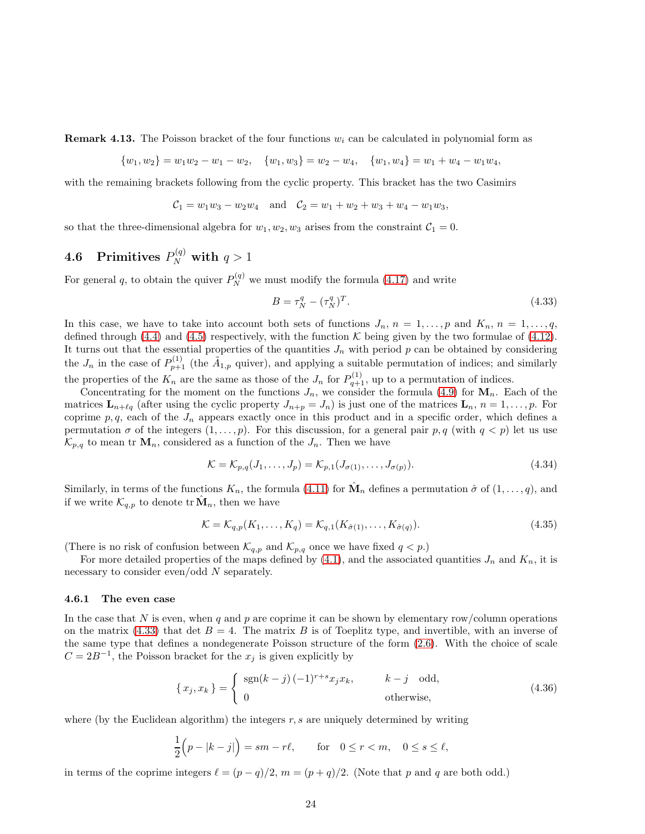**Remark 4.13.** The Poisson bracket of the four functions  $w_i$  can be calculated in polynomial form as

 $\{w_1, w_2\} = w_1w_2 - w_1 - w_2, \quad \{w_1, w_3\} = w_2 - w_4, \quad \{w_1, w_4\} = w_1 + w_4 - w_1w_4,$ 

with the remaining brackets following from the cyclic property. This bracket has the two Casimirs

$$
C_1 = w_1w_3 - w_2w_4
$$
 and  $C_2 = w_1 + w_2 + w_3 + w_4 - w_1w_3$ ,

so that the three-dimensional algebra for  $w_1, w_2, w_3$  arises from the constraint  $C_1 = 0$ .

# 4.6 Primitives  $P_N^{(q)}$  with  $q>1$

For general q, to obtain the quiver  $P_N^{(q)}$  we must modify the formula [\(4.17\)](#page-19-1) and write

$$
B = \tau_N^q - (\tau_N^q)^T. \tag{4.33}
$$

In this case, we have to take into account both sets of functions  $J_n$ ,  $n = 1, \ldots, p$  and  $K_n$ ,  $n = 1, \ldots, q$ , defined through [\(4.4\)](#page-15-0) and [\(4.5\)](#page-15-1) respectively, with the function K being given by the two formulae of [\(4.12\)](#page-16-0). It turns out that the essential properties of the quantities  $J_n$  with period p can be obtained by considering the  $J_n$  in the case of  $P_{p+1}^{(1)}$  (the  $\tilde{A}_{1,p}$  quiver), and applying a suitable permutation of indices; and similarly the properties of the  $K_n$  are the same as those of the  $J_n$  for  $P_{q+1}^{(1)}$ , up to a permutation of indices.

Concentrating for the moment on the functions  $J_n$ , we consider the formula [\(4.9\)](#page-16-1) for  $\mathbf{M}_n$ . Each of the matrices  $\mathbf{L}_{n+\ell q}$  (after using the cyclic property  $J_{n+p} = J_n$ ) is just one of the matrices  $\mathbf{L}_n$ ,  $n = 1, \ldots, p$ . For coprime  $p, q$ , each of the  $J_n$  appears exactly once in this product and in a specific order, which defines a permutation  $\sigma$  of the integers  $(1,\ldots,p)$ . For this discussion, for a general pair  $p, q$  (with  $q < p$ ) let us use  $\mathcal{K}_{p,q}$  to mean tr  $\mathbf{M}_n$ , considered as a function of the  $J_n$ . Then we have

<span id="page-24-0"></span>
$$
\mathcal{K} = \mathcal{K}_{p,q}(J_1, \dots, J_p) = \mathcal{K}_{p,1}(J_{\sigma(1)}, \dots, J_{\sigma(p)}).
$$
\n(4.34)

Similarly, in terms of the functions  $K_n$ , the formula [\(4.11\)](#page-16-2) for  $\hat{\mathbf{M}}_n$  defines a permutation  $\hat{\sigma}$  of  $(1,\ldots,q)$ , and if we write  $\mathcal{K}_{q,p}$  to denote  $\text{tr }\hat{\mathbf{M}}_n$ , then we have

$$
\mathcal{K} = \mathcal{K}_{q,p}(K_1, \dots, K_q) = \mathcal{K}_{q,1}(K_{\hat{\sigma}(1)}, \dots, K_{\hat{\sigma}(q)}).
$$
\n(4.35)

(There is no risk of confusion between  $\mathcal{K}_{q,p}$  and  $\mathcal{K}_{p,q}$  once we have fixed  $q < p$ .)

For more detailed properties of the maps defined by [\(4.1\)](#page-14-1), and the associated quantities  $J_n$  and  $K_n$ , it is necessary to consider even/odd N separately.

#### 4.6.1 The even case

In the case that N is even, when q and p are coprime it can be shown by elementary row/column operations on the matrix [\(4.33\)](#page-23-0) that det  $B = 4$ . The matrix B is of Toeplitz type, and invertible, with an inverse of the same type that defines a nondegenerate Poisson structure of the form [\(2.6\)](#page-3-2). With the choice of scale  $C = 2B^{-1}$ , the Poisson bracket for the  $x_j$  is given explicitly by

<span id="page-24-1"></span>
$$
\{x_j, x_k\} = \begin{cases} \operatorname{sgn}(k-j)(-1)^{r+s}x_j x_k, & k-j \text{ odd,} \\ 0 & \text{otherwise,} \end{cases}
$$
 (4.36)

where (by the Euclidean algorithm) the integers  $r, s$  are uniquely determined by writing

$$
\frac{1}{2}(p-|k-j|) = sm - r\ell, \quad \text{for} \quad 0 \le r < m, \quad 0 \le s \le \ell,
$$

in terms of the coprime integers  $\ell = (p - q)/2$ ,  $m = (p + q)/2$ . (Note that p and q are both odd.)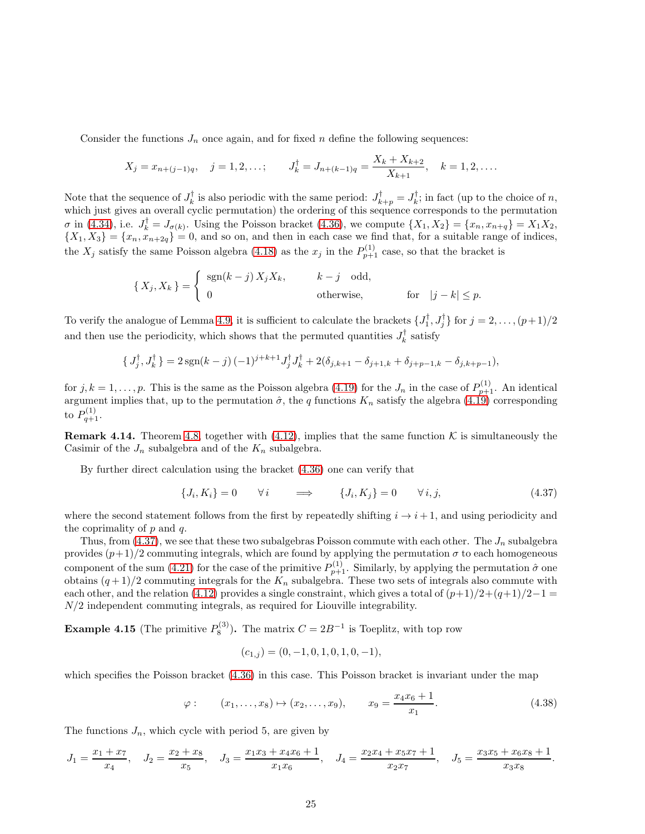Consider the functions  $J_n$  once again, and for fixed n define the following sequences:

$$
X_j = x_{n+(j-1)q}
$$
,  $j = 1, 2, ...$ ;  $J_k^{\dagger} = J_{n+(k-1)q} = \frac{X_k + X_{k+2}}{X_{k+1}}$ ,  $k = 1, 2, ...$ 

Note that the sequence of  $J_k^{\dagger}$  is also periodic with the same period:  $J_{k+p}^{\dagger} = J_k^{\dagger}$ ; in fact (up to the choice of n, which just gives an overall cyclic permutation) the ordering of this sequence corresponds to the permutation  $\sigma$  in [\(4.34\)](#page-23-1), i.e.  $J_k^{\dagger} = J_{\sigma(k)}$ . Using the Poisson bracket [\(4.36\)](#page-23-2), we compute  $\{X_1, X_2\} = \{x_n, x_{n+q}\} = X_1 X_2$ ,  $\{X_1, X_3\} = \{x_n, x_{n+2q}\} = 0$ , and so on, and then in each case we find that, for a suitable range of indices, the  $X_j$  satisfy the same Poisson algebra [\(4.18\)](#page-20-1) as the  $x_j$  in the  $P_{p+1}^{(1)}$  case, so that the bracket is

$$
\{X_j, X_k\} = \begin{cases} \operatorname{sgn}(k-j) X_j X_k, & k-j \text{ odd,} \\ 0 & \text{otherwise,} \end{cases}
$$
 for  $|j-k| \le p$ .

To verify the analogue of Lemma [4.9,](#page-20-0) it is sufficient to calculate the brackets  $\{J_1^{\dagger}, J_j^{\dagger}\}$  for  $j = 2, \ldots, (p+1)/2$ and then use the periodicity, which shows that the permuted quantities  $J_k^{\dagger}$  satisfy

$$
\{J_j^{\dagger}, J_k^{\dagger}\} = 2 \operatorname{sgn}(k-j) (-1)^{j+k+1} J_j^{\dagger} J_k^{\dagger} + 2(\delta_{j,k+1} - \delta_{j+1,k} + \delta_{j+p-1,k} - \delta_{j,k+p-1}),
$$

for  $j, k = 1, \ldots, p$ . This is the same as the Poisson algebra [\(4.19\)](#page-20-2) for the  $J_n$  in the case of  $P_{p+1}^{(1)}$ . An identical argument implies that, up to the permutation  $\hat{\sigma}$ , the q functions  $K_n$  satisfy the algebra  $(4.19)$  corresponding to  $P_{q+1}^{(1)}$ .

**Remark 4.14.** Theorem [4.8,](#page-19-2) together with [\(4.12\)](#page-16-0), implies that the same function K is simultaneously the Casimir of the  $J_n$  subalgebra and of the  $K_n$  subalgebra.

By further direct calculation using the bracket [\(4.36\)](#page-23-2) one can verify that

<span id="page-25-0"></span>
$$
\{J_i, K_i\} = 0 \qquad \forall i \qquad \Longrightarrow \qquad \{J_i, K_j\} = 0 \qquad \forall i, j,
$$
\n
$$
(4.37)
$$

where the second statement follows from the first by repeatedly shifting  $i \rightarrow i + 1$ , and using periodicity and the coprimality of  $p$  and  $q$ .

Thus, from  $(4.37)$ , we see that these two subalgebras Poisson commute with each other. The  $J_n$  subalgebra provides  $(p+1)/2$  commuting integrals, which are found by applying the permutation  $\sigma$  to each homogeneous component of the sum [\(4.21\)](#page-20-4) for the case of the primitive  $P_{p+1}^{(1)}$ . Similarly, by applying the permutation  $\hat{\sigma}$  one obtains  $(q+1)/2$  commuting integrals for the  $K_n$  subalgebra. These two sets of integrals also commute with each other, and the relation [\(4.12\)](#page-16-0) provides a single constraint, which gives a total of  $(p+1)/2+(q+1)/2-1$  = N/2 independent commuting integrals, as required for Liouville integrability.

**Example 4.15** (The primitive  $P_8^{(3)}$ ). The matrix  $C = 2B^{-1}$  is Toeplitz, with top row

$$
(c_{1,j}) = (0, -1, 0, 1, 0, 1, 0, -1),
$$

which specifies the Poisson bracket  $(4.36)$  in this case. This Poisson bracket is invariant under the map

$$
\varphi
$$
:  $(x_1, ..., x_8) \mapsto (x_2, ..., x_9), \qquad x_9 = \frac{x_4 x_6 + 1}{x_1}.$  (4.38)

The functions  $J_n$ , which cycle with period 5, are given by

$$
J_1 = \frac{x_1 + x_7}{x_4}, \quad J_2 = \frac{x_2 + x_8}{x_5}, \quad J_3 = \frac{x_1 x_3 + x_4 x_6 + 1}{x_1 x_6}, \quad J_4 = \frac{x_2 x_4 + x_5 x_7 + 1}{x_2 x_7}, \quad J_5 = \frac{x_3 x_5 + x_6 x_8 + 1}{x_3 x_8}.
$$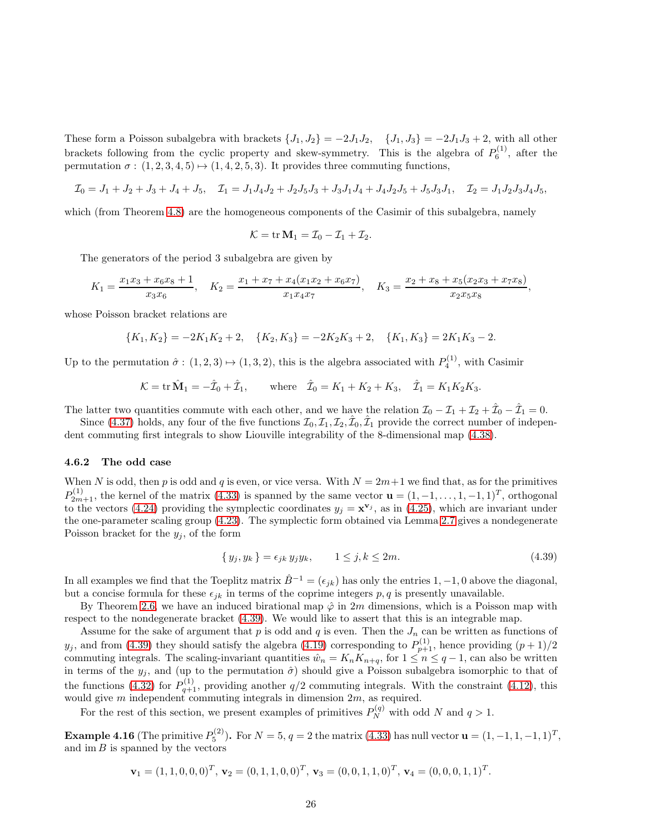These form a Poisson subalgebra with brackets  $\{J_1, J_2\} = -2J_1J_2$ ,  $\{J_1, J_3\} = -2J_1J_3 + 2$ , with all other brackets following from the cyclic property and skew-symmetry. This is the algebra of  $P_6^{(1)}$ , after the permutation  $\sigma : (1, 2, 3, 4, 5) \mapsto (1, 4, 2, 5, 3)$ . It provides three commuting functions,

$$
\mathcal{I}_0 = J_1 + J_2 + J_3 + J_4 + J_5, \quad \mathcal{I}_1 = J_1 J_4 J_2 + J_2 J_5 J_3 + J_3 J_1 J_4 + J_4 J_2 J_5 + J_5 J_3 J_1, \quad \mathcal{I}_2 = J_1 J_2 J_3 J_4 J_5,
$$

which (from Theorem [4.8\)](#page-19-2) are the homogeneous components of the Casimir of this subalgebra, namely

<span id="page-26-0"></span>
$$
\mathcal{K} = \operatorname{tr} \mathbf{M}_1 = \mathcal{I}_0 - \mathcal{I}_1 + \mathcal{I}_2.
$$

The generators of the period 3 subalgebra are given by

$$
K_1 = \frac{x_1x_3 + x_6x_8 + 1}{x_3x_6}, \quad K_2 = \frac{x_1 + x_7 + x_4(x_1x_2 + x_6x_7)}{x_1x_4x_7}, \quad K_3 = \frac{x_2 + x_8 + x_5(x_2x_3 + x_7x_8)}{x_2x_5x_8},
$$

whose Poisson bracket relations are

$$
\{K_1, K_2\} = -2K_1K_2 + 2, \quad \{K_2, K_3\} = -2K_2K_3 + 2, \quad \{K_1, K_3\} = 2K_1K_3 - 2.
$$

Up to the permutation  $\hat{\sigma}$ :  $(1,2,3) \mapsto (1,3,2)$ , this is the algebra associated with  $P_4^{(1)}$ , with Casimir

$$
K = \text{tr } \hat{\mathbf{M}}_1 = -\hat{\mathcal{I}}_0 + \hat{\mathcal{I}}_1
$$
, where  $\hat{\mathcal{I}}_0 = K_1 + K_2 + K_3$ ,  $\hat{\mathcal{I}}_1 = K_1 K_2 K_3$ .

The latter two quantities commute with each other, and we have the relation  $\mathcal{I}_0 - \mathcal{I}_1 + \mathcal{I}_2 + \hat{\mathcal{I}}_0 - \hat{\mathcal{I}}_1 = 0$ .

Since [\(4.37\)](#page-24-0) holds, any four of the five functions  $\mathcal{I}_0, \mathcal{I}_1, \mathcal{I}_2, \hat{\mathcal{I}}_0, \hat{\mathcal{I}}_1$  provide the correct number of independent commuting first integrals to show Liouville integrability of the 8-dimensional map [\(4.38\)](#page-24-1).

#### 4.6.2 The odd case

When N is odd, then p is odd and q is even, or vice versa. With  $N = 2m+1$  we find that, as for the primitives  $P_{2m+1}^{(1)}$ , the kernel of the matrix [\(4.33\)](#page-23-0) is spanned by the same vector  $\mathbf{u} = (1, -1, \ldots, 1, -1, 1)^T$ , orthogonal to the vectors [\(4.24\)](#page-21-6) providing the symplectic coordinates  $y_j = x^{\mathbf{v}_j}$ , as in [\(4.25\)](#page-21-3), which are invariant under the one-parameter scaling group [\(4.23\)](#page-20-5). The symplectic form obtained via Lemma [2.7](#page-6-2) gives a nondegenerate Poisson bracket for the  $y_j$ , of the form

$$
\{y_j, y_k\} = \epsilon_{jk} y_j y_k, \qquad 1 \le j, k \le 2m. \tag{4.39}
$$

In all examples we find that the Toeplitz matrix  $\hat{B}^{-1} = (\epsilon_{jk})$  has only the entries 1, -1,0 above the diagonal, but a concise formula for these  $\epsilon_{ik}$  in terms of the coprime integers p, q is presently unavailable.

By Theorem [2.6,](#page-5-0) we have an induced birational map  $\hat{\varphi}$  in 2m dimensions, which is a Poisson map with respect to the nondegenerate bracket [\(4.39\)](#page-25-0). We would like to assert that this is an integrable map.

Assume for the sake of argument that p is odd and q is even. Then the  $J_n$  can be written as functions of  $y_j$ , and from [\(4.39\)](#page-25-0) they should satisfy the algebra [\(4.19\)](#page-20-2) corresponding to  $P_{p+1}^{(1)}$ , hence providing  $(p+1)/2$ commuting integrals. The scaling-invariant quantities  $\hat{w}_n = K_n K_{n+q}$ , for  $1 \le n \le q-1$ , can also be written in terms of the  $y_j$ , and (up to the permutation  $\hat{\sigma}$ ) should give a Poisson subalgebra isomorphic to that of the functions [\(4.32\)](#page-22-2) for  $P_{q+1}^{(1)}$ , providing another  $q/2$  commuting integrals. With the constraint [\(4.12\)](#page-16-0), this would give  $m$  independent commuting integrals in dimension  $2m$ , as required.

For the rest of this section, we present examples of primitives  $P_N^{(q)}$  with odd N and  $q > 1$ .

**Example 4.16** (The primitive  $P_5^{(2)}$ ). For  $N = 5$ ,  $q = 2$  the matrix [\(4.33\)](#page-23-0) has null vector  $\mathbf{u} = (1, -1, 1, -1, 1)^T$ , and  $\text{im } B$  is spanned by the vectors

$$
\mathbf{v}_1 = (1, 1, 0, 0, 0)^T, \mathbf{v}_2 = (0, 1, 1, 0, 0)^T, \mathbf{v}_3 = (0, 0, 1, 1, 0)^T, \mathbf{v}_4 = (0, 0, 0, 1, 1)^T.
$$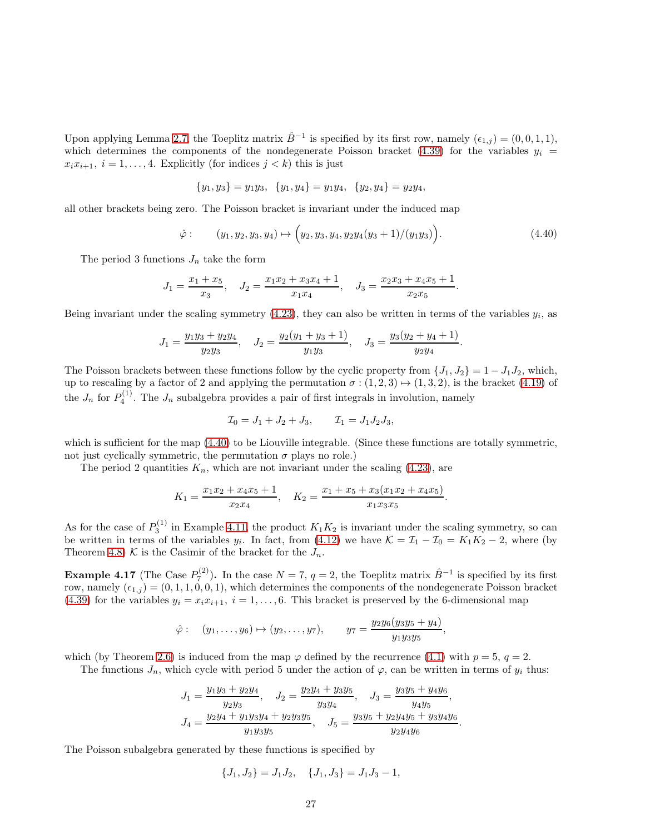Upon applying Lemma [2.7,](#page-6-2) the Toeplitz matrix  $\hat{B}^{-1}$  is specified by its first row, namely  $(\epsilon_{1,j}) = (0,0,1,1)$ , which determines the components of the nondegenerate Poisson bracket [\(4.39\)](#page-25-0) for the variables  $y_i$  =  $x_i x_{i+1}, i = 1, \ldots, 4$ . Explicitly (for indices  $j < k$ ) this is just

$$
\{y_1, y_3\} = y_1y_3, \ \{y_1, y_4\} = y_1y_4, \ \{y_2, y_4\} = y_2y_4,
$$

all other brackets being zero. The Poisson bracket is invariant under the induced map

$$
\hat{\varphi} : \qquad (y_1, y_2, y_3, y_4) \mapsto (y_2, y_3, y_4, y_2 y_4 (y_3 + 1) / (y_1 y_3)). \tag{4.40}
$$

The period 3 functions  $J_n$  take the form

$$
J_1 = \frac{x_1 + x_5}{x_3}, \quad J_2 = \frac{x_1 x_2 + x_3 x_4 + 1}{x_1 x_4}, \quad J_3 = \frac{x_2 x_3 + x_4 x_5 + 1}{x_2 x_5}.
$$

Being invariant under the scaling symmetry  $(4.23)$ , they can also be written in terms of the variables  $y_i$ , as

$$
J_1 = \frac{y_1 y_3 + y_2 y_4}{y_2 y_3}, \quad J_2 = \frac{y_2 (y_1 + y_3 + 1)}{y_1 y_3}, \quad J_3 = \frac{y_3 (y_2 + y_4 + 1)}{y_2 y_4}.
$$

The Poisson brackets between these functions follow by the cyclic property from  $\{J_1, J_2\} = 1 - J_1J_2$ , which, up to rescaling by a factor of 2 and applying the permutation  $\sigma : (1, 2, 3) \mapsto (1, 3, 2)$ , is the bracket [\(4.19\)](#page-20-2) of the  $J_n$  for  $P_4^{(1)}$ . The  $J_n$  subalgebra provides a pair of first integrals in involution, namely

$$
\mathcal{I}_0 = J_1 + J_2 + J_3, \qquad \mathcal{I}_1 = J_1 J_2 J_3,
$$

which is sufficient for the map  $(4.40)$  to be Liouville integrable. (Since these functions are totally symmetric, not just cyclically symmetric, the permutation  $\sigma$  plays no role.)

The period 2 quantities  $K_n$ , which are not invariant under the scaling [\(4.23\)](#page-20-5), are

$$
K_1 = \frac{x_1 x_2 + x_4 x_5 + 1}{x_2 x_4}, \quad K_2 = \frac{x_1 + x_5 + x_3 (x_1 x_2 + x_4 x_5)}{x_1 x_3 x_5}.
$$

As for the case of  $P_3^{(1)}$  in Example [4.11,](#page-22-0) the product  $K_1K_2$  is invariant under the scaling symmetry, so can be written in terms of the variables  $y_i$ . In fact, from [\(4.12\)](#page-16-0) we have  $\mathcal{K} = \mathcal{I}_1 - \mathcal{I}_0 = K_1K_2 - 2$ , where (by Theorem [4.8\)](#page-19-2) K is the Casimir of the bracket for the  $J_n$ .

**Example 4.17** (The Case  $P_7^{(2)}$ ). In the case  $N = 7$ ,  $q = 2$ , the Toeplitz matrix  $\hat{B}^{-1}$  is specified by its first row, namely  $(\epsilon_{1,j}) = (0, 1, 1, 0, 0, 1)$ , which determines the components of the nondegenerate Poisson bracket [\(4.39\)](#page-25-0) for the variables  $y_i = x_i x_{i+1}$ ,  $i = 1, ..., 6$ . This bracket is preserved by the 6-dimensional map

$$
\hat{\varphi}:\quad (y_1,\ldots,y_6)\mapsto (y_2,\ldots,y_7),\qquad y_7=\frac{y_2y_6(y_3y_5+y_4)}{y_1y_3y_5},
$$

which (by Theorem [2.6\)](#page-5-0) is induced from the map  $\varphi$  defined by the recurrence [\(4.1\)](#page-14-1) with  $p = 5$ ,  $q = 2$ .

The functions  $J_n$ , which cycle with period 5 under the action of  $\varphi$ , can be written in terms of  $y_i$  thus:

$$
J_1 = \frac{y_1y_3 + y_2y_4}{y_2y_3}, \quad J_2 = \frac{y_2y_4 + y_3y_5}{y_3y_4}, \quad J_3 = \frac{y_3y_5 + y_4y_6}{y_4y_5},
$$
  

$$
J_4 = \frac{y_2y_4 + y_1y_3y_4 + y_2y_3y_5}{y_1y_3y_5}, \quad J_5 = \frac{y_3y_5 + y_2y_4y_5 + y_3y_4y_6}{y_2y_4y_6}.
$$

The Poisson subalgebra generated by these functions is specified by

$$
\{J_1, J_2\} = J_1 J_2, \quad \{J_1, J_3\} = J_1 J_3 - 1,
$$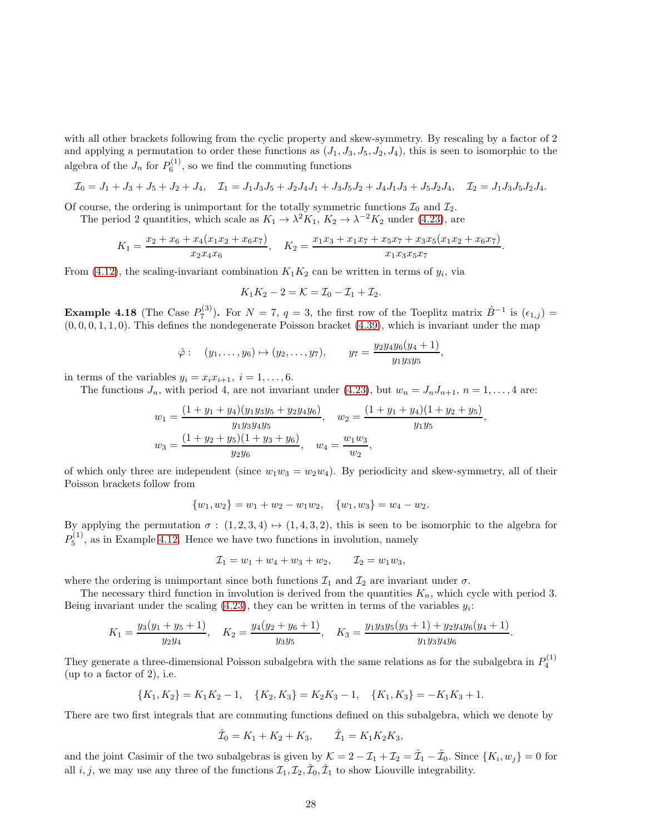<span id="page-28-0"></span>with all other brackets following from the cyclic property and skew-symmetry. By rescaling by a factor of 2 and applying a permutation to order these functions as  $(J_1, J_3, J_5, J_2, J_4)$ , this is seen to isomorphic to the algebra of the  $J_n$  for  $P_6^{(1)}$ , so we find the commuting functions

$$
\mathcal{I}_0 = J_1 + J_3 + J_5 + J_2 + J_4, \quad \mathcal{I}_1 = J_1 J_3 J_5 + J_2 J_4 J_1 + J_3 J_5 J_2 + J_4 J_1 J_3 + J_5 J_2 J_4, \quad \mathcal{I}_2 = J_1 J_3 J_5 J_2 J_4.
$$

Of course, the ordering is unimportant for the totally symmetric functions  $\mathcal{I}_0$  and  $\mathcal{I}_2$ .

The period 2 quantities, which scale as  $K_1 \to \lambda^2 K_1$ ,  $K_2 \to \lambda^{-2} K_2$  under [\(4.23\)](#page-20-5), are

<span id="page-28-1"></span>
$$
K_1 = \frac{x_2 + x_6 + x_4(x_1x_2 + x_6x_7)}{x_2x_4x_6}, \quad K_2 = \frac{x_1x_3 + x_1x_7 + x_5x_7 + x_3x_5(x_1x_2 + x_6x_7)}{x_1x_3x_5x_7}.
$$

From [\(4.12\)](#page-16-0), the scaling-invariant combination  $K_1K_2$  can be written in terms of  $y_i$ , via

<span id="page-28-4"></span>
$$
K_1K_2 - 2 = \mathcal{K} = \mathcal{I}_0 - \mathcal{I}_1 + \mathcal{I}_2.
$$

**Example 4.18** (The Case  $P_7^{(3)}$ ). For  $N = 7$ ,  $q = 3$ , the first row of the Toeplitz matrix  $\hat{B}^{-1}$  is  $(\epsilon_{1,j}) =$  $(0, 0, 0, 1, 1, 0)$ . This defines the nondegenerate Poisson bracket  $(4.39)$ , which is invariant under the map

$$
\hat{\varphi}:\quad (y_1,\ldots,y_6)\mapsto (y_2,\ldots,y_7),\qquad y_7=\frac{y_2y_4y_6(y_4+1)}{y_1y_3y_5},
$$

in terms of the variables  $y_i = x_i x_{i+1}, i = 1, \ldots, 6$ .

The functions  $J_n$ , with period 4, are not invariant under [\(4.23\)](#page-20-5), but  $w_n = J_n J_{n+1}, n = 1, \ldots, 4$  are:

$$
w_1 = \frac{(1 + y_1 + y_4)(y_1y_3y_5 + y_2y_4y_6)}{y_1y_3y_4y_5}, \quad w_2 = \frac{(1 + y_1 + y_4)(1 + y_2 + y_5)}{y_1y_5},
$$
  

$$
w_3 = \frac{(1 + y_2 + y_5)(1 + y_3 + y_6)}{y_2y_6}, \quad w_4 = \frac{w_1w_3}{w_2},
$$

of which only three are independent (since  $w_1w_3 = w_2w_4$ ). By periodicity and skew-symmetry, all of their Poisson brackets follow from

$$
\{w_1, w_2\} = w_1 + w_2 - w_1 w_2, \quad \{w_1, w_3\} = w_4 - w_2.
$$

By applying the permutation  $\sigma : (1, 2, 3, 4) \mapsto (1, 4, 3, 2)$ , this is seen to be isomorphic to the algebra for  $P_5^{(1)}$ , as in Example [4.12.](#page-22-3) Hence we have two functions in involution, namely

$$
\mathcal{I}_1 = w_1 + w_4 + w_3 + w_2, \qquad \mathcal{I}_2 = w_1 w_3,
$$

where the ordering is unimportant since both functions  $\mathcal{I}_1$  and  $\mathcal{I}_2$  are invariant under  $\sigma$ .

The necessary third function in involution is derived from the quantities  $K_n$ , which cycle with period 3. Being invariant under the scaling  $(4.23)$ , they can be written in terms of the variables  $y_i$ :

$$
K_1 = \frac{y_3(y_1 + y_5 + 1)}{y_2 y_4}, \quad K_2 = \frac{y_4(y_2 + y_6 + 1)}{y_3 y_5}, \quad K_3 = \frac{y_1 y_3 y_5(y_3 + 1) + y_2 y_4 y_6(y_4 + 1)}{y_1 y_3 y_4 y_6}
$$

.

They generate a three-dimensional Poisson subalgebra with the same relations as for the subalgebra in  $P_4^{(1)}$ (up to a factor of 2), i.e.

$$
\{K_1, K_2\} = K_1 K_2 - 1, \quad \{K_2, K_3\} = K_2 K_3 - 1, \quad \{K_1, K_3\} = -K_1 K_3 + 1.
$$

There are two first integrals that are commuting functions defined on this subalgebra, which we denote by

<span id="page-28-3"></span><span id="page-28-2"></span>
$$
\hat{\mathcal{I}}_0 = K_1 + K_2 + K_3, \qquad \hat{\mathcal{I}}_1 = K_1 K_2 K_3,
$$

and the joint Casimir of the two subalgebras is given by  $\mathcal{K} = 2 - \mathcal{I}_1 + \mathcal{I}_2 = \hat{\mathcal{I}}_1 - \hat{\mathcal{I}}_0$ . Since  $\{K_i, w_j\} = 0$  for all *i*, *j*, we may use any three of the functions  $\mathcal{I}_1, \mathcal{I}_2, \hat{\mathcal{I}}_0, \hat{\mathcal{I}}_1$  to show Liouville integrability.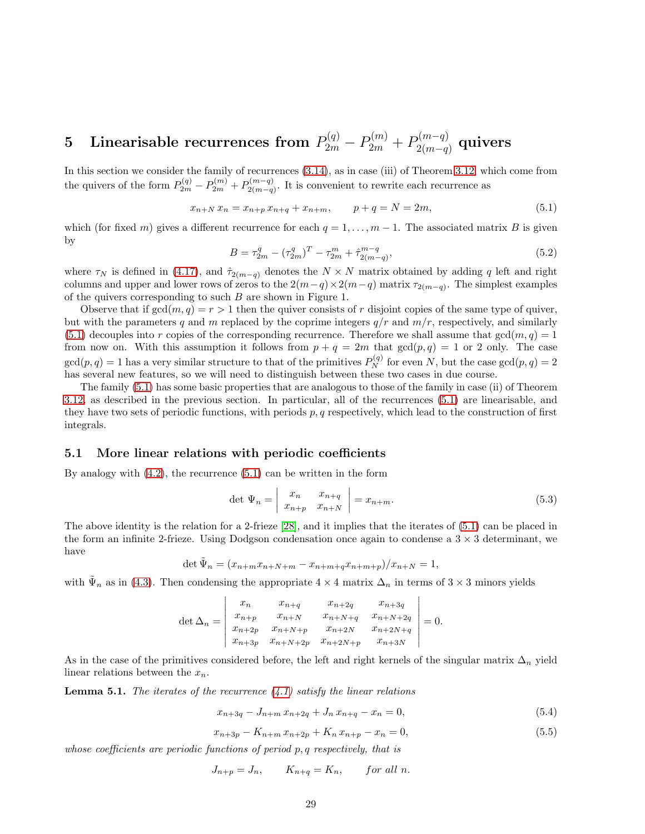## $\textbf{5} \quad \textbf{Linearisable recurrences from} \ \ P_{2m}^{(q)} - P_{2m}^{(m)} + P_{2(m-q)}^{(m-q)}$  $\mathfrak{a}_{2(m-q)}^{(m-q)}$  quivers

In this section we consider the family of recurrences [\(3.14\)](#page-14-3), as in case (iii) of Theorem [3.12,](#page-13-0) which come from the quivers of the form  $P_{2m}^{(q)} - P_{2m}^{(m)} + P_{2(m-q)}^{(m-q)}$  $2(m-q)$ . It is convenient to rewrite each recurrence as

$$
x_{n+N} x_n = x_{n+p} x_{n+q} + x_{n+m}, \qquad p+q=N=2m,
$$
\n(5.1)

which (for fixed m) gives a different recurrence for each  $q = 1, \ldots, m - 1$ . The associated matrix B is given by

$$
B = \tau_{2m}^q - (\tau_{2m}^q)^T - \tau_{2m}^m + \hat{\tau}_{2(m-q)}^{m-q},
$$
\n(5.2)

where  $\tau_N$  is defined in [\(4.17\)](#page-19-1), and  $\hat{\tau}_{2(m-q)}$  denotes the  $N \times N$  matrix obtained by adding q left and right columns and upper and lower rows of zeros to the  $2(m-q) \times 2(m-q)$  matrix  $\tau_{2(m-q)}$ . The simplest examples of the quivers corresponding to such  $B$  are shown in Figure 1.

Observe that if  $gcd(m, q) = r > 1$  then the quiver consists of r disjoint copies of the same type of quiver, but with the parameters q and m replaced by the coprime integers  $q/r$  and  $m/r$ , respectively, and similarly [\(5.1\)](#page-28-1) decouples into r copies of the corresponding recurrence. Therefore we shall assume that  $gcd(m, q) = 1$ from now on. With this assumption it follows from  $p + q = 2m$  that  $gcd(p, q) = 1$  or 2 only. The case  $gcd(p, q) = 1$  has a very similar structure to that of the primitives  $P_N^{(q)}$  for even N, but the case  $gcd(p, q) = 2$ has several new features, so we will need to distinguish between these two cases in due course.

<span id="page-29-0"></span>The family [\(5.1\)](#page-28-1) has some basic properties that are analogous to those of the family in case (ii) of Theorem [3.12,](#page-13-0) as described in the previous section. In particular, all of the recurrences [\(5.1\)](#page-28-1) are linearisable, and they have two sets of periodic functions, with periods  $p, q$  respectively, which lead to the construction of first integrals.

#### 5.1 More linear relations with periodic coefficients

By analogy with  $(4.2)$ , the recurrence  $(5.1)$  can be written in the form

$$
\det \Psi_n = \begin{vmatrix} x_n & x_{n+q} \\ x_{n+p} & x_{n+N} \end{vmatrix} = x_{n+m}.\tag{5.3}
$$

The above identity is the relation for a 2-frieze [\[28\]](#page-48-15), and it implies that the iterates of [\(5.1\)](#page-28-1) can be placed in the form an infinite 2-frieze. Using Dodgson condensation once again to condense a  $3 \times 3$  determinant, we have

$$
\det \tilde{\Psi}_n = (x_{n+m}x_{n+N+m} - x_{n+m+q}x_{n+m+p})/x_{n+N} = 1,
$$

with  $\tilde{\Psi}_n$  as in [\(4.3\)](#page-15-3). Then condensing the appropriate  $4 \times 4$  matrix  $\Delta_n$  in terms of  $3 \times 3$  minors yields

$$
\det \Delta_n = \begin{vmatrix} x_n & x_{n+q} & x_{n+2q} & x_{n+3q} \\ x_{n+p} & x_{n+N} & x_{n+N+q} & x_{n+N+2q} \\ x_{n+2p} & x_{n+N+p} & x_{n+2N} & x_{n+2N+q} \\ x_{n+3p} & x_{n+N+2p} & x_{n+2N+p} & x_{n+3N} \end{vmatrix} = 0.
$$

As in the case of the primitives considered before, the left and right kernels of the singular matrix  $\Delta_n$  yield linear relations between the  $x_n$ .

**Lemma 5.1.** The iterates of the recurrence  $(4.1)$  satisfy the linear relations

$$
x_{n+3q} - J_{n+m} x_{n+2q} + J_n x_{n+q} - x_n = 0,
$$
\n(5.4)

$$
x_{n+3p} - K_{n+m} x_{n+2p} + K_n x_{n+p} - x_n = 0,
$$
\n(5.5)

whose coefficients are periodic functions of period p, q respectively, that is

$$
J_{n+p} = J_n, \qquad K_{n+q} = K_n, \qquad \text{for all } n.
$$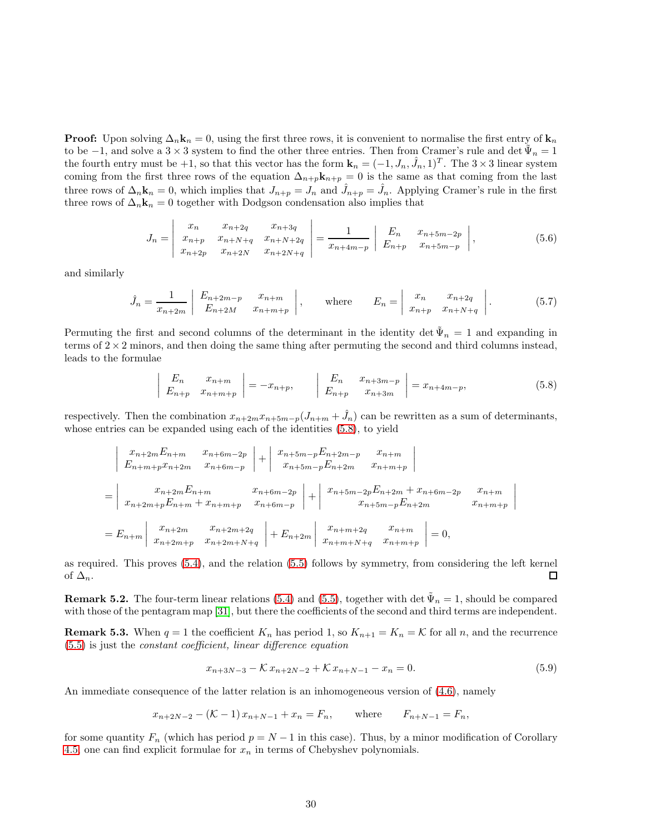**Proof:** Upon solving  $\Delta_n \mathbf{k}_n = 0$ , using the first three rows, it is convenient to normalise the first entry of  $\mathbf{k}_n$ to be  $-1$ , and solve a 3 × 3 system to find the other three entries. Then from Cramer's rule and det  $\tilde{\Psi}_n = 1$ the fourth entry must be +1, so that this vector has the form  $\mathbf{k}_n = (-1, J_n, \hat{J}_n, 1)^T$ . The  $3 \times 3$  linear system coming from the first three rows of the equation  $\Delta_{n+p}$ **k**<sub>n+p</sub> = 0 is the same as that coming from the last three rows of  $\Delta_n \mathbf{k}_n = 0$ , which implies that  $J_{n+p} = J_n$  and  $\hat{J}_{n+p} = \hat{J}_n$ . Applying Cramer's rule in the first three rows of  $\Delta_n \mathbf{k}_n = 0$  together with Dodgson condensation also implies that

$$
J_n = \begin{vmatrix} x_n & x_{n+2q} & x_{n+3q} \\ x_{n+p} & x_{n+N+q} & x_{n+N+2q} \\ x_{n+2p} & x_{n+2N} & x_{n+2N+q} \end{vmatrix} = \frac{1}{x_{n+4m-p}} \begin{vmatrix} E_n & x_{n+5m-2p} \\ E_{n+p} & x_{n+5m-p} \end{vmatrix},
$$
(5.6)

and similarly

$$
\hat{J}_n = \frac{1}{x_{n+2m}} \begin{vmatrix} E_{n+2m-p} & x_{n+m} \\ E_{n+2M} & x_{n+m+p} \end{vmatrix}, \quad \text{where} \quad E_n = \begin{vmatrix} x_n & x_{n+2q} \\ x_{n+p} & x_{n+N+q} \end{vmatrix}.
$$
 (5.7)

Permuting the first and second columns of the determinant in the identity det  $\tilde{\Psi}_n = 1$  and expanding in terms of  $2 \times 2$  minors, and then doing the same thing after permuting the second and third columns instead, leads to the formulae

<span id="page-30-0"></span>
$$
\begin{vmatrix} E_n & x_{n+m} \\ E_{n+p} & x_{n+m+p} \end{vmatrix} = -x_{n+p}, \qquad \begin{vmatrix} E_n & x_{n+3m-p} \\ E_{n+p} & x_{n+3m} \end{vmatrix} = x_{n+4m-p}, \tag{5.8}
$$

respectively. Then the combination  $x_{n+2m}x_{n+5m-p}(J_{n+m} + \hat{J}_n)$  can be rewritten as a sum of determinants, whose entries can be expanded using each of the identities  $(5.8)$ , to yield

<span id="page-30-1"></span>
$$
\begin{vmatrix}\nx_{n+2m}E_{n+m} & x_{n+6m-2p} \\
E_{n+m+p}x_{n+2m} & x_{n+6m-p}\n\end{vmatrix} + \begin{vmatrix}\nx_{n+5m-p}E_{n+2m-p} & x_{n+m} \\
x_{n+5m-p}E_{n+2m} & x_{n+m+p}\n\end{vmatrix}
$$
\n
$$
= \begin{vmatrix}\nx_{n+2m}E_{n+m} & x_{n+6m-2p} \\
x_{n+2m+p}E_{n+m} + x_{n+m+p} & x_{n+6m-p}\n\end{vmatrix} + \begin{vmatrix}\nx_{n+5m-2p}E_{n+2m} + x_{n+6m-2p} & x_{n+m} \\
x_{n+5m-p}E_{n+2m} & x_{n+m+p}\n\end{vmatrix}
$$
\n
$$
= E_{n+m} \begin{vmatrix}\nx_{n+2m} & x_{n+2m+2q} \\
x_{n+2m+p} & x_{n+2m+N+q}\n\end{vmatrix} + E_{n+2m} \begin{vmatrix}\nx_{n+m+2q} & x_{n+m} \\
x_{n+m+N+q} & x_{n+m+p}\n\end{vmatrix} = 0,
$$

as required. This proves [\(5.4\)](#page-28-2), and the relation [\(5.5\)](#page-28-3) follows by symmetry, from considering the left kernel of  $\Delta_n$ .  $\Box$ 

**Remark 5.2.** The four-term linear relations [\(5.4\)](#page-28-2) and [\(5.5\)](#page-28-3), together with det  $\tilde{\Psi}_n = 1$ , should be compared with those of the pentagram map [\[31\]](#page-48-16), but there the coefficients of the second and third terms are independent.

<span id="page-30-3"></span>**Remark 5.3.** When  $q = 1$  the coefficient  $K_n$  has period 1, so  $K_{n+1} = K_n = \mathcal{K}$  for all n, and the recurrence [\(5.5\)](#page-28-3) is just the constant coefficient, linear difference equation

<span id="page-30-2"></span>
$$
x_{n+3N-3} - \mathcal{K}x_{n+2N-2} + \mathcal{K}x_{n+N-1} - x_n = 0.
$$
 (5.9)

An immediate consequence of the latter relation is an inhomogeneous version of [\(4.6\)](#page-15-2), namely

$$
x_{n+2N-2} - (\mathcal{K} - 1) x_{n+N-1} + x_n = F_n
$$
, where  $F_{n+N-1} = F_n$ ,

for some quantity  $F_n$  (which has period  $p = N - 1$  in this case). Thus, by a minor modification of Corollary [4.5,](#page-17-2) one can find explicit formulae for  $x_n$  in terms of Chebyshev polynomials.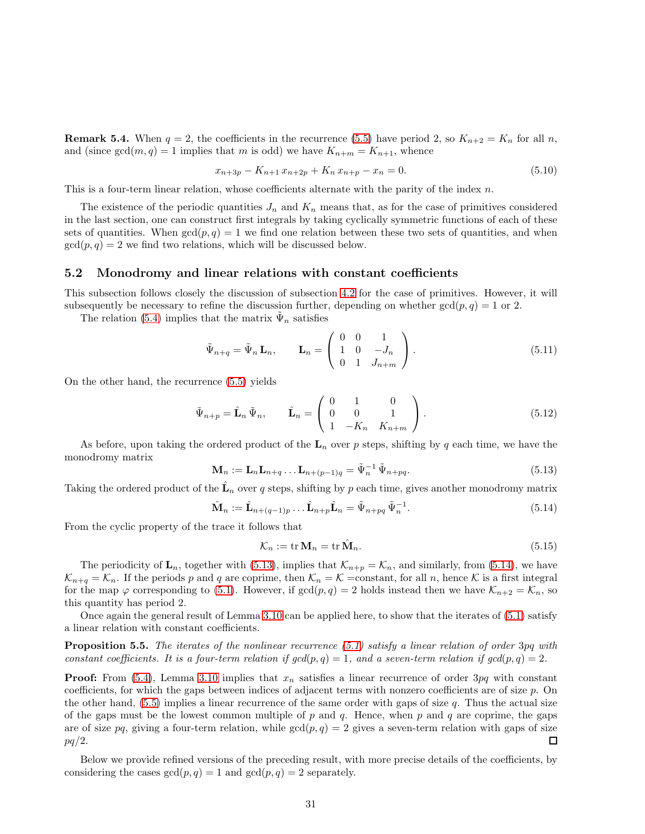**Remark 5.4.** When  $q = 2$ , the coefficients in the recurrence [\(5.5\)](#page-28-3) have period 2, so  $K_{n+2} = K_n$  for all n, and (since  $gcd(m, q) = 1$  implies that m is odd) we have  $K_{n+m} = K_{n+1}$ , whence

$$
x_{n+3p} - K_{n+1}x_{n+2p} + K_n x_{n+p} - x_n = 0.
$$
\n(5.10)

This is a four-term linear relation, whose coefficients alternate with the parity of the index  $n$ .

The existence of the periodic quantities  $J_n$  and  $K_n$  means that, as for the case of primitives considered in the last section, one can construct first integrals by taking cyclically symmetric functions of each of these sets of quantities. When  $gcd(p, q) = 1$  we find one relation between these two sets of quantities, and when  $gcd(p, q) = 2$  we find two relations, which will be discussed below.

#### 5.2 Monodromy and linear relations with constant coefficients

This subsection follows closely the discussion of subsection [4.2](#page-16-4) for the case of primitives. However, it will subsequently be necessary to refine the discussion further, depending on whether  $gcd(p, q) = 1$  or 2.

The relation [\(5.4\)](#page-28-2) implies that the matrix  $\tilde{\Psi}_n$  satisfies

$$
\tilde{\Psi}_{n+q} = \tilde{\Psi}_n \mathbf{L}_n, \qquad \mathbf{L}_n = \begin{pmatrix} 0 & 0 & 1 \\ 1 & 0 & -J_n \\ 0 & 1 & J_{n+m} \end{pmatrix}.
$$
\n(5.11)

On the other hand, the recurrence [\(5.5\)](#page-28-3) yields

$$
\tilde{\Psi}_{n+p} = \hat{\mathbf{L}}_n \, \tilde{\Psi}_n, \qquad \hat{\mathbf{L}}_n = \begin{pmatrix} 0 & 1 & 0 \\ 0 & 0 & 1 \\ 1 & -K_n & K_{n+m} \end{pmatrix} . \tag{5.12}
$$

As before, upon taking the ordered product of the  $L_n$  over p steps, shifting by q each time, we have the monodromy matrix

<span id="page-31-0"></span>
$$
\mathbf{M}_n := \mathbf{L}_n \mathbf{L}_{n+q} \dots \mathbf{L}_{n+(p-1)q} = \tilde{\Psi}_n^{-1} \tilde{\Psi}_{n+pq}.
$$
\n(5.13)

<span id="page-31-2"></span>Taking the ordered product of the  $\hat{\mathbf{L}}_n$  over q steps, shifting by p each time, gives another monodromy matrix

<span id="page-31-1"></span>
$$
\hat{\mathbf{M}}_n := \hat{\mathbf{L}}_{n+(q-1)p} \dots \hat{\mathbf{L}}_{n+p} \hat{\mathbf{L}}_n = \tilde{\Psi}_{n+pq} \tilde{\Psi}_n^{-1}.
$$
\n(5.14)

From the cyclic property of the trace it follows that

$$
\mathcal{K}_n := \text{tr}\,\mathbf{M}_n = \text{tr}\,\hat{\mathbf{M}}_n. \tag{5.15}
$$

The periodicity of  $\mathbf{L}_n$ , together with [\(5.13\)](#page-30-0), implies that  $\mathcal{K}_{n+p} = \mathcal{K}_n$ , and similarly, from [\(5.14\)](#page-30-1), we have  $\mathcal{K}_{n+q} = \mathcal{K}_n$ . If the periods p and q are coprime, then  $\mathcal{K}_n = \mathcal{K}$  = constant, for all n, hence  $\mathcal K$  is a first integral for the map  $\varphi$  corresponding to [\(5.1\)](#page-28-1). However, if  $gcd(p, q) = 2$  holds instead then we have  $\mathcal{K}_{n+2} = \mathcal{K}_n$ , so this quantity has period 2.

Once again the general result of Lemma [3.10](#page-12-1) can be applied here, to show that the iterates of [\(5.1\)](#page-28-1) satisfy a linear relation with constant coefficients.

**Proposition 5.5.** The iterates of the nonlinear recurrence  $(5.1)$  satisfy a linear relation of order 3pq with constant coefficients. It is a four-term relation if  $gcd(p,q) = 1$ , and a seven-term relation if  $gcd(p,q) = 2$ .

**Proof:** From [\(5.4\)](#page-28-2), Lemma [3.10](#page-12-1) implies that  $x_n$  satisfies a linear recurrence of order 3pq with constant coefficients, for which the gaps between indices of adjacent terms with nonzero coefficients are of size p. On the other hand,  $(5.5)$  implies a linear recurrence of the same order with gaps of size q. Thus the actual size of the gaps must be the lowest common multiple of p and q. Hence, when p and q are coprime, the gaps are of size pq, giving a four-term relation, while  $gcd(p, q) = 2$  gives a seven-term relation with gaps of size  $pq/2$ .  $\Box$ 

Below we provide refined versions of the preceding result, with more precise details of the coefficients, by considering the cases  $gcd(p, q) = 1$  and  $gcd(p, q) = 2$  separately.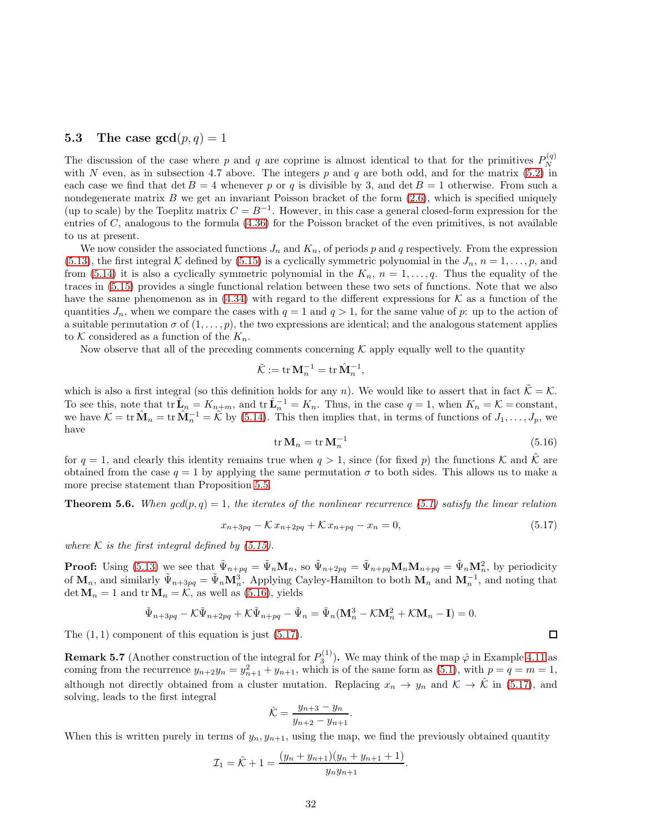### 5.3 The case  $gcd(p, q) = 1$

The discussion of the case where p and q are coprime is almost identical to that for the primitives  $P_N^{(q)}$ N with N even, as in subsection 4.7 above. The integers p and q are both odd, and for the matrix  $(5.2)$  in each case we find that det  $B = 4$  whenever p or q is divisible by 3, and det  $B = 1$  otherwise. From such a nondegenerate matrix  $B$  we get an invariant Poisson bracket of the form  $(2.6)$ , which is specified uniquely (up to scale) by the Toeplitz matrix  $C = B^{-1}$ . However, in this case a general closed-form expression for the entries of  $C$ , analogous to the formula  $(4.36)$  for the Poisson bracket of the even primitives, is not available to us at present.

We now consider the associated functions  $J_n$  and  $K_n$ , of periods p and q respectively. From the expression [\(5.13\)](#page-30-0), the first integral K defined by [\(5.15\)](#page-30-2) is a cyclically symmetric polynomial in the  $J_n$ ,  $n = 1, \ldots, p$ , and from [\(5.14\)](#page-30-1) it is also a cyclically symmetric polynomial in the  $K_n$ ,  $n = 1, \ldots, q$ . Thus the equality of the traces in [\(5.15\)](#page-30-2) provides a single functional relation between these two sets of functions. Note that we also have the same phenomenon as in  $(4.34)$  with regard to the different expressions for K as a function of the quantities  $J_n$ , when we compare the cases with  $q = 1$  and  $q > 1$ , for the same value of p: up to the action of a suitable permutation  $\sigma$  of  $(1,\ldots,p)$ , the two expressions are identical; and the analogous statement applies to K considered as a function of the  $K_n$ .

Now observe that all of the preceding comments concerning  $K$  apply equally well to the quantity

$$
\tilde{\mathcal{K}} := \operatorname{tr} \mathbf{M}_n^{-1} = \operatorname{tr} \hat{\mathbf{M}}_n^{-1},
$$

<span id="page-32-1"></span>which is also a first integral (so this definition holds for any n). We would like to assert that in fact  $\tilde{\mathcal{K}} = \mathcal{K}$ . To see this, note that  $tr \hat{\mathbf{L}}_n = K_{n+m}$ , and  $tr \hat{\mathbf{L}}_n^{-1} = K_n$ . Thus, in the case  $q = 1$ , when  $K_n = \mathcal{K}$  = constant, we have  $\mathcal{K} = \text{tr} \,\hat{\mathbf{M}}_n = \text{tr} \,\hat{\mathbf{M}}_n^{-1} = \tilde{\mathcal{K}}$  by [\(5.14\)](#page-30-1). This then implies that, in terms of functions of  $J_1, \ldots, J_p$ , we have

$$
\operatorname{tr} \mathbf{M}_n = \operatorname{tr} \mathbf{M}_n^{-1} \tag{5.16}
$$

for  $q = 1$ , and clearly this identity remains true when  $q > 1$ , since (for fixed p) the functions K and K are obtained from the case  $q = 1$  by applying the same permutation  $\sigma$  to both sides. This allows us to make a more precise statement than Proposition [5.5.](#page-30-3)

**Theorem 5.6.** When  $gcd(p, q) = 1$ , the iterates of the nonlinear recurrence [\(5.1\)](#page-28-1) satisfy the linear relation

<span id="page-32-0"></span>
$$
x_{n+3pq} - \mathcal{K}x_{n+2pq} + \mathcal{K}x_{n+pq} - x_n = 0,
$$
\n(5.17)

where K is the first integral defined by  $(5.15)$ .

**Proof:** Using [\(5.13\)](#page-30-0) we see that  $\tilde{\Psi}_{n+pq} = \tilde{\Psi}_n \mathbf{M}_n$ , so  $\tilde{\Psi}_{n+2pq} = \tilde{\Psi}_{n+pq} \mathbf{M}_n \mathbf{M}_{n+pq} = \tilde{\Psi}_n \mathbf{M}_n^2$ , by periodicity of  $\mathbf{M}_n$ , and similarly  $\tilde{\Psi}_{n+3pq} = \tilde{\Psi}_n \mathbf{M}_n^3$ . Applying Cayley-Hamilton to both  $\mathbf{M}_n$  and  $\mathbf{M}_n^{-1}$ , and noting that det  $M_n = 1$  and  $tr M_n = K$ , as well as [\(5.16\)](#page-31-0), yields

$$
\tilde{\Psi}_{n+3pq} - \mathcal{K}\tilde{\Psi}_{n+2pq} + \mathcal{K}\tilde{\Psi}_{n+pq} - \tilde{\Psi}_n = \tilde{\Psi}_n(\mathbf{M}_n^3 - \mathcal{K}\mathbf{M}_n^2 + \mathcal{K}\mathbf{M}_n - \mathbf{I}) = 0.
$$

The  $(1, 1)$  component of this equation is just  $(5.17)$ .

**Remark 5.7** (Another construction of the integral for  $P_3^{(1)}$ ). We may think of the map  $\hat{\varphi}$  in Example [4.11](#page-22-0) as coming from the recurrence  $y_{n+2}y_n = y_{n+1}^2 + y_{n+1}$ , which is of the same form as [\(5.1\)](#page-28-1), with  $p = q = m = 1$ , although not directly obtained from a cluster mutation. Replacing  $x_n \to y_n$  and  $\mathcal{K} \to \hat{\mathcal{K}}$  in [\(5.17\)](#page-31-1), and solving, leads to the first integral

<span id="page-32-2"></span>
$$
\hat{\mathcal{K}} = \frac{y_{n+3} - y_n}{y_{n+2} - y_{n+1}}.
$$

When this is written purely in terms of  $y_n, y_{n+1}$ , using the map, we find the previously obtained quantity

$$
\mathcal{I}_1 = \hat{\mathcal{K}} + 1 = \frac{(y_n + y_{n+1})(y_n + y_{n+1} + 1)}{y_n y_{n+1}}.
$$

```
\Box
```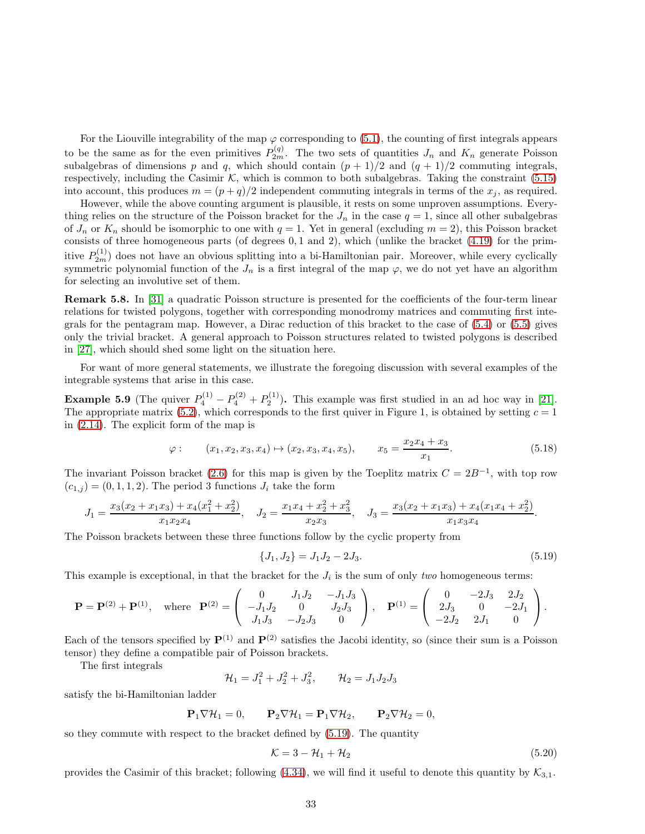<span id="page-33-1"></span>For the Liouville integrability of the map  $\varphi$  corresponding to [\(5.1\)](#page-28-1), the counting of first integrals appears to be the same as for the even primitives  $P_{2m}^{(q)}$ . The two sets of quantities  $J_n$  and  $K_n$  generate Poisson subalgebras of dimensions p and q, which should contain  $(p + 1)/2$  and  $(q + 1)/2$  commuting integrals, respectively, including the Casimir  $K$ , which is common to both subalgebras. Taking the constraint [\(5.15\)](#page-30-2) into account, this produces  $m = (p+q)/2$  independent commuting integrals in terms of the  $x_j$ , as required.

However, while the above counting argument is plausible, it rests on some unproven assumptions. Everything relies on the structure of the Poisson bracket for the  $J_n$  in the case  $q = 1$ , since all other subalgebras of  $J_n$  or  $K_n$  should be isomorphic to one with  $q = 1$ . Yet in general (excluding  $m = 2$ ), this Poisson bracket consists of three homogeneous parts (of degrees 0, 1 and 2), which (unlike the bracket [\(4.19\)](#page-20-2) for the primitive  $P_{2m}^{(1)}$  does not have an obvious splitting into a bi-Hamiltonian pair. Moreover, while every cyclically symmetric polynomial function of the  $J_n$  is a first integral of the map  $\varphi$ , we do not yet have an algorithm for selecting an involutive set of them.

Remark 5.8. In [\[31\]](#page-48-16) a quadratic Poisson structure is presented for the coefficients of the four-term linear relations for twisted polygons, together with corresponding monodromy matrices and commuting first integrals for the pentagram map. However, a Dirac reduction of this bracket to the case of [\(5.4\)](#page-28-2) or [\(5.5\)](#page-28-3) gives only the trivial bracket. A general approach to Poisson structures related to twisted polygons is described in [\[27\]](#page-48-17), which should shed some light on the situation here.

For want of more general statements, we illustrate the foregoing discussion with several examples of the integrable systems that arise in this case.

**Example 5.9** (The quiver  $P_4^{(1)} - P_4^{(2)} + P_2^{(1)}$ ). This example was first studied in an ad hoc way in [\[21\]](#page-48-7). The appropriate matrix  $(5.2)$ , which corresponds to the first quiver in Figure 1, is obtained by setting  $c = 1$ in [\(2.14\)](#page-5-4). The explicit form of the map is

$$
\varphi: \qquad (x_1, x_2, x_3, x_4) \mapsto (x_2, x_3, x_4, x_5), \qquad x_5 = \frac{x_2 x_4 + x_3}{x_1}.\tag{5.18}
$$

The invariant Poisson bracket [\(2.6\)](#page-3-2) for this map is given by the Toeplitz matrix  $C = 2B^{-1}$ , with top row  $(c_{1,j}) = (0, 1, 1, 2)$ . The period 3 functions  $J_i$  take the form

$$
J_1 = \frac{x_3(x_2 + x_1x_3) + x_4(x_1^2 + x_2^2)}{x_1x_2x_4}, \quad J_2 = \frac{x_1x_4 + x_2^2 + x_3^2}{x_2x_3}, \quad J_3 = \frac{x_3(x_2 + x_1x_3) + x_4(x_1x_4 + x_2^2)}{x_1x_3x_4}.
$$

The Poisson brackets between these three functions follow by the cyclic property from

<span id="page-33-0"></span>
$$
\{J_1, J_2\} = J_1 J_2 - 2J_3. \tag{5.19}
$$

This example is exceptional, in that the bracket for the  $J_i$  is the sum of only two homogeneous terms:

$$
\mathbf{P} = \mathbf{P}^{(2)} + \mathbf{P}^{(1)}, \text{ where } \mathbf{P}^{(2)} = \begin{pmatrix} 0 & J_1 J_2 & -J_1 J_3 \\ -J_1 J_2 & 0 & J_2 J_3 \\ J_1 J_3 & -J_2 J_3 & 0 \end{pmatrix}, \mathbf{P}^{(1)} = \begin{pmatrix} 0 & -2J_3 & 2J_2 \\ 2J_3 & 0 & -2J_1 \\ -2J_2 & 2J_1 & 0 \end{pmatrix}.
$$

Each of the tensors specified by  $\mathbf{P}^{(1)}$  and  $\mathbf{P}^{(2)}$  satisfies the Jacobi identity, so (since their sum is a Poisson tensor) they define a compatible pair of Poisson brackets.

The first integrals

$$
\mathcal{H}_1 = J_1^2 + J_2^2 + J_3^2, \qquad \mathcal{H}_2 = J_1 J_2 J_3
$$

satisfy the bi-Hamiltonian ladder

$$
\mathbf{P}_1 \nabla \mathcal{H}_1 = 0, \qquad \mathbf{P}_2 \nabla \mathcal{H}_1 = \mathbf{P}_1 \nabla \mathcal{H}_2, \qquad \mathbf{P}_2 \nabla \mathcal{H}_2 = 0,
$$

so they commute with respect to the bracket defined by [\(5.19\)](#page-32-0). The quantity

$$
\mathcal{K} = 3 - \mathcal{H}_1 + \mathcal{H}_2 \tag{5.20}
$$

provides the Casimir of this bracket; following [\(4.34\)](#page-23-1), we will find it useful to denote this quantity by  $\mathcal{K}_{3,1}$ .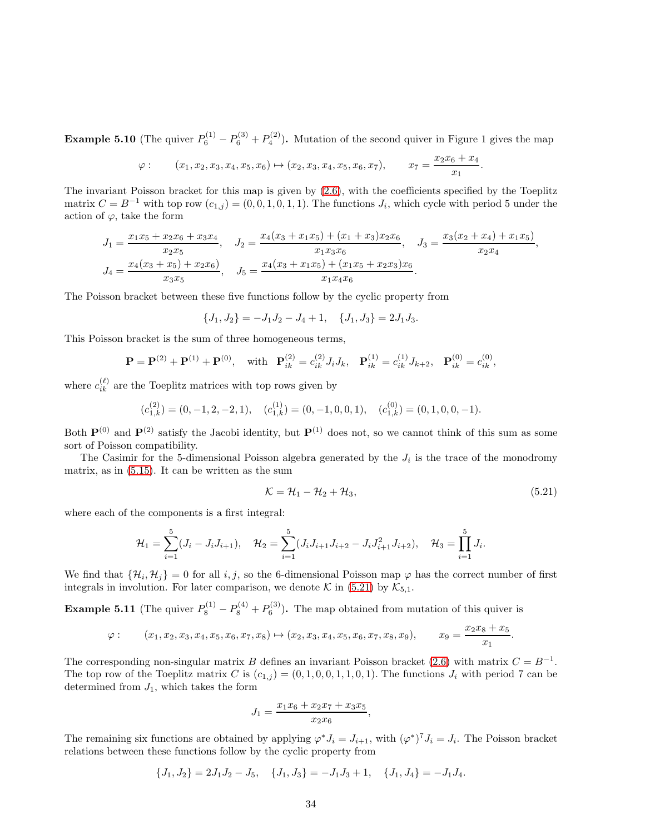**Example 5.10** (The quiver  $P_6^{(1)} - P_6^{(3)} + P_4^{(2)}$ ). Mutation of the second quiver in Figure 1 gives the map

$$
\varphi: \qquad (x_1, x_2, x_3, x_4, x_5, x_6) \mapsto (x_2, x_3, x_4, x_5, x_6, x_7), \qquad x_7 = \frac{x_2 x_6 + x_4}{x_1}.
$$

The invariant Poisson bracket for this map is given by [\(2.6\)](#page-3-2), with the coefficients specified by the Toeplitz matrix  $C = B^{-1}$  with top row  $(c_{1,j}) = (0, 0, 1, 0, 1, 1)$ . The functions  $J_i$ , which cycle with period 5 under the action of  $\varphi$ , take the form

$$
J_1 = \frac{x_1x_5 + x_2x_6 + x_3x_4}{x_2x_5}, \quad J_2 = \frac{x_4(x_3 + x_1x_5) + (x_1 + x_3)x_2x_6}{x_1x_3x_6}, \quad J_3 = \frac{x_3(x_2 + x_4) + x_1x_5}{x_2x_4},
$$
  

$$
J_4 = \frac{x_4(x_3 + x_5) + x_2x_6}{x_3x_5}, \quad J_5 = \frac{x_4(x_3 + x_1x_5) + (x_1x_5 + x_2x_3)x_6}{x_1x_4x_6}.
$$

The Poisson bracket between these five functions follow by the cyclic property from

 ${J_1, J_2} = -J_1J_2 - J_4 + 1, \quad {J_1, J_3} = 2J_1J_3.$ 

This Poisson bracket is the sum of three homogeneous terms,

$$
\mathbf{P} = \mathbf{P}^{(2)} + \mathbf{P}^{(1)} + \mathbf{P}^{(0)}, \text{ with } \mathbf{P}_{ik}^{(2)} = c_{ik}^{(2)} J_i J_k, \mathbf{P}_{ik}^{(1)} = c_{ik}^{(1)} J_{k+2}, \mathbf{P}_{ik}^{(0)} = c_{ik}^{(0)},
$$

where  $c_{ik}^{(\ell)}$  are the Toeplitz matrices with top rows given by

$$
(c_{1,k}^{(2)}) = (0, -1, 2, -2, 1), \quad (c_{1,k}^{(1)}) = (0, -1, 0, 0, 1), \quad (c_{1,k}^{(0)}) = (0, 1, 0, 0, -1).
$$

Both  $\mathbf{P}^{(0)}$  and  $\mathbf{P}^{(2)}$  satisfy the Jacobi identity, but  $\mathbf{P}^{(1)}$  does not, so we cannot think of this sum as some sort of Poisson compatibility.

The Casimir for the 5-dimensional Poisson algebra generated by the  $J_i$  is the trace of the monodromy matrix, as in [\(5.15\)](#page-30-2). It can be written as the sum

$$
\mathcal{K} = \mathcal{H}_1 - \mathcal{H}_2 + \mathcal{H}_3,\tag{5.21}
$$

where each of the components is a first integral:

$$
\mathcal{H}_1 = \sum_{i=1}^5 (J_i - J_i J_{i+1}), \quad \mathcal{H}_2 = \sum_{i=1}^5 (J_i J_{i+1} J_{i+2} - J_i J_{i+1}^2 J_{i+2}), \quad \mathcal{H}_3 = \prod_{i=1}^5 J_i.
$$

We find that  $\{\mathcal{H}_i, \mathcal{H}_j\} = 0$  for all  $i, j$ , so the 6-dimensional Poisson map  $\varphi$  has the correct number of first integrals in involution. For later comparison, we denote  $\mathcal{K}$  in [\(5.21\)](#page-33-0) by  $\mathcal{K}_{5,1}$ .

**Example 5.11** (The quiver  $P_8^{(1)} - P_8^{(4)} + P_6^{(3)}$ ). The map obtained from mutation of this quiver is

$$
\varphi: \qquad (x_1, x_2, x_3, x_4, x_5, x_6, x_7, x_8) \mapsto (x_2, x_3, x_4, x_5, x_6, x_7, x_8, x_9), \qquad x_9 = \frac{x_2 x_8 + x_5}{x_1}.
$$

The corresponding non-singular matrix B defines an invariant Poisson bracket [\(2.6\)](#page-3-2) with matrix  $C = B^{-1}$ . The top row of the Toeplitz matrix C is  $(c_{1,j}) = (0, 1, 0, 0, 1, 1, 0, 1)$ . The functions  $J_i$  with period 7 can be determined from  $J_1$ , which takes the form

$$
J_1 = \frac{x_1x_6 + x_2x_7 + x_3x_5}{x_2x_6},
$$

The remaining six functions are obtained by applying  $\varphi^* J_i = J_{i+1}$ , with  $(\varphi^*)^7 J_i = J_i$ . The Poisson bracket relations between these functions follow by the cyclic property from

$$
\{J_1, J_2\} = 2J_1J_2 - J_5, \quad \{J_1, J_3\} = -J_1J_3 + 1, \quad \{J_1, J_4\} = -J_1J_4.
$$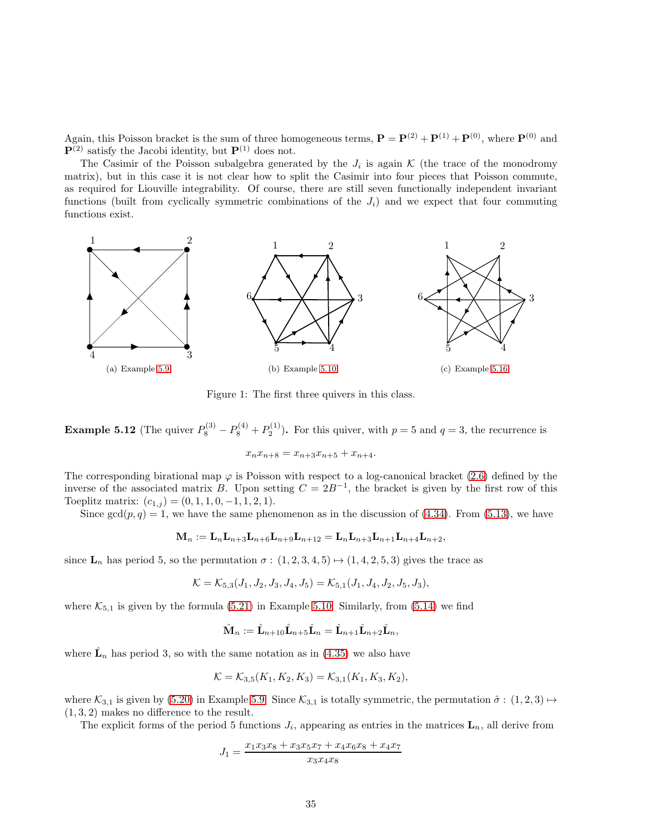Again, this Poisson bracket is the sum of three homogeneous terms,  $\mathbf{P} = \mathbf{P}^{(2)} + \mathbf{P}^{(1)} + \mathbf{P}^{(0)}$ , where  $\mathbf{P}^{(0)}$  and  $\mathbf{P}^{(2)}$  satisfy the Jacobi identity, but  $\mathbf{P}^{(1)}$  does not.

The Casimir of the Poisson subalgebra generated by the  $J_i$  is again  $\mathcal K$  (the trace of the monodromy matrix), but in this case it is not clear how to split the Casimir into four pieces that Poisson commute, as required for Liouville integrability. Of course, there are still seven functionally independent invariant functions (built from cyclically symmetric combinations of the  $J_i$ ) and we expect that four commuting functions exist.



Figure 1: The first three quivers in this class.

**Example 5.12** (The quiver  $P_8^{(3)} - P_8^{(4)} + P_2^{(1)}$ ). For this quiver, with  $p = 5$  and  $q = 3$ , the recurrence is

$$
x_n x_{n+8} = x_{n+3} x_{n+5} + x_{n+4}.
$$

The corresponding birational map  $\varphi$  is Poisson with respect to a log-canonical bracket [\(2.6\)](#page-3-2) defined by the inverse of the associated matrix B. Upon setting  $C = 2B^{-1}$ , the bracket is given by the first row of this Toeplitz matrix:  $(c_{1,j}) = (0, 1, 1, 0, -1, 1, 2, 1).$ 

Since  $gcd(p, q) = 1$ , we have the same phenomenon as in the discussion of [\(4.34\)](#page-23-1). From [\(5.13\)](#page-30-0), we have

$$
\mathbf{M}_n := \mathbf{L}_n \mathbf{L}_{n+3} \mathbf{L}_{n+6} \mathbf{L}_{n+9} \mathbf{L}_{n+12} = \mathbf{L}_n \mathbf{L}_{n+3} \mathbf{L}_{n+1} \mathbf{L}_{n+4} \mathbf{L}_{n+2},
$$

since  $\mathbf{L}_n$  has period 5, so the permutation  $\sigma : (1, 2, 3, 4, 5) \mapsto (1, 4, 2, 5, 3)$  gives the trace as

$$
\mathcal{K} = \mathcal{K}_{5,3}(J_1, J_2, J_3, J_4, J_5) = \mathcal{K}_{5,1}(J_1, J_4, J_2, J_5, J_3),
$$

where  $\mathcal{K}_{5,1}$  is given by the formula [\(5.21\)](#page-33-0) in Example [5.10.](#page-33-1) Similarly, from [\(5.14\)](#page-30-1) we find

$$
\hat{\mathbf{M}}_n := \hat{\mathbf{L}}_{n+10}\hat{\mathbf{L}}_{n+5}\hat{\mathbf{L}}_n = \hat{\mathbf{L}}_{n+1}\hat{\mathbf{L}}_{n+2}\hat{\mathbf{L}}_n,
$$

where  $\hat{\mathbf{L}}_n$  has period 3, so with the same notation as in [\(4.35\)](#page-23-3) we also have

$$
\mathcal{K} = \mathcal{K}_{3,5}(K_1, K_2, K_3) = \mathcal{K}_{3,1}(K_1, K_3, K_2),
$$

where  $\mathcal{K}_{3,1}$  is given by [\(5.20\)](#page-32-2) in Example [5.9.](#page-32-1) Since  $\mathcal{K}_{3,1}$  is totally symmetric, the permutation  $\hat{\sigma}$  :  $(1,2,3) \mapsto$  $(1, 3, 2)$  makes no difference to the result.

The explicit forms of the period 5 functions  $J_i$ , appearing as entries in the matrices  $\mathbf{L}_n$ , all derive from

<span id="page-35-0"></span>
$$
J_1 = \frac{x_1 x_3 x_8 + x_3 x_5 x_7 + x_4 x_6 x_8 + x_4 x_7}{x_3 x_4 x_8}
$$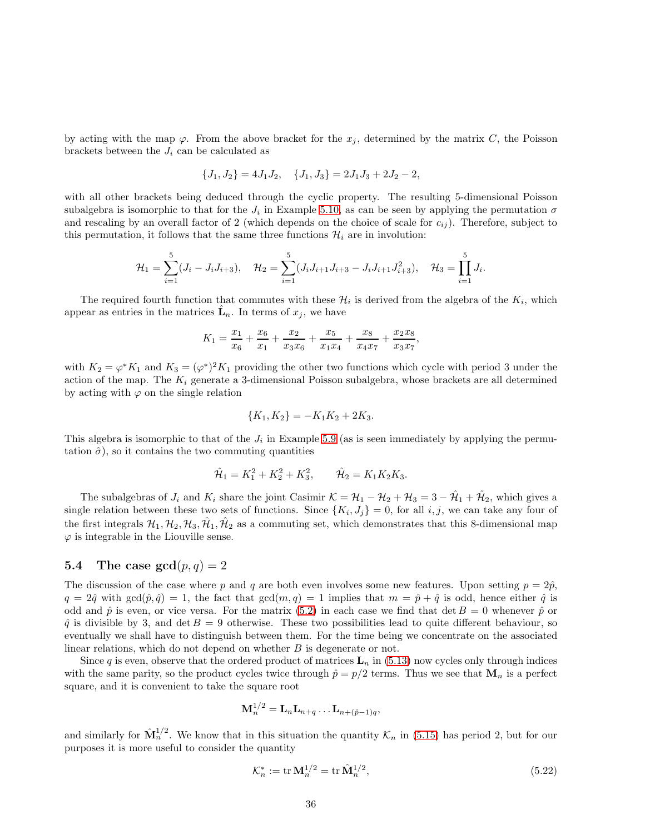by acting with the map  $\varphi$ . From the above bracket for the  $x_j$ , determined by the matrix C, the Poisson brackets between the  $J_i$  can be calculated as

<span id="page-36-0"></span>
$$
\{J_1, J_2\} = 4J_1J_2, \quad \{J_1, J_3\} = 2J_1J_3 + 2J_2 - 2,
$$

with all other brackets being deduced through the cyclic property. The resulting 5-dimensional Poisson subalgebra is isomorphic to that for the  $J_i$  in Example [5.10,](#page-33-1) as can be seen by applying the permutation  $\sigma$ and rescaling by an overall factor of 2 (which depends on the choice of scale for  $c_{ij}$ ). Therefore, subject to this permutation, it follows that the same three functions  $\mathcal{H}_i$  are in involution:

$$
\mathcal{H}_1 = \sum_{i=1}^5 (J_i - J_i J_{i+3}), \quad \mathcal{H}_2 = \sum_{i=1}^5 (J_i J_{i+1} J_{i+3} - J_i J_{i+1} J_{i+3}^2), \quad \mathcal{H}_3 = \prod_{i=1}^5 J_i.
$$

The required fourth function that commutes with these  $\mathcal{H}_i$  is derived from the algebra of the  $K_i$ , which appear as entries in the matrices  $\hat{\mathbf{L}}_n$ . In terms of  $x_j$ , we have

$$
K_1 = \frac{x_1}{x_6} + \frac{x_6}{x_1} + \frac{x_2}{x_3x_6} + \frac{x_5}{x_1x_4} + \frac{x_8}{x_4x_7} + \frac{x_2x_8}{x_3x_7},
$$

with  $K_2 = \varphi^* K_1$  and  $K_3 = (\varphi^*)^2 K_1$  providing the other two functions which cycle with period 3 under the action of the map. The  $K_i$  generate a 3-dimensional Poisson subalgebra, whose brackets are all determined by acting with  $\varphi$  on the single relation

$$
\{K_1, K_2\} = -K_1K_2 + 2K_3.
$$

<span id="page-36-2"></span>This algebra is isomorphic to that of the  $J_i$  in Example [5.9](#page-32-1) (as is seen immediately by applying the permutation  $\hat{\sigma}$ ), so it contains the two commuting quantities

$$
\hat{\mathcal{H}}_1 = K_1^2 + K_2^2 + K_3^2, \qquad \hat{\mathcal{H}}_2 = K_1 K_2 K_3.
$$

<span id="page-36-3"></span>The subalgebras of  $J_i$  and  $K_i$  share the joint Casimir  $\mathcal{K} = \mathcal{H}_1 - \mathcal{H}_2 + \mathcal{H}_3 = 3 - \hat{\mathcal{H}}_1 + \hat{\mathcal{H}}_2$ , which gives a single relation between these two sets of functions. Since  $\{K_i, J_j\} = 0$ , for all  $i, j$ , we can take any four of the first integrals  $H_1, H_2, H_3, \hat{H}_1, \hat{H}_2$  as a commuting set, which demonstrates that this 8-dimensional map  $\varphi$  is integrable in the Liouville sense.

# <span id="page-36-1"></span>5.4 The case  $gcd(p, q) = 2$

The discussion of the case where p and q are both even involves some new features. Upon setting  $p = 2\hat{p}$ ,  $q = 2\hat{q}$  with  $gcd(\hat{p}, \hat{q}) = 1$ , the fact that  $gcd(m, q) = 1$  implies that  $m = \hat{p} + \hat{q}$  is odd, hence either  $\hat{q}$  is odd and  $\hat{p}$  is even, or vice versa. For the matrix [\(5.2\)](#page-28-4) in each case we find that det  $B = 0$  whenever  $\hat{p}$  or  $\hat{q}$  is divisible by 3, and det  $B = 9$  otherwise. These two possibilities lead to quite different behaviour, so eventually we shall have to distinguish between them. For the time being we concentrate on the associated linear relations, which do not depend on whether  $B$  is degenerate or not.

Since q is even, observe that the ordered product of matrices  $\mathbf{L}_n$  in [\(5.13\)](#page-30-0) now cycles only through indices with the same parity, so the product cycles twice through  $\hat{p} = p/2$  terms. Thus we see that  $\mathbf{M}_n$  is a perfect square, and it is convenient to take the square root

$$
\mathbf{M}_n^{1/2} = \mathbf{L}_n \mathbf{L}_{n+q} \dots \mathbf{L}_{n+(\hat{p}-1)q},
$$

and similarly for  $\hat{\mathbf{M}}_n^{1/2}$ . We know that in this situation the quantity  $\mathcal{K}_n$  in [\(5.15\)](#page-30-2) has period 2, but for our purposes it is more useful to consider the quantity

$$
\mathcal{K}_n^* := \text{tr}\,\mathbf{M}_n^{1/2} = \text{tr}\,\hat{\mathbf{M}}_n^{1/2},\tag{5.22}
$$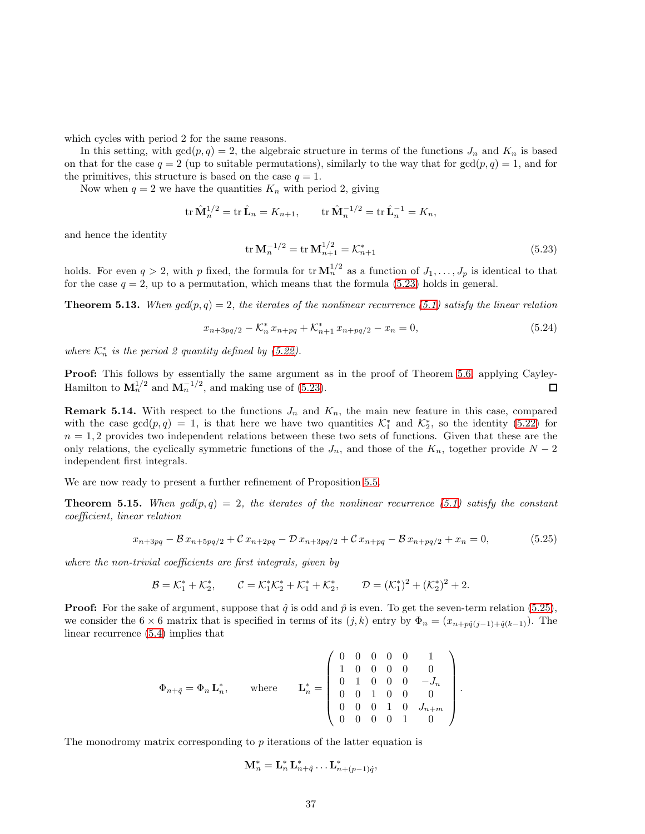which cycles with period 2 for the same reasons.

In this setting, with  $gcd(p, q) = 2$ , the algebraic structure in terms of the functions  $J_n$  and  $K_n$  is based on that for the case  $q = 2$  (up to suitable permutations), similarly to the way that for  $gcd(p, q) = 1$ , and for the primitives, this structure is based on the case  $q = 1$ .

Now when  $q = 2$  we have the quantities  $K_n$  with period 2, giving

<span id="page-37-2"></span>
$$
\operatorname{tr} \hat{\mathbf{M}}_n^{1/2} = \operatorname{tr} \hat{\mathbf{L}}_n = K_{n+1}, \qquad \operatorname{tr} \hat{\mathbf{M}}_n^{-1/2} = \operatorname{tr} \hat{\mathbf{L}}_n^{-1} = K_n,
$$

and hence the identity

<span id="page-37-1"></span>
$$
\operatorname{tr} \mathbf{M}_n^{-1/2} = \operatorname{tr} \mathbf{M}_{n+1}^{1/2} = \mathcal{K}_{n+1}^* \tag{5.23}
$$

holds. For even  $q > 2$ , with p fixed, the formula for  $\text{tr }\mathbf{M}_n^{1/2}$  as a function of  $J_1, \ldots, J_p$  is identical to that for the case  $q = 2$ , up to a permutation, which means that the formula [\(5.23\)](#page-36-0) holds in general.

**Theorem 5.13.** When  $gcd(p, q) = 2$ , the iterates of the nonlinear recurrence [\(5.1\)](#page-28-1) satisfy the linear relation

$$
x_{n+3pq/2} - \mathcal{K}_n^* x_{n+pq} + \mathcal{K}_{n+1}^* x_{n+pq/2} - x_n = 0,
$$
\n(5.24)

where  $\mathcal{K}_n^*$  is the period 2 quantity defined by [\(5.22\)](#page-35-0).

Proof: This follows by essentially the same argument as in the proof of Theorem [5.6,](#page-31-2) applying Cayley-Hamilton to  $\mathbf{M}_n^{1/2}$  and  $\mathbf{M}_n^{-1/2}$ , and making use of [\(5.23\)](#page-36-0).  $\Box$ 

**Remark 5.14.** With respect to the functions  $J_n$  and  $K_n$ , the main new feature in this case, compared with the case  $gcd(p, q) = 1$ , is that here we have two quantities  $\mathcal{K}_1^*$  and  $\mathcal{K}_2^*$ , so the identity [\(5.22\)](#page-35-0) for  $n = 1, 2$  provides two independent relations between these two sets of functions. Given that these are the only relations, the cyclically symmetric functions of the  $J_n$ , and those of the  $K_n$ , together provide  $N-2$ independent first integrals.

We are now ready to present a further refinement of Proposition [5.5.](#page-30-3)

**Theorem 5.15.** When  $gcd(p,q) = 2$ , the iterates of the nonlinear recurrence [\(5.1\)](#page-28-1) satisfy the constant coefficient, linear relation

$$
x_{n+3pq} - \mathcal{B} x_{n+5pq/2} + \mathcal{C} x_{n+2pq} - \mathcal{D} x_{n+3pq/2} + \mathcal{C} x_{n+pq} - \mathcal{B} x_{n+pq/2} + x_n = 0,
$$
 (5.25)

where the non-trivial coefficients are first integrals, given by

$$
\mathcal{B} = \mathcal{K}_1^* + \mathcal{K}_2^*, \qquad \mathcal{C} = \mathcal{K}_1^* \mathcal{K}_2^* + \mathcal{K}_1^* + \mathcal{K}_2^*, \qquad \mathcal{D} = (\mathcal{K}_1^*)^2 + (\mathcal{K}_2^*)^2 + 2.
$$

**Proof:** For the sake of argument, suppose that  $\hat{q}$  is odd and  $\hat{p}$  is even. To get the seven-term relation [\(5.25\)](#page-36-1), we consider the 6 × 6 matrix that is specified in terms of its  $(j, k)$  entry by  $\Phi_n = (x_{n+p\hat{q}(j-1)+\hat{q}(k-1)})$ . The linear recurrence [\(5.4\)](#page-28-2) implies that

$$
\Phi_{n+\hat{q}} = \Phi_n \mathbf{L}_n^*, \quad \text{where} \quad \mathbf{L}_n^* = \begin{pmatrix} 0 & 0 & 0 & 0 & 0 & 1 \\ 1 & 0 & 0 & 0 & 0 & 0 \\ 0 & 1 & 0 & 0 & 0 & -J_n \\ 0 & 0 & 1 & 0 & 0 & 0 \\ 0 & 0 & 0 & 1 & 0 & J_{n+m} \\ 0 & 0 & 0 & 0 & 1 & 0 \end{pmatrix}.
$$

<span id="page-37-3"></span><span id="page-37-0"></span>The monodromy matrix corresponding to  $p$  iterations of the latter equation is

$$
\mathbf{M}_n^* = \mathbf{L}_n^* \, \mathbf{L}_{n+\hat{q}}^* \ldots \mathbf{L}_{n+(p-1)\hat{q}}^*,
$$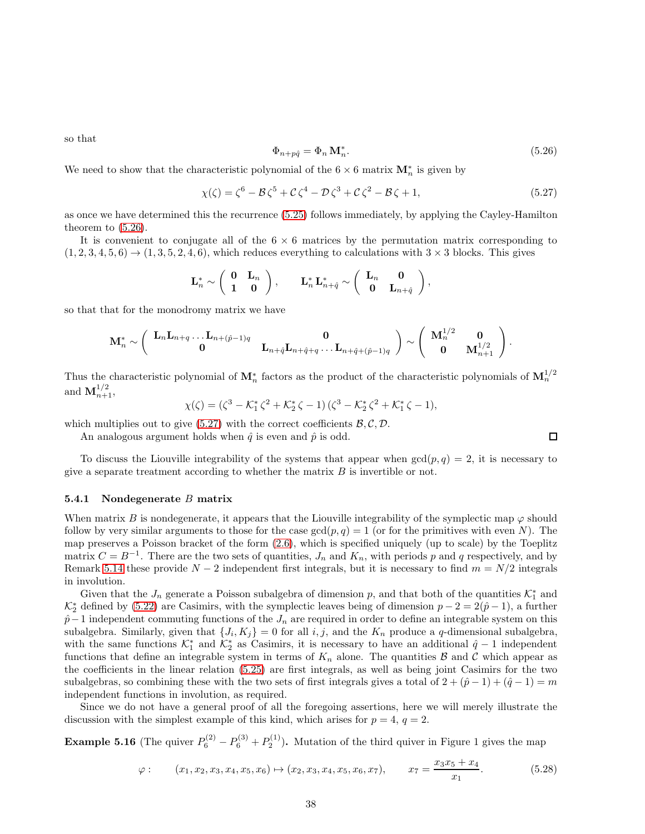so that

$$
\Phi_{n+p\hat{q}} = \Phi_n \mathbf{M}_n^*.
$$
\n(5.26)

We need to show that the characteristic polynomial of the  $6 \times 6$  matrix  $\mathbf{M}_n^*$  is given by

$$
\chi(\zeta) = \zeta^6 - \mathcal{B}\,\zeta^5 + \mathcal{C}\,\zeta^4 - \mathcal{D}\,\zeta^3 + \mathcal{C}\,\zeta^2 - \mathcal{B}\,\zeta + 1,\tag{5.27}
$$

as once we have determined this the recurrence [\(5.25\)](#page-36-1) follows immediately, by applying the Cayley-Hamilton theorem to [\(5.26\)](#page-37-1).

It is convenient to conjugate all of the  $6 \times 6$  matrices by the permutation matrix corresponding to  $(1, 2, 3, 4, 5, 6) \rightarrow (1, 3, 5, 2, 4, 6)$ , which reduces everything to calculations with  $3 \times 3$  blocks. This gives

<span id="page-38-1"></span>
$$
\mathbf{L}_n^* \sim \left( \begin{array}{cc} \mathbf{0} & \mathbf{L}_n \\ \mathbf{1} & \mathbf{0} \end{array} \right), \qquad \mathbf{L}_n^* \mathbf{L}_{n+\hat{q}}^* \sim \left( \begin{array}{cc} \mathbf{L}_n & \mathbf{0} \\ \mathbf{0} & \mathbf{L}_{n+\hat{q}} \end{array} \right),
$$

so that that for the monodromy matrix we have

$$
\mathbf{M}_n^* \sim \left(\begin{array}{cc} \mathbf{L}_n \mathbf{L}_{n+q} \ldots \mathbf{L}_{n+(\hat{p}-1)q} & \mathbf{0} \\ \mathbf{0} & \mathbf{L}_{n+\hat{q}} \mathbf{L}_{n+\hat{q}+q} \ldots \mathbf{L}_{n+\hat{q}+(\hat{p}-1)q} \end{array}\right) \sim \left(\begin{array}{cc} \mathbf{M}_n^{1/2} & \mathbf{0} \\ \mathbf{0} & \mathbf{M}_{n+1}^{1/2} \end{array}\right).
$$

Thus the characteristic polynomial of  $\mathbf{M}_n^*$  factors as the product of the characteristic polynomials of  $\mathbf{M}_n^{1/2}$ and  ${\bf M}_{n+1}^{1/2}$ ,

$$
\chi(\zeta) = (\zeta^3 - \mathcal{K}_1^* \zeta^2 + \mathcal{K}_2^* \zeta - 1) (\zeta^3 - \mathcal{K}_2^* \zeta^2 + \mathcal{K}_1^* \zeta - 1),
$$

which multiplies out to give  $(5.27)$  with the correct coefficients  $\mathcal{B}, \mathcal{C}, \mathcal{D}$ .

An analogous argument holds when  $\hat{q}$  is even and  $\hat{p}$  is odd.

To discuss the Liouville integrability of the systems that appear when  $gcd(p, q) = 2$ , it is necessary to give a separate treatment according to whether the matrix  $B$  is invertible or not.

#### 5.4.1 Nondegenerate B matrix

When matrix B is nondegenerate, it appears that the Liouville integrability of the symplectic map  $\varphi$  should follow by very similar arguments to those for the case  $gcd(p, q) = 1$  (or for the primitives with even N). The map preserves a Poisson bracket of the form [\(2.6\)](#page-3-2), which is specified uniquely (up to scale) by the Toeplitz matrix  $C = B^{-1}$ . There are the two sets of quantities,  $J_n$  and  $K_n$ , with periods p and q respectively, and by Remark [5.14](#page-36-2) these provide  $N-2$  independent first integrals, but it is necessary to find  $m = N/2$  integrals in involution.

Given that the  $J_n$  generate a Poisson subalgebra of dimension p, and that both of the quantities  $\mathcal{K}_1^*$  and  $\mathcal{K}_2^*$  defined by [\(5.22\)](#page-35-0) are Casimirs, with the symplectic leaves being of dimension  $p-2=2(\hat{p}-1)$ , a further  $\hat{p}-1$  independent commuting functions of the  $J_n$  are required in order to define an integrable system on this subalgebra. Similarly, given that  $\{J_i, K_j\} = 0$  for all  $i, j$ , and the  $K_n$  produce a q-dimensional subalgebra, with the same functions  $\mathcal{K}_1^*$  and  $\mathcal{K}_2^*$  as Casimirs, it is necessary to have an additional  $\hat{q}-1$  independent functions that define an integrable system in terms of  $K_n$  alone. The quantities  $\beta$  and  $\beta$  which appear as the coefficients in the linear relation [\(5.25\)](#page-36-1) are first integrals, as well as being joint Casimirs for the two subalgebras, so combining these with the two sets of first integrals gives a total of  $2 + (\hat{p} - 1) + (\hat{q} - 1) = m$ independent functions in involution, as required.

<span id="page-38-0"></span>Since we do not have a general proof of all the foregoing assertions, here we will merely illustrate the discussion with the simplest example of this kind, which arises for  $p = 4$ ,  $q = 2$ .

**Example 5.16** (The quiver  $P_6^{(2)} - P_6^{(3)} + P_2^{(1)}$ ). Mutation of the third quiver in Figure 1 gives the map

$$
\varphi: \qquad (x_1, x_2, x_3, x_4, x_5, x_6) \mapsto (x_2, x_3, x_4, x_5, x_6, x_7), \qquad x_7 = \frac{x_3 x_5 + x_4}{x_1}.\tag{5.28}
$$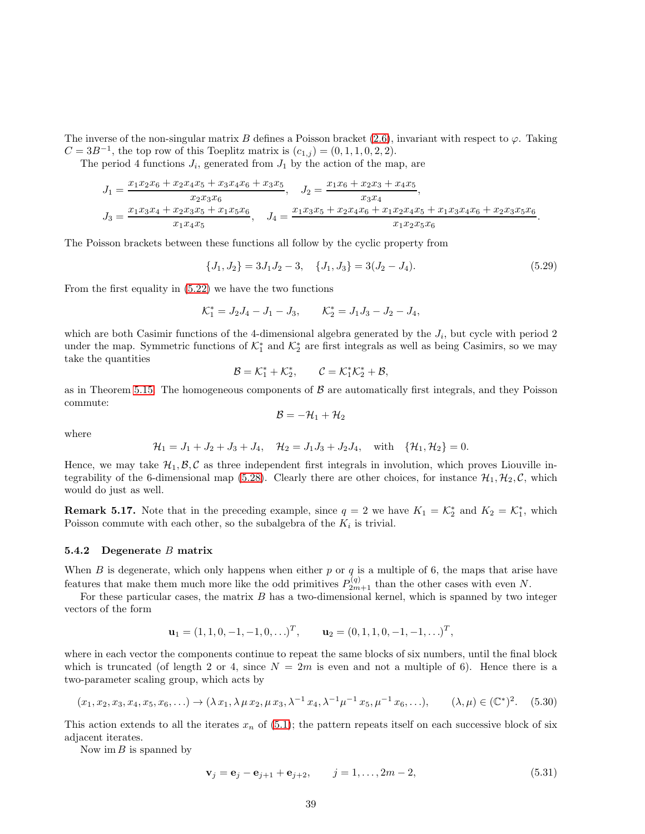The inverse of the non-singular matrix B defines a Poisson bracket [\(2.6\)](#page-3-2), invariant with respect to  $\varphi$ . Taking  $C = 3B^{-1}$ , the top row of this Toeplitz matrix is  $(c_{1,j}) = (0, 1, 1, 0, 2, 2)$ .

The period 4 functions  $J_i$ , generated from  $J_1$  by the action of the map, are

$$
J_1 = \frac{x_1x_2x_6 + x_2x_4x_5 + x_3x_4x_6 + x_3x_5}{x_2x_3x_6}, \quad J_2 = \frac{x_1x_6 + x_2x_3 + x_4x_5}{x_3x_4},
$$
  
\n
$$
J_3 = \frac{x_1x_3x_4 + x_2x_3x_5 + x_1x_5x_6}{x_1x_4x_5}, \quad J_4 = \frac{x_1x_3x_5 + x_2x_4x_6 + x_1x_2x_4x_5 + x_1x_3x_4x_6 + x_2x_3x_5x_6}{x_1x_2x_5x_6}.
$$

The Poisson brackets between these functions all follow by the cyclic property from

<span id="page-39-1"></span><span id="page-39-0"></span>
$$
\{J_1, J_2\} = 3J_1J_2 - 3, \quad \{J_1, J_3\} = 3(J_2 - J_4). \tag{5.29}
$$

From the first equality in [\(5.22\)](#page-35-0) we have the two functions

$$
K_1^* = J_2 J_4 - J_1 - J_3
$$
,  $K_2^* = J_1 J_3 - J_2 - J_4$ ,

which are both Casimir functions of the 4-dimensional algebra generated by the  $J_i$ , but cycle with period 2 under the map. Symmetric functions of  $\mathcal{K}_1^*$  and  $\mathcal{K}_2^*$  are first integrals as well as being Casimirs, so we may take the quantities

$$
\mathcal{B} = \mathcal{K}_1^* + \mathcal{K}_2^*, \qquad \mathcal{C} = \mathcal{K}_1^* \mathcal{K}_2^* + \mathcal{B},
$$

as in Theorem [5.15.](#page-36-3) The homogeneous components of  $\beta$  are automatically first integrals, and they Poisson commute:

$$
\mathcal{B}=-\mathcal{H}_1+\mathcal{H}_2
$$

where

$$
\mathcal{H}_1 = J_1 + J_2 + J_3 + J_4, \quad \mathcal{H}_2 = J_1 J_3 + J_2 J_4, \quad \text{with} \quad {\mathcal{H}_1, \mathcal{H}_2} = 0.
$$

Hence, we may take  $\mathcal{H}_1, \mathcal{B}, \mathcal{C}$  as three independent first integrals in involution, which proves Liouville in-tegrability of the 6-dimensional map [\(5.28\)](#page-37-3). Clearly there are other choices, for instance  $\mathcal{H}_1, \mathcal{H}_2, \mathcal{C}$ , which would do just as well.

**Remark 5.17.** Note that in the preceding example, since  $q = 2$  we have  $K_1 = \mathcal{K}_2^*$  and  $K_2 = \mathcal{K}_1^*$ , which Poisson commute with each other, so the subalgebra of the  $K_i$  is trivial.

#### 5.4.2 Degenerate B matrix

When  $B$  is degenerate, which only happens when either  $p$  or  $q$  is a multiple of 6, the maps that arise have features that make them much more like the odd primitives  $P_{2m+1}^{(q)}$  than the other cases with even N.

For these particular cases, the matrix  $B$  has a two-dimensional kernel, which is spanned by two integer vectors of the form

<span id="page-39-2"></span>
$$
\mathbf{u}_1 = (1, 1, 0, -1, -1, 0, \ldots)^T, \qquad \mathbf{u}_2 = (0, 1, 1, 0, -1, -1, \ldots)^T,
$$

where in each vector the components continue to repeat the same blocks of six numbers, until the final block which is truncated (of length 2 or 4, since  $N = 2m$  is even and not a multiple of 6). Hence there is a two-parameter scaling group, which acts by

$$
(x_1, x_2, x_3, x_4, x_5, x_6, \ldots) \to (\lambda x_1, \lambda \mu x_2, \mu x_3, \lambda^{-1} x_4, \lambda^{-1} \mu^{-1} x_5, \mu^{-1} x_6, \ldots), \qquad (\lambda, \mu) \in (\mathbb{C}^*)^2. \tag{5.30}
$$

This action extends to all the iterates  $x_n$  of [\(5.1\)](#page-28-1); the pattern repeats itself on each successive block of six adjacent iterates.

Now im  $B$  is spanned by

<span id="page-39-3"></span>
$$
\mathbf{v}_j = \mathbf{e}_j - \mathbf{e}_{j+1} + \mathbf{e}_{j+2}, \qquad j = 1, \dots, 2m - 2,
$$
 (5.31)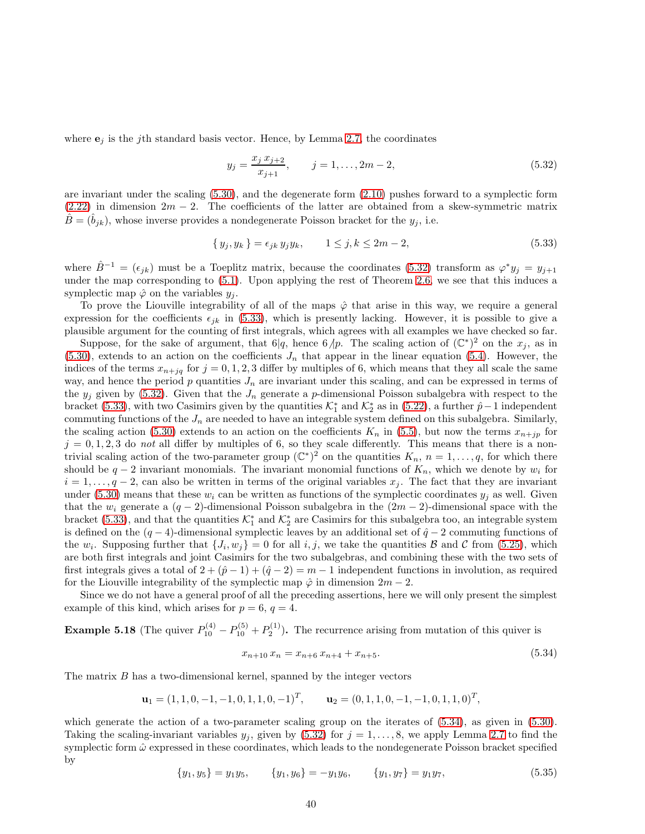where  $\mathbf{e}_j$  is the j<sup>th</sup> standard basis vector. Hence, by Lemma [2.7,](#page-6-2) the coordinates

<span id="page-40-0"></span>
$$
y_j = \frac{x_j x_{j+2}}{x_{j+1}}, \qquad j = 1, \dots, 2m - 2,
$$
\n(5.32)

are invariant under the scaling  $(5.30)$ , and the degenerate form  $(2.10)$  pushes forward to a symplectic form  $(2.22)$  in dimension  $2m - 2$ . The coefficients of the latter are obtained from a skew-symmetric matrix  $\hat{B} = (\hat{b}_{jk})$ , whose inverse provides a nondegenerate Poisson bracket for the  $y_j$ , i.e.

<span id="page-40-2"></span>
$$
\{y_j, y_k\} = \epsilon_{jk} y_j y_k, \qquad 1 \le j, k \le 2m - 2,
$$
\n(5.33)

where  $\hat{B}^{-1} = (\epsilon_{jk})$  must be a Toeplitz matrix, because the coordinates [\(5.32\)](#page-39-0) transform as  $\varphi^* y_j = y_{j+1}$ under the map corresponding to [\(5.1\)](#page-28-1). Upon applying the rest of Theorem [2.6,](#page-5-0) we see that this induces a symplectic map  $\hat{\varphi}$  on the variables  $y_i$ .

To prove the Liouville integrability of all of the maps  $\hat{\varphi}$  that arise in this way, we require a general expression for the coefficients  $\epsilon_{jk}$  in [\(5.33\)](#page-39-1), which is presently lacking. However, it is possible to give a plausible argument for the counting of first integrals, which agrees with all examples we have checked so far.

Suppose, for the sake of argument, that  $6|q$ , hence  $6/p$ . The scaling action of  $(\mathbb{C}^*)^2$  on the  $x_j$ , as in  $(5.30)$ , extends to an action on the coefficients  $J_n$  that appear in the linear equation [\(5.4\)](#page-28-2). However, the indices of the terms  $x_{n+jq}$  for  $j = 0, 1, 2, 3$  differ by multiples of 6, which means that they all scale the same way, and hence the period  $p$  quantities  $J_n$  are invariant under this scaling, and can be expressed in terms of the  $y_j$  given by [\(5.32\)](#page-39-0). Given that the  $J_n$  generate a p-dimensional Poisson subalgebra with respect to the bracket [\(5.33\)](#page-39-1), with two Casimirs given by the quantities  $\mathcal{K}_1^*$  and  $\mathcal{K}_2^*$  as in [\(5.22\)](#page-35-0), a further  $\hat{p}-1$  independent commuting functions of the  $J_n$  are needed to have an integrable system defined on this subalgebra. Similarly, the scaling action [\(5.30\)](#page-38-0) extends to an action on the coefficients  $K_n$  in [\(5.5\)](#page-28-3), but now the terms  $x_{n+jp}$  for  $j = 0, 1, 2, 3$  do not all differ by multiples of 6, so they scale differently. This means that there is a nontrivial scaling action of the two-parameter group  $(\mathbb{C}^*)^2$  on the quantities  $K_n$ ,  $n = 1, \ldots, q$ , for which there should be  $q-2$  invariant monomials. The invariant monomial functions of  $K_n$ , which we denote by  $w_i$  for  $i = 1, \ldots, q-2$ , can also be written in terms of the original variables  $x_j$ . The fact that they are invariant under [\(5.30\)](#page-38-0) means that these  $w_i$  can be written as functions of the symplectic coordinates  $y_i$  as well. Given that the  $w_i$  generate a  $(q-2)$ -dimensional Poisson subalgebra in the  $(2m-2)$ -dimensional space with the bracket [\(5.33\)](#page-39-1), and that the quantities  $\mathcal{K}_1^*$  and  $\mathcal{K}_2^*$  are Casimirs for this subalgebra too, an integrable system is defined on the  $(q - 4)$ -dimensional symplectic leaves by an additional set of  $\hat{q} - 2$  commuting functions of the  $w_i$ . Supposing further that  $\{J_i, w_j\} = 0$  for all  $i, j$ , we take the quantities  $\beta$  and  $\beta$  from [\(5.25\)](#page-36-1), which are both first integrals and joint Casimirs for the two subalgebras, and combining these with the two sets of first integrals gives a total of  $2 + (\hat{p} - 1) + (\hat{q} - 2) = m - 1$  independent functions in involution, as required for the Liouville integrability of the symplectic map  $\hat{\varphi}$  in dimension  $2m-2$ .

<span id="page-40-1"></span>Since we do not have a general proof of all the preceding assertions, here we will only present the simplest example of this kind, which arises for  $p = 6$ ,  $q = 4$ .

**Example 5.18** (The quiver  $P_{10}^{(4)} - P_{10}^{(5)} + P_{2}^{(1)}$ ). The recurrence arising from mutation of this quiver is

$$
x_{n+10} x_n = x_{n+6} x_{n+4} + x_{n+5}.
$$
\n
$$
(5.34)
$$

The matrix B has a two-dimensional kernel, spanned by the integer vectors

$$
\mathbf{u}_1 = (1, 1, 0, -1, -1, 0, 1, 1, 0, -1)^T, \qquad \mathbf{u}_2 = (0, 1, 1, 0, -1, -1, 0, 1, 1, 0)^T,
$$

which generate the action of a two-parameter scaling group on the iterates of  $(5.34)$ , as given in  $(5.30)$ . Taking the scaling-invariant variables  $y_j$ , given by [\(5.32\)](#page-39-0) for  $j = 1, \ldots, 8$ , we apply Lemma [2.7](#page-6-2) to find the symplectic form  $\hat{\omega}$  expressed in these coordinates, which leads to the nondegenerate Poisson bracket specified by

$$
\{y_1, y_5\} = y_1 y_5, \qquad \{y_1, y_6\} = -y_1 y_6, \qquad \{y_1, y_7\} = y_1 y_7,\tag{5.35}
$$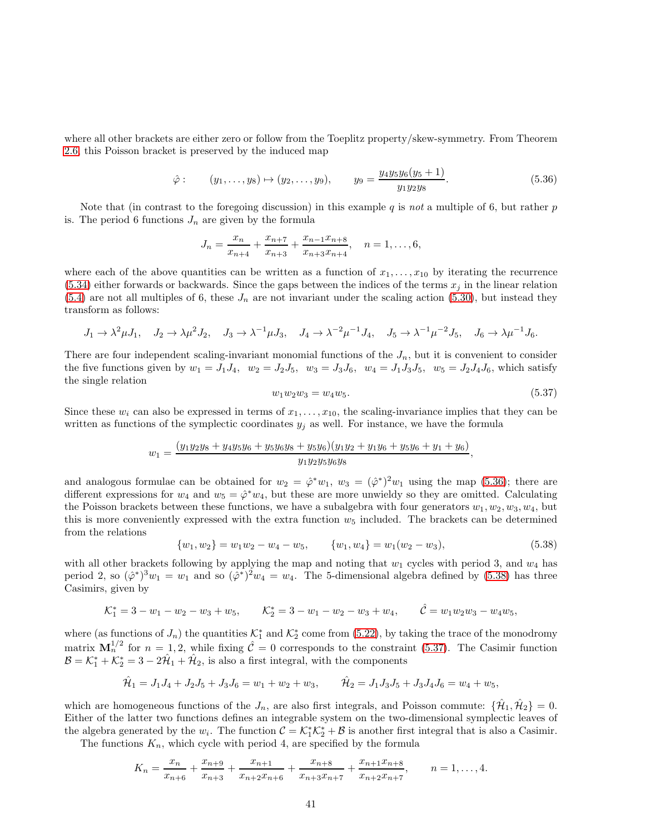where all other brackets are either zero or follow from the Toeplitz property/skew-symmetry. From Theorem [2.6,](#page-5-0) this Poisson bracket is preserved by the induced map

$$
\hat{\varphi} : \qquad (y_1, \ldots, y_8) \mapsto (y_2, \ldots, y_9), \qquad y_9 = \frac{y_4 y_5 y_6 (y_5 + 1)}{y_1 y_2 y_8}.
$$
\n
$$
(5.36)
$$

Note that (in contrast to the foregoing discussion) in this example  $q$  is not a multiple of 6, but rather  $p$ is. The period 6 functions  $J_n$  are given by the formula

$$
J_n = \frac{x_n}{x_{n+4}} + \frac{x_{n+7}}{x_{n+3}} + \frac{x_{n-1}x_{n+8}}{x_{n+3}x_{n+4}}, \quad n = 1, \ldots, 6,
$$

where each of the above quantities can be written as a function of  $x_1, \ldots, x_{10}$  by iterating the recurrence  $(5.34)$  either forwards or backwards. Since the gaps between the indices of the terms  $x_i$  in the linear relation  $(5.4)$  are not all multiples of 6, these  $J_n$  are not invariant under the scaling action [\(5.30\)](#page-38-0), but instead they transform as follows:

$$
J_1 \to \lambda^2 \mu J_1
$$
,  $J_2 \to \lambda \mu^2 J_2$ ,  $J_3 \to \lambda^{-1} \mu J_3$ ,  $J_4 \to \lambda^{-2} \mu^{-1} J_4$ ,  $J_5 \to \lambda^{-1} \mu^{-2} J_5$ ,  $J_6 \to \lambda \mu^{-1} J_6$ .

There are four independent scaling-invariant monomial functions of the  $J_n$ , but it is convenient to consider the five functions given by  $w_1 = J_1J_4$ ,  $w_2 = J_2J_5$ ,  $w_3 = J_3J_6$ ,  $w_4 = J_1J_3J_5$ ,  $w_5 = J_2J_4J_6$ , which satisfy the single relation

$$
w_1 w_2 w_3 = w_4 w_5. \tag{5.37}
$$

<span id="page-41-0"></span>Since these  $w_i$  can also be expressed in terms of  $x_1, \ldots, x_{10}$ , the scaling-invariance implies that they can be written as functions of the symplectic coordinates  $y_j$  as well. For instance, we have the formula

$$
w_1 = \frac{(y_1y_2y_8 + y_4y_5y_6 + y_5y_6y_8 + y_5y_6)(y_1y_2 + y_1y_6 + y_5y_6 + y_1 + y_6)}{y_1y_2y_5y_6y_8},
$$

and analogous formulae can be obtained for  $w_2 = \hat{\varphi}^* w_1$ ,  $w_3 = (\hat{\varphi}^*)^2 w_1$  using the map [\(5.36\)](#page-40-0); there are different expressions for  $w_4$  and  $w_5 = \hat{\varphi}^* w_4$ , but these are more unwieldy so they are omitted. Calculating the Poisson brackets between these functions, we have a subalgebra with four generators  $w_1, w_2, w_3, w_4$ , but this is more conveniently expressed with the extra function  $w<sub>5</sub>$  included. The brackets can be determined from the relations

<span id="page-41-1"></span>
$$
\{w_1, w_2\} = w_1 w_2 - w_4 - w_5, \qquad \{w_1, w_4\} = w_1 (w_2 - w_3), \tag{5.38}
$$

with all other brackets following by applying the map and noting that  $w_1$  cycles with period 3, and  $w_4$  has period 2, so  $(\hat{\varphi}^*)^3 w_1 = w_1$  and so  $(\hat{\varphi}^*)^2 w_4 = w_4$ . The 5-dimensional algebra defined by [\(5.38\)](#page-40-1) has three Casimirs, given by

$$
\mathcal{K}_1^* = 3 - w_1 - w_2 - w_3 + w_5, \qquad \mathcal{K}_2^* = 3 - w_1 - w_2 - w_3 + w_4, \qquad \hat{\mathcal{C}} = w_1 w_2 w_3 - w_4 w_5,
$$

where (as functions of  $J_n$ ) the quantities  $\mathcal{K}_1^*$  and  $\mathcal{K}_2^*$  come from [\(5.22\)](#page-35-0), by taking the trace of the monodromy matrix  $M_n^{1/2}$  for  $n = 1, 2$ , while fixing  $\hat{\mathcal{C}} = 0$  corresponds to the constraint [\(5.37\)](#page-40-2). The Casimir function  $\mathcal{B} = \mathcal{K}_1^* + \mathcal{K}_2^* = 3 - 2\hat{\mathcal{H}}_1 + \hat{\mathcal{H}}_2$ , is also a first integral, with the components

$$
\hat{\mathcal{H}}_1 = J_1 J_4 + J_2 J_5 + J_3 J_6 = w_1 + w_2 + w_3, \qquad \hat{\mathcal{H}}_2 = J_1 J_3 J_5 + J_3 J_4 J_6 = w_4 + w_5,
$$

which are homogeneous functions of the  $J_n$ , are also first integrals, and Poisson commute:  $\{\hat{\mathcal{H}}_1, \hat{\mathcal{H}}_2\} = 0$ . Either of the latter two functions defines an integrable system on the two-dimensional symplectic leaves of the algebra generated by the  $w_i$ . The function  $C = \mathcal{K}_1^* \mathcal{K}_2^* + \mathcal{B}$  is another first integral that is also a Casimir.

The functions  $K_n$ , which cycle with period 4, are specified by the formula

$$
K_n = \frac{x_n}{x_{n+6}} + \frac{x_{n+9}}{x_{n+3}} + \frac{x_{n+1}}{x_{n+2}x_{n+6}} + \frac{x_{n+8}}{x_{n+3}x_{n+7}} + \frac{x_{n+1}x_{n+8}}{x_{n+2}x_{n+7}}, \qquad n = 1, \ldots, 4.
$$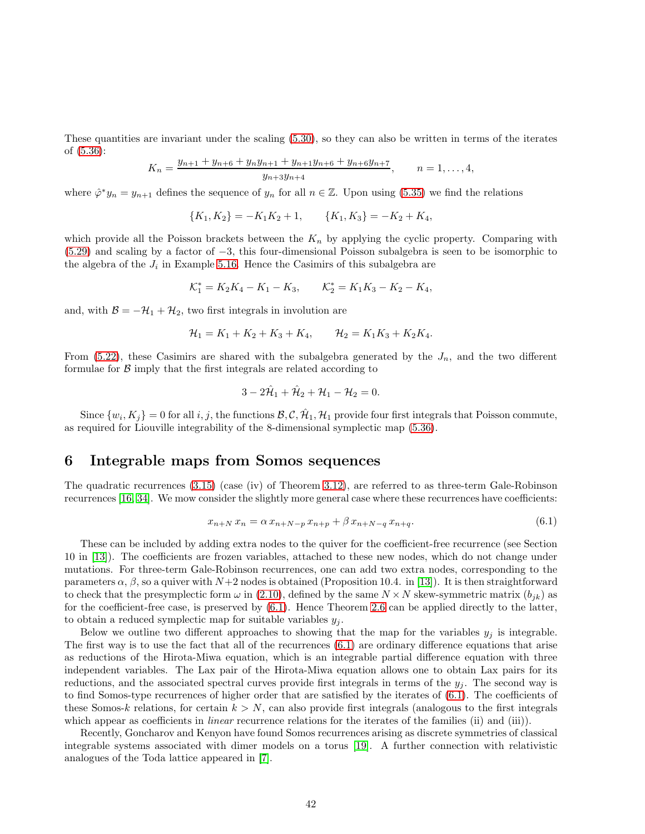These quantities are invariant under the scaling [\(5.30\)](#page-38-0), so they can also be written in terms of the iterates of [\(5.36\)](#page-40-0):

$$
K_n = \frac{y_{n+1} + y_{n+6} + y_n y_{n+1} + y_{n+1} y_{n+6} + y_{n+6} y_{n+7}}{y_{n+3} y_{n+4}}, \qquad n = 1, \dots, 4,
$$

where  $\hat{\varphi}^* y_n = y_{n+1}$  defines the sequence of  $y_n$  for all  $n \in \mathbb{Z}$ . Upon using [\(5.35\)](#page-39-3) we find the relations

<span id="page-42-1"></span><span id="page-42-0"></span>
$$
{K_1, K_2} = -K_1K_2 + 1, \qquad {K_1, K_3} = -K_2 + K_4,
$$

which provide all the Poisson brackets between the  $K_n$  by applying the cyclic property. Comparing with [\(5.29\)](#page-38-1) and scaling by a factor of −3, this four-dimensional Poisson subalgebra is seen to be isomorphic to the algebra of the  $J_i$  in Example [5.16.](#page-37-0) Hence the Casimirs of this subalgebra are

$$
\mathcal{K}_1^* = K_2 K_4 - K_1 - K_3, \qquad \mathcal{K}_2^* = K_1 K_3 - K_2 - K_4,
$$

and, with  $\mathcal{B} = -\mathcal{H}_1 + \mathcal{H}_2$ , two first integrals in involution are

$$
\mathcal{H}_1 = K_1 + K_2 + K_3 + K_4, \qquad \mathcal{H}_2 = K_1 K_3 + K_2 K_4.
$$

From [\(5.22\)](#page-35-0), these Casimirs are shared with the subalgebra generated by the  $J_n$ , and the two different formulae for  $\beta$  imply that the first integrals are related according to

<span id="page-42-4"></span>
$$
3-2\hat{\mathcal{H}}_1+\hat{\mathcal{H}}_2+\mathcal{H}_1-\mathcal{H}_2=0.
$$

Since  $\{w_i, K_j\} = 0$  for all i, j, the functions  $\mathcal{B}, \mathcal{C}, \hat{\mathcal{H}}_1, \mathcal{H}_1$  provide four first integrals that Poisson commute, as required for Liouville integrability of the 8-dimensional symplectic map [\(5.36\)](#page-40-0).

## 6 Integrable maps from Somos sequences

The quadratic recurrences [\(3.15\)](#page-14-4) (case (iv) of Theorem [3.12\)](#page-13-0), are referred to as three-term Gale-Robinson recurrences [\[16,](#page-48-0) [34\]](#page-48-18). We mow consider the slightly more general case where these recurrences have coefficients:

<span id="page-42-5"></span><span id="page-42-3"></span><span id="page-42-2"></span>
$$
x_{n+N} x_n = \alpha x_{n+N-p} x_{n+p} + \beta x_{n+N-q} x_{n+q}.
$$
\n(6.1)

These can be included by adding extra nodes to the quiver for the coefficient-free recurrence (see Section 10 in [\[13\]](#page-47-1)). The coefficients are frozen variables, attached to these new nodes, which do not change under mutations. For three-term Gale-Robinson recurrences, one can add two extra nodes, corresponding to the parameters  $\alpha$ ,  $\beta$ , so a quiver with  $N+2$  nodes is obtained (Proposition 10.4. in [\[13\]](#page-47-1)). It is then straightforward to check that the presymplectic form  $\omega$  in [\(2.10\)](#page-4-4), defined by the same  $N \times N$  skew-symmetric matrix  $(b_{jk})$  as for the coefficient-free case, is preserved by [\(6.1\)](#page-41-1). Hence Theorem [2.6](#page-5-0) can be applied directly to the latter, to obtain a reduced symplectic map for suitable variables  $y_j$ .

Below we outline two different approaches to showing that the map for the variables  $y_i$  is integrable. The first way is to use the fact that all of the recurrences [\(6.1\)](#page-41-1) are ordinary difference equations that arise as reductions of the Hirota-Miwa equation, which is an integrable partial difference equation with three independent variables. The Lax pair of the Hirota-Miwa equation allows one to obtain Lax pairs for its reductions, and the associated spectral curves provide first integrals in terms of the  $y_i$ . The second way is to find Somos-type recurrences of higher order that are satisfied by the iterates of [\(6.1\)](#page-41-1). The coefficients of these Somos-k relations, for certain  $k > N$ , can also provide first integrals (analogous to the first integrals which appear as coefficients in *linear* recurrence relations for the iterates of the families (ii) and (iii)).

Recently, Goncharov and Kenyon have found Somos recurrences arising as discrete symmetries of classical integrable systems associated with dimer models on a torus [\[19\]](#page-48-19). A further connection with relativistic analogues of the Toda lattice appeared in [\[7\]](#page-47-13).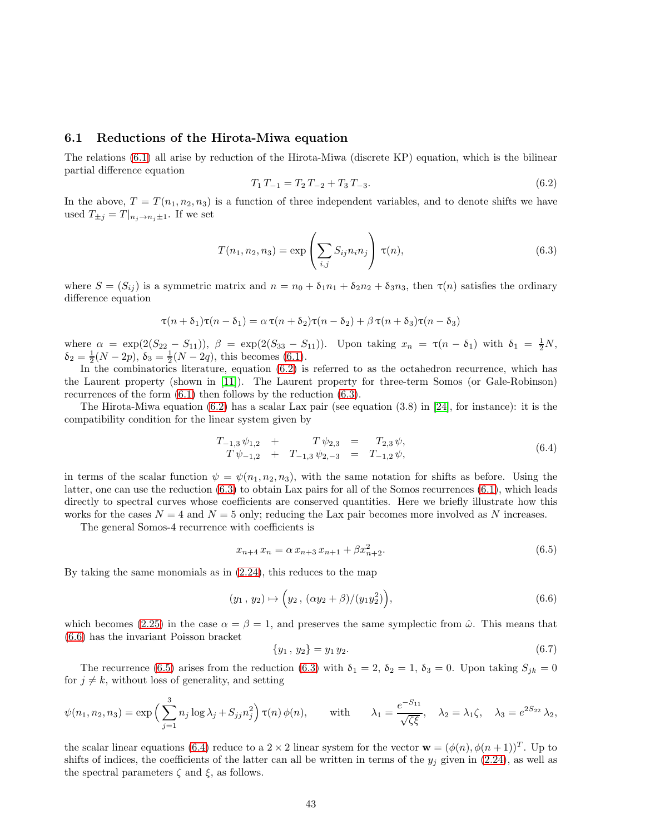#### 6.1 Reductions of the Hirota-Miwa equation

The relations [\(6.1\)](#page-41-1) all arise by reduction of the Hirota-Miwa (discrete KP) equation, which is the bilinear partial difference equation

<span id="page-43-1"></span>
$$
T_1 T_{-1} = T_2 T_{-2} + T_3 T_{-3}.
$$
\n
$$
(6.2)
$$

In the above,  $T = T(n_1, n_2, n_3)$  is a function of three independent variables, and to denote shifts we have used  $T_{\pm j} = T |_{n_j \to n_j \pm 1}$ . If we set

$$
T(n_1, n_2, n_3) = \exp\left(\sum_{i,j} S_{ij} n_i n_j\right) \tau(n),
$$
\n(6.3)

where  $S = (S_{ij})$  is a symmetric matrix and  $n = n_0 + \delta_1 n_1 + \delta_2 n_2 + \delta_3 n_3$ , then  $\tau(n)$  satisfies the ordinary difference equation

<span id="page-43-2"></span>
$$
\tau(n+\delta_1)\tau(n-\delta_1) = \alpha \tau(n+\delta_2)\tau(n-\delta_2) + \beta \tau(n+\delta_3)\tau(n-\delta_3)
$$

where  $\alpha = \exp(2(S_{22} - S_{11}))$ ,  $\beta = \exp(2(S_{33} - S_{11}))$ . Upon taking  $x_n = \tau(n - \delta_1)$  with  $\delta_1 = \frac{1}{2}N$ ,  $\delta_2 = \frac{1}{2}(N - 2p), \delta_3 = \frac{1}{2}(N - 2q),$  this becomes [\(6.1\)](#page-41-1).

In the combinatorics literature, equation  $(6.2)$  is referred to as the octahedron recurrence, which has the Laurent property (shown in [\[11\]](#page-47-6)). The Laurent property for three-term Somos (or Gale-Robinson) recurrences of the form [\(6.1\)](#page-41-1) then follows by the reduction [\(6.3\)](#page-42-1).

The Hirota-Miwa equation  $(6.2)$  has a scalar Lax pair (see equation  $(3.8)$  in [\[24\]](#page-48-20), for instance): it is the compatibility condition for the linear system given by

<span id="page-43-4"></span>
$$
T_{-1,3} \psi_{1,2} + T \psi_{2,3} = T_{2,3} \psi,
$$
  
\n
$$
T \psi_{-1,2} + T_{-1,3} \psi_{2,-3} = T_{-1,2} \psi,
$$
\n(6.4)

in terms of the scalar function  $\psi = \psi(n_1, n_2, n_3)$ , with the same notation for shifts as before. Using the latter, one can use the reduction [\(6.3\)](#page-42-1) to obtain Lax pairs for all of the Somos recurrences [\(6.1\)](#page-41-1), which leads directly to spectral curves whose coefficients are conserved quantities. Here we briefly illustrate how this works for the cases  $N = 4$  and  $N = 5$  only; reducing the Lax pair becomes more involved as N increases.

The general Somos-4 recurrence with coefficients is

<span id="page-43-0"></span>
$$
x_{n+4} \, x_n = \alpha \, x_{n+3} \, x_{n+1} + \beta x_{n+2}^2. \tag{6.5}
$$

By taking the same monomials as in [\(2.24\)](#page-8-2), this reduces to the map

$$
(y_1, y_2) \mapsto \left(y_2, \, (\alpha y_2 + \beta)/(y_1 y_2^2)\right),\tag{6.6}
$$

which becomes [\(2.25\)](#page-8-3) in the case  $\alpha = \beta = 1$ , and preserves the same symplectic from  $\hat{\omega}$ . This means that [\(6.6\)](#page-42-2) has the invariant Poisson bracket

<span id="page-43-3"></span>
$$
\{y_1, y_2\} = y_1 y_2. \tag{6.7}
$$

The recurrence [\(6.5\)](#page-42-3) arises from the reduction [\(6.3\)](#page-42-1) with  $\delta_1 = 2$ ,  $\delta_2 = 1$ ,  $\delta_3 = 0$ . Upon taking  $S_{jk} = 0$ for  $j \neq k$ , without loss of generality, and setting

$$
\psi(n_1, n_2, n_3) = \exp\left(\sum_{j=1}^3 n_j \log \lambda_j + S_{jj} n_j^2\right) \tau(n) \phi(n), \quad \text{with} \quad \lambda_1 = \frac{e^{-S_{11}}}{\sqrt{\zeta \xi}}, \quad \lambda_2 = \lambda_1 \zeta, \quad \lambda_3 = e^{2S_{22}} \lambda_2,
$$

the scalar linear equations [\(6.4\)](#page-42-4) reduce to a  $2 \times 2$  linear system for the vector  $\mathbf{w} = (\phi(n), \phi(n+1))^T$ . Up to shifts of indices, the coefficients of the latter can all be written in terms of the  $y_j$  given in [\(2.24\)](#page-8-2), as well as the spectral parameters  $\zeta$  and  $\xi$ , as follows.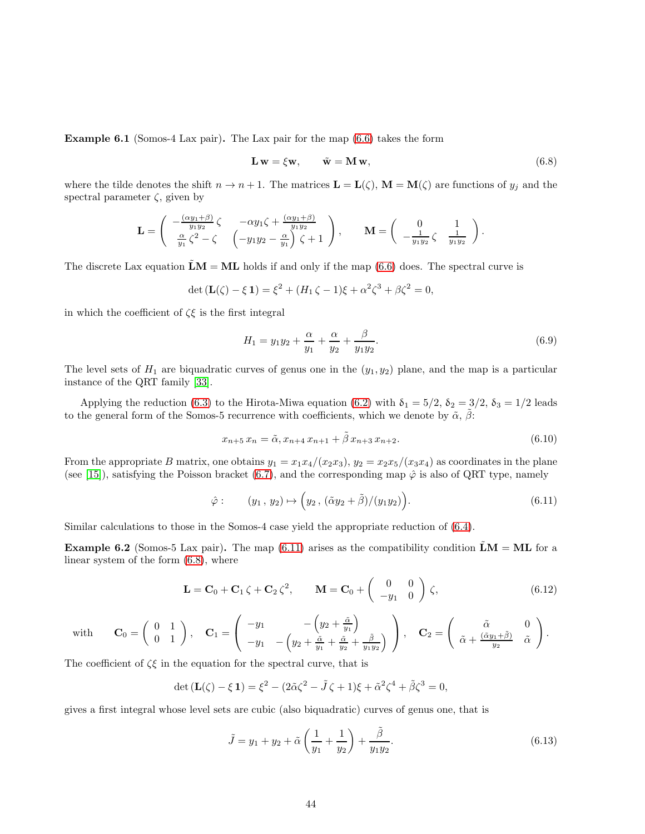Example 6.1 (Somos-4 Lax pair). The Lax pair for the map [\(6.6\)](#page-42-2) takes the form

$$
\mathbf{L}\,\mathbf{w} = \xi\mathbf{w}, \qquad \tilde{\mathbf{w}} = \mathbf{M}\,\mathbf{w}, \tag{6.8}
$$

where the tilde denotes the shift  $n \to n+1$ . The matrices  $\mathbf{L} = \mathbf{L}(\zeta)$ ,  $\mathbf{M} = \mathbf{M}(\zeta)$  are functions of  $y_j$  and the spectral parameter  $\zeta$ , given by

$$
\mathbf{L} = \begin{pmatrix} -\frac{(\alpha y_1 + \beta)}{y_1 y_2} \zeta & -\alpha y_1 \zeta + \frac{(\alpha y_1 + \beta)}{y_1 y_2} \\ \frac{\alpha}{y_1} \zeta^2 - \zeta & \left(-y_1 y_2 - \frac{\alpha}{y_1}\right) \zeta + 1 \end{pmatrix}, \qquad \mathbf{M} = \begin{pmatrix} 0 & 1 \\ -\frac{1}{y_1 y_2} \zeta & \frac{1}{y_1 y_2} \end{pmatrix}.
$$

The discrete Lax equation  $\tilde{\mathbf{L}}\mathbf{M} = \mathbf{M}\mathbf{L}$  holds if and only if the map [\(6.6\)](#page-42-2) does. The spectral curve is

$$
\det (\mathbf{L}(\zeta) - \xi \mathbf{1}) = \xi^2 + (H_1 \zeta - 1)\xi + \alpha^2 \zeta^3 + \beta \zeta^2 = 0,
$$

in which the coefficient of  $\zeta \xi$  is the first integral

$$
H_1 = y_1 y_2 + \frac{\alpha}{y_1} + \frac{\alpha}{y_2} + \frac{\beta}{y_1 y_2}.
$$
\n(6.9)

The level sets of  $H_1$  are biquadratic curves of genus one in the  $(y_1, y_2)$  plane, and the map is a particular instance of the QRT family [\[33\]](#page-48-9).

Applying the reduction [\(6.3\)](#page-42-1) to the Hirota-Miwa equation [\(6.2\)](#page-42-0) with  $\delta_1 = 5/2$ ,  $\delta_2 = 3/2$ ,  $\delta_3 = 1/2$  leads to the general form of the Somos-5 recurrence with coefficients, which we denote by  $\tilde{\alpha}$ ,  $\tilde{\beta}$ :

<span id="page-44-0"></span>
$$
x_{n+5} x_n = \tilde{\alpha}, x_{n+4} x_{n+1} + \tilde{\beta} x_{n+3} x_{n+2}.
$$
\n(6.10)

From the appropriate B matrix, one obtains  $y_1 = x_1x_4/(x_2x_3)$ ,  $y_2 = x_2x_5/(x_3x_4)$  as coordinates in the plane (see [\[15\]](#page-48-5)), satisfying the Poisson bracket [\(6.7\)](#page-42-5), and the corresponding map  $\hat{\varphi}$  is also of QRT type, namely

$$
\hat{\varphi}:\qquad (y_1, y_2)\mapsto \left(y_2, \, (\tilde{\alpha}y_2+\tilde{\beta})/(y_1y_2)\right).
$$
\n
$$
(6.11)
$$

Similar calculations to those in the Somos-4 case yield the appropriate reduction of [\(6.4\)](#page-42-4).

<span id="page-44-1"></span>**Example 6.2** (Somos-5 Lax pair). The map  $(6.11)$  arises as the compatibility condition  $LM = ML$  for a linear system of the form [\(6.8\)](#page-43-1), where

$$
\mathbf{L} = \mathbf{C}_0 + \mathbf{C}_1 \zeta + \mathbf{C}_2 \zeta^2, \qquad \mathbf{M} = \mathbf{C}_0 + \begin{pmatrix} 0 & 0 \\ -y_1 & 0 \end{pmatrix} \zeta,
$$
 (6.12)

with 
$$
\mathbf{C}_0 = \begin{pmatrix} 0 & 1 \\ 0 & 1 \end{pmatrix}
$$
,  $\mathbf{C}_1 = \begin{pmatrix} -y_1 & -\left(y_2 + \frac{\tilde{\alpha}}{y_1}\right) \\ -y_1 & -\left(y_2 + \frac{\tilde{\alpha}}{y_1} + \frac{\tilde{\alpha}}{y_2} + \frac{\tilde{\beta}}{y_1 y_2}\right) \end{pmatrix}$ ,  $\mathbf{C}_2 = \begin{pmatrix} \tilde{\alpha} & 0 \\ \tilde{\alpha} + \frac{(\tilde{\alpha}y_1 + \tilde{\beta})}{y_2} & \tilde{\alpha} \end{pmatrix}$ .

The coefficient of  $\zeta \xi$  in the equation for the spectral curve, that is

$$
\det(\mathbf{L}(\zeta) - \xi \mathbf{1}) = \xi^2 - (2\tilde{\alpha}\zeta^2 - \tilde{J}\zeta + 1)\xi + \tilde{\alpha}^2\zeta^4 + \tilde{\beta}\zeta^3 = 0,
$$

gives a first integral whose level sets are cubic (also biquadratic) curves of genus one, that is

<span id="page-44-3"></span><span id="page-44-2"></span>
$$
\tilde{J} = y_1 + y_2 + \tilde{\alpha} \left( \frac{1}{y_1} + \frac{1}{y_2} \right) + \frac{\tilde{\beta}}{y_1 y_2}.
$$
\n(6.13)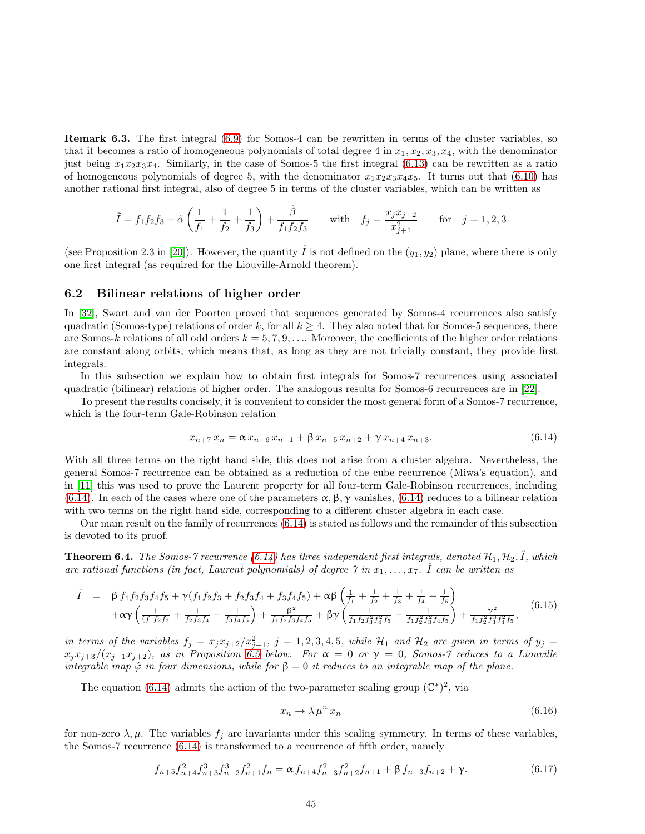Remark 6.3. The first integral [\(6.9\)](#page-43-2) for Somos-4 can be rewritten in terms of the cluster variables, so that it becomes a ratio of homogeneous polynomials of total degree 4 in  $x_1, x_2, x_3, x_4$ , with the denominator just being  $x_1x_2x_3x_4$ . Similarly, in the case of Somos-5 the first integral [\(6.13\)](#page-43-3) can be rewritten as a ratio of homogeneous polynomials of degree 5, with the denominator  $x_1x_2x_3x_4x_5$ . It turns out that [\(6.10\)](#page-43-4) has another rational first integral, also of degree 5 in terms of the cluster variables, which can be written as

<span id="page-45-2"></span><span id="page-45-1"></span>
$$
\tilde{I} = f_1 f_2 f_3 + \tilde{\alpha} \left( \frac{1}{f_1} + \frac{1}{f_2} + \frac{1}{f_3} \right) + \frac{\tilde{\beta}}{f_1 f_2 f_3} \quad \text{with} \quad f_j = \frac{x_j x_{j+2}}{x_{j+1}^2} \quad \text{for} \quad j = 1, 2, 3
$$

(see Proposition 2.3 in [\[20\]](#page-48-21)). However, the quantity  $\tilde{I}$  is not defined on the  $(y_1, y_2)$  plane, where there is only one first integral (as required for the Liouville-Arnold theorem).

#### 6.2 Bilinear relations of higher order

In [\[32\]](#page-48-22), Swart and van der Poorten proved that sequences generated by Somos-4 recurrences also satisfy quadratic (Somos-type) relations of order k, for all  $k \geq 4$ . They also noted that for Somos-5 sequences, there are Somos-k relations of all odd orders  $k = 5, 7, 9, \ldots$ . Moreover, the coefficients of the higher order relations are constant along orbits, which means that, as long as they are not trivially constant, they provide first integrals.

<span id="page-45-0"></span>In this subsection we explain how to obtain first integrals for Somos-7 recurrences using associated quadratic (bilinear) relations of higher order. The analogous results for Somos-6 recurrences are in [\[22\]](#page-48-23).

To present the results concisely, it is convenient to consider the most general form of a Somos-7 recurrence, which is the four-term Gale-Robinson relation

<span id="page-45-4"></span><span id="page-45-3"></span>
$$
x_{n+7} x_n = \alpha x_{n+6} x_{n+1} + \beta x_{n+5} x_{n+2} + \gamma x_{n+4} x_{n+3}.
$$
 (6.14)

With all three terms on the right hand side, this does not arise from a cluster algebra. Nevertheless, the general Somos-7 recurrence can be obtained as a reduction of the cube recurrence (Miwa's equation), and in [\[11\]](#page-47-6) this was used to prove the Laurent property for all four-term Gale-Robinson recurrences, including [\(6.14\)](#page-44-0). In each of the cases where one of the parameters  $\alpha, \beta, \gamma$  vanishes, [\(6.14\)](#page-44-0) reduces to a bilinear relation with two terms on the right hand side, corresponding to a different cluster algebra in each case.

Our main result on the family of recurrences [\(6.14\)](#page-44-0) is stated as follows and the remainder of this subsection is devoted to its proof.

**Theorem 6.4.** The Somos-7 recurrence [\(6.14\)](#page-44-0) has three independent first integrals, denoted  $\mathcal{H}_1, \mathcal{H}_2, \hat{I}$ , which are rational functions (in fact, Laurent polynomials) of degree  $\gamma$  in  $x_1, \ldots, x_7$ .  $\hat{I}$  can be written as

$$
\hat{I} = \beta f_1 f_2 f_3 f_4 f_5 + \gamma (f_1 f_2 f_3 + f_2 f_3 f_4 + f_3 f_4 f_5) + \alpha \beta \left( \frac{1}{f_1} + \frac{1}{f_2} + \frac{1}{f_3} + \frac{1}{f_4} + \frac{1}{f_5} \right) \n+ \alpha \gamma \left( \frac{1}{(f_1 f_2 f_3 + \frac{1}{f_2 f_3 f_4} + \frac{1}{f_3 f_4 f_5} \right) + \frac{\beta^2}{f_1 f_2 f_3 f_4 f_5} + \beta \gamma \left( \frac{1}{f_1 f_2 f_3^2 f_4^2 f_5} + \frac{1}{f_1 f_2^2 f_3^2 f_4 f_5} \right) + \frac{\gamma^2}{f_1 f_2^2 f_3^2 f_4^2 f_5},
$$
\n(6.15)

<span id="page-45-5"></span>in terms of the variables  $f_j = x_j x_{j+2}/x_{j+1}^2$ ,  $j = 1, 2, 3, 4, 5$ , while  $\mathcal{H}_1$  and  $\mathcal{H}_2$  are given in terms of  $y_j =$  $x_jx_{j+3}/(x_{j+1}x_{j+2})$ , as in Proposition [6.5](#page-45-0) below. For  $\alpha = 0$  or  $\gamma = 0$ , Somos-7 reduces to a Liouville integrable map  $\hat{\varphi}$  in four dimensions, while for  $\beta = 0$  it reduces to an integrable map of the plane.

The equation [\(6.14\)](#page-44-0) admits the action of the two-parameter scaling group  $(\mathbb{C}^*)^2$ , via

$$
x_n \to \lambda \mu^n \, x_n \tag{6.16}
$$

for non-zero  $\lambda, \mu$ . The variables  $f_j$  are invariants under this scaling symmetry. In terms of these variables, the Somos-7 recurrence [\(6.14\)](#page-44-0) is transformed to a recurrence of fifth order, namely

$$
f_{n+5}f_{n+4}^2 f_{n+3}^3 f_{n+2}^3 f_{n+1}^2 f_n = \alpha f_{n+4}f_{n+3}^2 f_{n+2}^2 f_{n+1} + \beta f_{n+3}f_{n+2} + \gamma.
$$
 (6.17)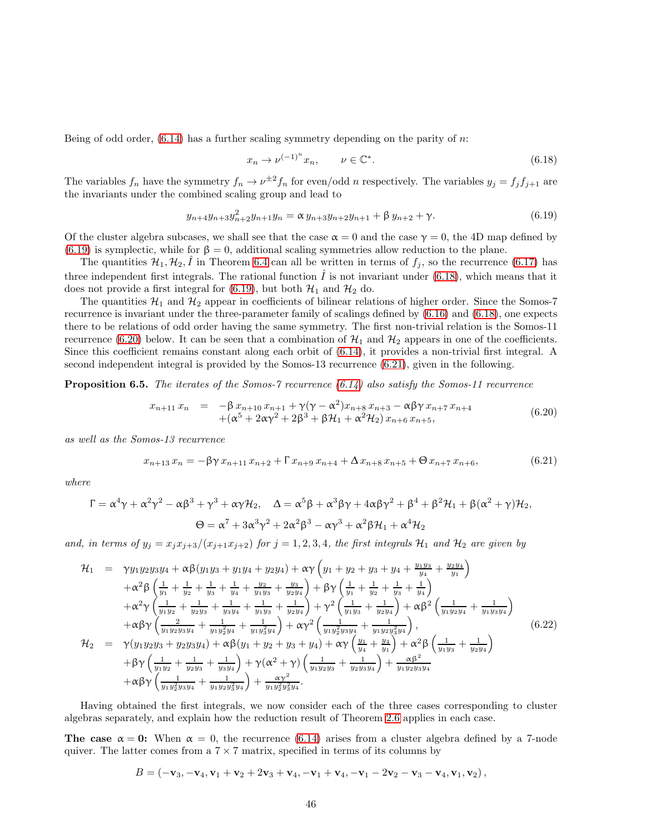Being of odd order,  $(6.14)$  has a further scaling symmetry depending on the parity of n:

$$
x_n \to \nu^{(-1)^n} x_n, \qquad \nu \in \mathbb{C}^*.
$$
\n
$$
(6.18)
$$

The variables  $f_n$  have the symmetry  $f_n \to \nu^{\pm 2} f_n$  for even/odd n respectively. The variables  $y_j = f_j f_{j+1}$  are the invariants under the combined scaling group and lead to

<span id="page-46-2"></span>
$$
y_{n+4}y_{n+3}y_{n+2}^2y_{n+1}y_n = \alpha y_{n+3}y_{n+2}y_{n+1} + \beta y_{n+2} + \gamma.
$$
 (6.19)

Of the cluster algebra subcases, we shall see that the case  $\alpha = 0$  and the case  $\gamma = 0$ , the 4D map defined by [\(6.19\)](#page-45-1) is symplectic, while for  $\beta = 0$ , additional scaling symmetries allow reduction to the plane.

The quantities  $\mathcal{H}_1, \mathcal{H}_2, \hat{I}$  in Theorem [6.4](#page-44-1) can all be written in terms of  $f_j$ , so the recurrence [\(6.17\)](#page-44-2) has three independent first integrals. The rational function  $\hat{I}$  is not invariant under [\(6.18\)](#page-45-2), which means that it does not provide a first integral for [\(6.19\)](#page-45-1), but both  $\mathcal{H}_1$  and  $\mathcal{H}_2$  do.

The quantities  $\mathcal{H}_1$  and  $\mathcal{H}_2$  appear in coefficients of bilinear relations of higher order. Since the Somos-7 recurrence is invariant under the three-parameter family of scalings defined by [\(6.16\)](#page-44-3) and [\(6.18\)](#page-45-2), one expects there to be relations of odd order having the same symmetry. The first non-trivial relation is the Somos-11 recurrence [\(6.20\)](#page-45-3) below. It can be seen that a combination of  $\mathcal{H}_1$  and  $\mathcal{H}_2$  appears in one of the coefficients. Since this coefficient remains constant along each orbit of [\(6.14\)](#page-44-0), it provides a non-trivial first integral. A second independent integral is provided by the Somos-13 recurrence [\(6.21\)](#page-45-4), given in the following.

**Proposition 6.5.** The iterates of the Somos-7 recurrence  $(6.14)$  also satisfy the Somos-11 recurrence

<span id="page-46-0"></span>
$$
x_{n+11} x_n = -\beta x_{n+10} x_{n+1} + \gamma (\gamma - \alpha^2) x_{n+8} x_{n+3} - \alpha \beta \gamma x_{n+7} x_{n+4} + (\alpha^5 + 2\alpha \gamma^2 + 2\beta^3 + \beta \mathcal{H}_1 + \alpha^2 \mathcal{H}_2) x_{n+6} x_{n+5},
$$
(6.20)

as well as the Somos-13 recurrence

$$
x_{n+13} x_n = -\beta \gamma x_{n+11} x_{n+2} + \Gamma x_{n+9} x_{n+4} + \Delta x_{n+8} x_{n+5} + \Theta x_{n+7} x_{n+6},
$$
(6.21)

where

$$
\Gamma = \alpha^4 \gamma + \alpha^2 \gamma^2 - \alpha \beta^3 + \gamma^3 + \alpha \gamma \mathcal{H}_2, \quad \Delta = \alpha^5 \beta + \alpha^3 \beta \gamma + 4 \alpha \beta \gamma^2 + \beta^4 + \beta^2 \mathcal{H}_1 + \beta (\alpha^2 + \gamma) \mathcal{H}_2,
$$
  

$$
\Theta = \alpha^7 + 3 \alpha^3 \gamma^2 + 2 \alpha^2 \beta^3 - \alpha \gamma^3 + \alpha^2 \beta \mathcal{H}_1 + \alpha^4 \mathcal{H}_2
$$

and, in terms of  $y_j = x_j x_{j+3}/(x_{j+1}x_{j+2})$  for  $j = 1, 2, 3, 4$ , the first integrals  $\mathcal{H}_1$  and  $\mathcal{H}_2$  are given by

<span id="page-46-1"></span>
$$
\mathcal{H}_{1} = \gamma y_{1} y_{2} y_{3} y_{4} + \alpha \beta (y_{1} y_{3} + y_{1} y_{4} + y_{2} y_{4}) + \alpha \gamma \left( y_{1} + y_{2} + y_{3} + y_{4} + \frac{y_{1} y_{3}}{y_{4}} + \frac{y_{2} y_{4}}{y_{1}} \right) \n+ \alpha^{2} \beta \left( \frac{1}{y_{1}} + \frac{1}{y_{2}} + \frac{1}{y_{3}} + \frac{1}{y_{4}} + \frac{y_{2}}{y_{1} y_{3}} + \frac{y_{3}}{y_{2} y_{4}} \right) + \beta \gamma \left( \frac{1}{y_{1}} + \frac{1}{y_{2}} + \frac{1}{y_{3}} + \frac{1}{y_{4}} \right) \n+ \alpha^{2} \gamma \left( \frac{1}{y_{1} y_{2}} + \frac{1}{y_{2} y_{3}} + \frac{1}{y_{3} y_{4}} + \frac{1}{y_{1} y_{3}} + \frac{1}{y_{2} y_{4}} \right) + \gamma^{2} \left( \frac{1}{y_{1} y_{3}} + \frac{1}{y_{2} y_{4}} \right) + \alpha \beta^{2} \left( \frac{1}{y_{1} y_{2} y_{4}} + \frac{1}{y_{1} y_{3} y_{4}} \right) \n+ \alpha \beta \gamma \left( \frac{2}{y_{1} y_{2} y_{3} y_{4}} + \frac{1}{y_{1} y_{2}^{2} y_{4}} + \frac{1}{y_{1} y_{3}^{2} y_{4}} \right) + \alpha \gamma^{2} \left( \frac{1}{y_{1} y_{2}^{2} y_{3} y_{4}} + \frac{1}{y_{1} y_{2} y_{3}^{2} y_{4}} \right),
$$
\n(6.22)  
\n
$$
\mathcal{H}_{2} = \gamma (y_{1} y_{2} y_{3} + y_{2} y_{3} y_{4}) + \alpha \beta (y_{1} + y_{2} + y_{3} + y_{4}) + \alpha \gamma \left( \frac{y_{1}}{y_{4}} + \frac{y_{4}}{y_{1}} \right) + \alpha^{2} \beta \left( \frac{1}{y_{1} y_{3}} + \frac{1}{y_{2} y_{4}} \right) \n+ \beta \gamma \left( \frac{1}{y_{1}
$$

Having obtained the first integrals, we now consider each of the three cases corresponding to cluster algebras separately, and explain how the reduction result of Theorem [2.6](#page-5-0) applies in each case.

The case  $\alpha = 0$ : When  $\alpha = 0$ , the recurrence [\(6.14\)](#page-44-0) arises from a cluster algebra defined by a 7-node quiver. The latter comes from a  $7 \times 7$  matrix, specified in terms of its columns by

$$
B = (-\mathbf{v}_3, -\mathbf{v}_4, \mathbf{v}_1 + \mathbf{v}_2 + 2\mathbf{v}_3 + \mathbf{v}_4, -\mathbf{v}_1 + \mathbf{v}_4, -\mathbf{v}_1 - 2\mathbf{v}_2 - \mathbf{v}_3 - \mathbf{v}_4, \mathbf{v}_1, \mathbf{v}_2),
$$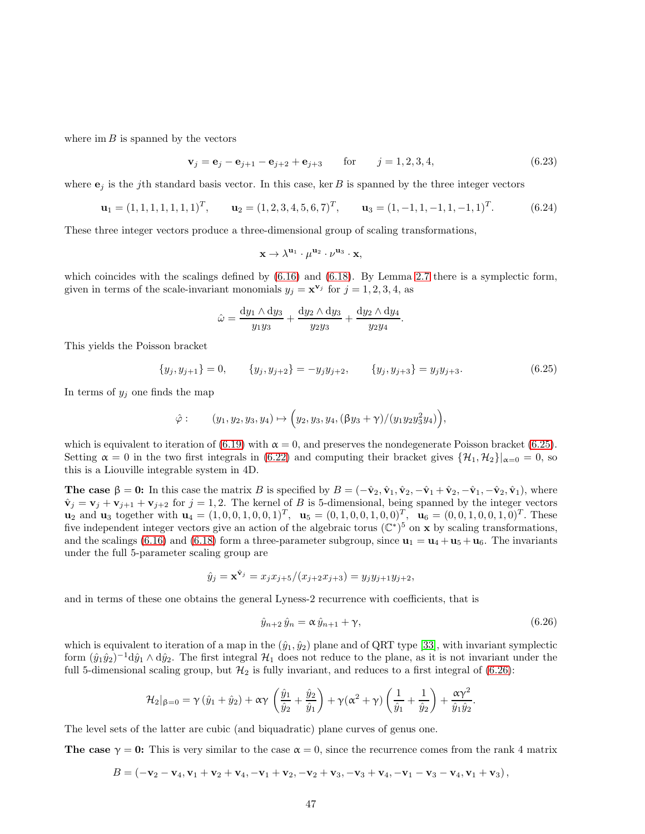where  $\text{im } B$  is spanned by the vectors

<span id="page-47-14"></span>
$$
\mathbf{v}_{j} = \mathbf{e}_{j} - \mathbf{e}_{j+1} - \mathbf{e}_{j+2} + \mathbf{e}_{j+3} \quad \text{for} \quad j = 1, 2, 3, 4,
$$
 (6.23)

where  $e_j$  is the jth standard basis vector. In this case, ker B is spanned by the three integer vectors

$$
\mathbf{u}_1 = (1, 1, 1, 1, 1, 1, 1)^T, \qquad \mathbf{u}_2 = (1, 2, 3, 4, 5, 6, 7)^T, \qquad \mathbf{u}_3 = (1, -1, 1, -1, 1, -1, 1)^T. \tag{6.24}
$$

These three integer vectors produce a three-dimensional group of scaling transformations,

$$
\mathbf{x}\rightarrow \lambda^{\mathbf{u}_1}\cdot \mu^{\mathbf{u}_2}\cdot \nu^{\mathbf{u}_3}\cdot \mathbf{x},
$$

which coincides with the scalings defined by  $(6.16)$  and  $(6.18)$ . By Lemma [2.7](#page-6-2) there is a symplectic form, given in terms of the scale-invariant monomials  $y_j = \mathbf{x}^{\mathbf{v}_j}$  for  $j = 1, 2, 3, 4$ , as

$$
\hat{\omega} = \frac{dy_1 \wedge dy_3}{y_1 y_3} + \frac{dy_2 \wedge dy_3}{y_2 y_3} + \frac{dy_2 \wedge dy_4}{y_2 y_4}.
$$

This yields the Poisson bracket

$$
\{y_j, y_{j+1}\} = 0, \qquad \{y_j, y_{j+2}\} = -y_j y_{j+2}, \qquad \{y_j, y_{j+3}\} = y_j y_{j+3}.
$$
\n(6.25)

In terms of  $y_j$  one finds the map

$$
\hat{\varphi}:\qquad (y_1,y_2,y_3,y_4)\mapsto \Big(y_2,y_3,y_4,(\beta y_3+\gamma)/(y_1y_2y_3^2y_4)\Big),
$$

which is equivalent to iteration of [\(6.19\)](#page-45-1) with  $\alpha = 0$ , and preserves the nondegenerate Poisson bracket [\(6.25\)](#page-46-0). Setting  $\alpha = 0$  in the two first integrals in [\(6.22\)](#page-45-5) and computing their bracket gives  $\{\mathcal{H}_1, \mathcal{H}_2\}_{\alpha=0} = 0$ , so this is a Liouville integrable system in 4D.

<span id="page-47-5"></span><span id="page-47-3"></span><span id="page-47-2"></span>The case  $\beta = 0$ : In this case the matrix B is specified by  $B = (-\hat{v}_2, \hat{v}_1, \hat{v}_2, -\hat{v}_1 + \hat{v}_2, -\hat{v}_1, -\hat{v}_2, \hat{v}_1)$ , where  $\hat{\mathbf{v}}_j = \mathbf{v}_j + \mathbf{v}_{j+1} + \mathbf{v}_{j+2}$  for  $j = 1, 2$ . The kernel of B is 5-dimensional, being spanned by the integer vectors  $\mathbf{u}_2$  and  $\mathbf{u}_3$  together with  $\mathbf{u}_4 = (1, 0, 0, 1, 0, 0, 1)^T$ ,  $\mathbf{u}_5 = (0, 1, 0, 0, 1, 0, 0)^T$ ,  $\mathbf{u}_6 = (0, 0, 1, 0, 0, 1, 0)^T$ . These five independent integer vectors give an action of the algebraic torus  $(\mathbb{C}^*)^5$  on x by scaling transformations, and the scalings [\(6.16\)](#page-44-3) and [\(6.18\)](#page-45-2) form a three-parameter subgroup, since  $\mathbf{u}_1 = \mathbf{u}_4 + \mathbf{u}_5 + \mathbf{u}_6$ . The invariants under the full 5-parameter scaling group are

$$
\hat{y}_j = \mathbf{x}^{\hat{\mathbf{v}}_j} = x_j x_{j+5} / (x_{j+2} x_{j+3}) = y_j y_{j+1} y_{j+2},
$$

<span id="page-47-13"></span><span id="page-47-11"></span><span id="page-47-10"></span><span id="page-47-8"></span>and in terms of these one obtains the general Lyness-2 recurrence with coefficients, that is

$$
\hat{y}_{n+2}\,\hat{y}_n = \alpha\,\hat{y}_{n+1} + \gamma,\tag{6.26}
$$

<span id="page-47-9"></span><span id="page-47-6"></span><span id="page-47-4"></span><span id="page-47-0"></span>which is equivalent to iteration of a map in the  $(\hat{y}_1, \hat{y}_2)$  plane and of QRT type [\[33\]](#page-48-9), with invariant symplectic form  $(\hat{y}_1\hat{y}_2)^{-1}d\hat{y}_1\wedge d\hat{y}_2$ . The first integral  $\mathcal{H}_1$  does not reduce to the plane, as it is not invariant under the full 5-dimensional scaling group, but  $\mathcal{H}_2$  is fully invariant, and reduces to a first integral of [\(6.26\)](#page-46-1):

$$
\mathcal{H}_2|_{\beta=0} = \gamma (\hat{y}_1 + \hat{y}_2) + \alpha \gamma \left( \frac{\hat{y}_1}{\hat{y}_2} + \frac{\hat{y}_2}{\hat{y}_1} \right) + \gamma (\alpha^2 + \gamma) \left( \frac{1}{\hat{y}_1} + \frac{1}{\hat{y}_2} \right) + \frac{\alpha \gamma^2}{\hat{y}_1 \hat{y}_2}.
$$

<span id="page-47-7"></span><span id="page-47-1"></span>The level sets of the latter are cubic (and biquadratic) plane curves of genus one.

<span id="page-47-12"></span>The case  $\gamma = 0$ : This is very similar to the case  $\alpha = 0$ , since the recurrence comes from the rank 4 matrix

$$
B = (-\mathbf{v}_2 - \mathbf{v}_4, \mathbf{v}_1 + \mathbf{v}_2 + \mathbf{v}_4, -\mathbf{v}_1 + \mathbf{v}_2, -\mathbf{v}_2 + \mathbf{v}_3, -\mathbf{v}_3 + \mathbf{v}_4, -\mathbf{v}_1 - \mathbf{v}_3 - \mathbf{v}_4, \mathbf{v}_1 + \mathbf{v}_3),
$$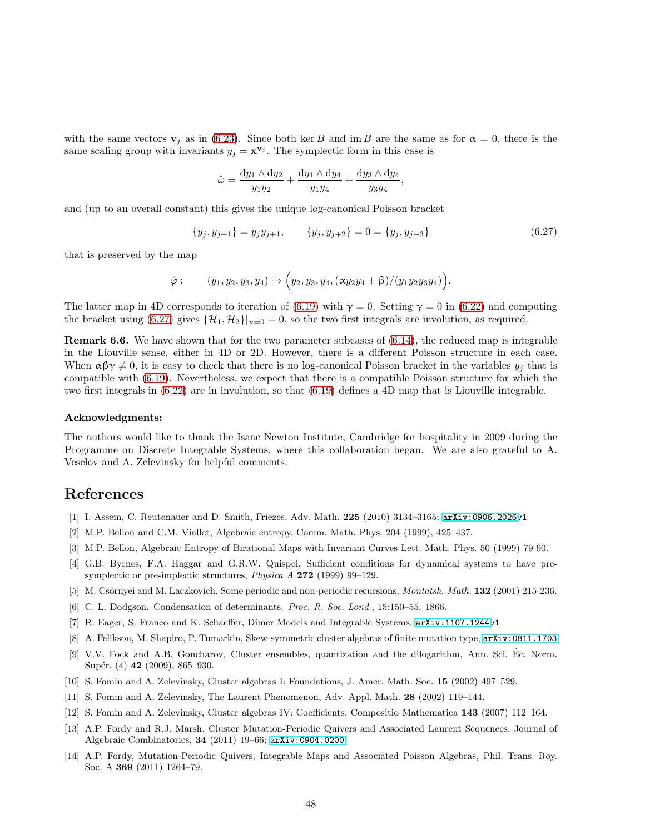<span id="page-48-5"></span><span id="page-48-0"></span>with the same vectors  $\mathbf{v}_j$  as in [\(6.23\)](#page-46-2). Since both ker B and im B are the same as for  $\alpha = 0$ , there is the same scaling group with invariants  $y_j = \mathbf{x}^{\mathbf{v}_j}$ . The symplectic form in this case is

$$
\hat{\omega} = \frac{dy_1 \wedge dy_2}{y_1 y_2} + \frac{dy_1 \wedge dy_4}{y_1 y_4} + \frac{dy_3 \wedge dy_4}{y_3 y_4},
$$

<span id="page-48-6"></span><span id="page-48-3"></span>and (up to an overall constant) this gives the unique log-canonical Poisson bracket

$$
\{y_j, y_{j+1}\} = y_j y_{j+1}, \qquad \{y_j, y_{j+2}\} = 0 = \{y_j, y_{j+3}\}\tag{6.27}
$$

<span id="page-48-21"></span><span id="page-48-19"></span><span id="page-48-7"></span>that is preserved by the map

$$
\hat{\varphi}:\qquad (y_1,y_2,y_3,y_4)\mapsto (y_2,y_3,y_4,(\alpha y_2y_4+\beta)/(y_1y_2y_3y_4)).
$$

<span id="page-48-23"></span>The latter map in 4D corresponds to iteration of [\(6.19\)](#page-45-1) with  $\gamma = 0$ . Setting  $\gamma = 0$  in [\(6.22\)](#page-45-5) and computing the bracket using [\(6.27\)](#page-47-14) gives  $\{\mathcal{H}_1, \mathcal{H}_2\}_{\gamma=0} = 0$ , so the two first integrals are involution, as required.

<span id="page-48-20"></span><span id="page-48-4"></span>Remark 6.6. We have shown that for the two parameter subcases of [\(6.14\)](#page-44-0), the reduced map is integrable in the Liouville sense, either in 4D or 2D. However, there is a different Poisson structure in each case. When  $\alpha\beta\gamma\neq 0$ , it is easy to check that there is no log-canonical Poisson bracket in the variables  $y_j$  that is compatible with [\(6.19\)](#page-45-1). Nevertheless, we expect that there is a compatible Poisson structure for which the two first integrals in [\(6.22\)](#page-45-5) are in involution, so that [\(6.19\)](#page-45-1) defines a 4D map that is Liouville integrable.

#### <span id="page-48-17"></span><span id="page-48-14"></span><span id="page-48-1"></span>Acknowledgments:

<span id="page-48-15"></span>The authors would like to thank the Isaac Newton Institute, Cambridge for hospitality in 2009 during the Programme on Discrete Integrable Systems, where this collaboration began. We are also grateful to A. Veselov and A. Zelevinsky for helpful comments.

## <span id="page-48-16"></span><span id="page-48-12"></span><span id="page-48-8"></span>References

- [1] I. Assem, C. Reutenauer and D. Smith, Friezes, Adv. Math. 225 (2010) 3134–3165; [arXiv:0906.2026v](http://arxiv.org/abs/0906.2026)1
- <span id="page-48-22"></span>[2] M.P. Bellon and C.M. Viallet, Algebraic entropy, Comm. Math. Phys. 204 (1999), 425–437.
- [3] M.P. Bellon, Algebraic Entropy of Birational Maps with Invariant Curves Lett. Math. Phys. 50 (1999) 79-90.
- <span id="page-48-9"></span>[4] G.B. Byrnes, F.A. Haggar and G.R.W. Quispel, Sufficient conditions for dynamical systems to have presymplectic or pre-implectic structures, *Physica A* 272 (1999) 99–129.
- <span id="page-48-18"></span>[5] M. Csörnyei and M. Laczkovich, Some periodic and non-periodic recursions, *Montatsh. Math.* **132** (2001) 215-236.
- <span id="page-48-11"></span>[6] C. L. Dodgson. Condensation of determinants. *Proc. R. Soc. Lond.*, 15:150–55, 1866.
- <span id="page-48-10"></span>[7] R. Eager, S. Franco and K. Schaeffer, Dimer Models and Integrable Systems, [arXiv:1107.1244v](http://arxiv.org/abs/1107.1244)1
- [8] A. Felikson, M. Shapiro, P. Tumarkin, Skew-symmetric cluster algebras of finite mutation type, [arXiv:0811.1703](http://arxiv.org/abs/0811.1703)
- <span id="page-48-2"></span>[9] V.V. Fock and A.B. Goncharov, Cluster ensembles, quantization and the dilogarithm, Ann. Sci. Ec. Norm. ´ Supér. (4) 42 (2009), 865–930.
- <span id="page-48-13"></span>[10] S. Fomin and A. Zelevinsky, Cluster algebras I: Foundations, J. Amer. Math. Soc. 15 (2002) 497–529.
- [11] S. Fomin and A. Zelevinsky, The Laurent Phenomenon, Adv. Appl. Math. 28 (2002) 119–144.
- [12] S. Fomin and A. Zelevinsky, Cluster algebras IV: Coefficients, Compositio Mathematica 143 (2007) 112–164.
- [13] A.P. Fordy and R.J. Marsh, Cluster Mutation-Periodic Quivers and Associated Laurent Sequences, Journal of Algebraic Combinatorics, 34 (2011) 19–66; [arXiv:0904.0200](http://arxiv.org/abs/0904.0200).
- [14] A.P. Fordy, Mutation-Periodic Quivers, Integrable Maps and Associated Poisson Algebras, Phil. Trans. Roy. Soc. A 369 (2011) 1264–79.